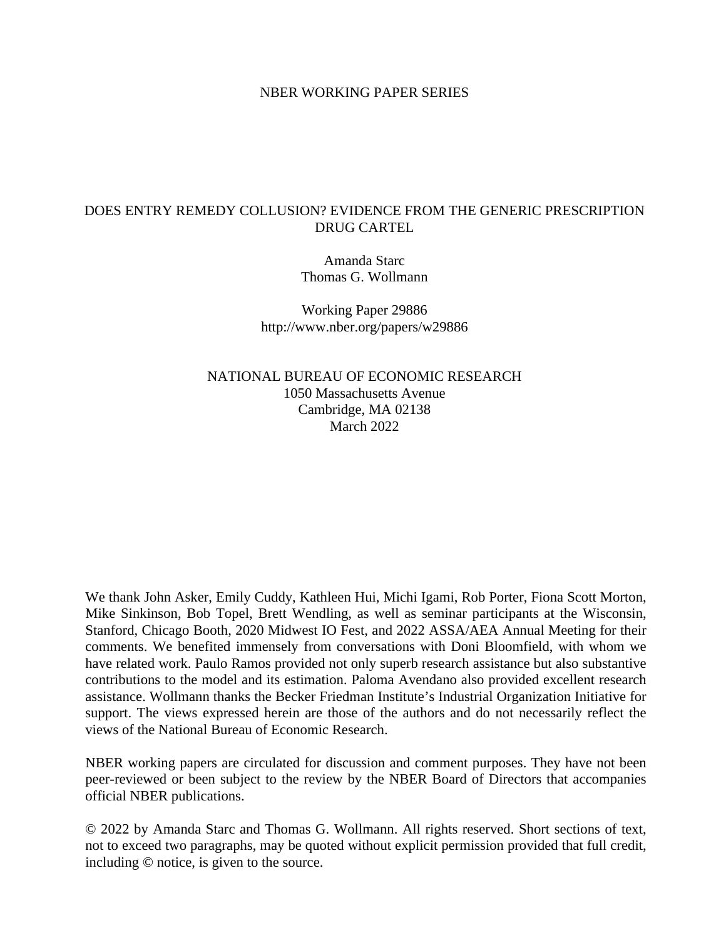### NBER WORKING PAPER SERIES

## DOES ENTRY REMEDY COLLUSION? EVIDENCE FROM THE GENERIC PRESCRIPTION DRUG CARTEL

Amanda Starc Thomas G. Wollmann

Working Paper 29886 http://www.nber.org/papers/w29886

NATIONAL BUREAU OF ECONOMIC RESEARCH 1050 Massachusetts Avenue Cambridge, MA 02138 March 2022

We thank John Asker, Emily Cuddy, Kathleen Hui, Michi Igami, Rob Porter, Fiona Scott Morton, Mike Sinkinson, Bob Topel, Brett Wendling, as well as seminar participants at the Wisconsin, Stanford, Chicago Booth, 2020 Midwest IO Fest, and 2022 ASSA/AEA Annual Meeting for their comments. We benefited immensely from conversations with Doni Bloomfield, with whom we have related work. Paulo Ramos provided not only superb research assistance but also substantive contributions to the model and its estimation. Paloma Avendano also provided excellent research assistance. Wollmann thanks the Becker Friedman Institute's Industrial Organization Initiative for support. The views expressed herein are those of the authors and do not necessarily reflect the views of the National Bureau of Economic Research.

NBER working papers are circulated for discussion and comment purposes. They have not been peer-reviewed or been subject to the review by the NBER Board of Directors that accompanies official NBER publications.

© 2022 by Amanda Starc and Thomas G. Wollmann. All rights reserved. Short sections of text, not to exceed two paragraphs, may be quoted without explicit permission provided that full credit, including © notice, is given to the source.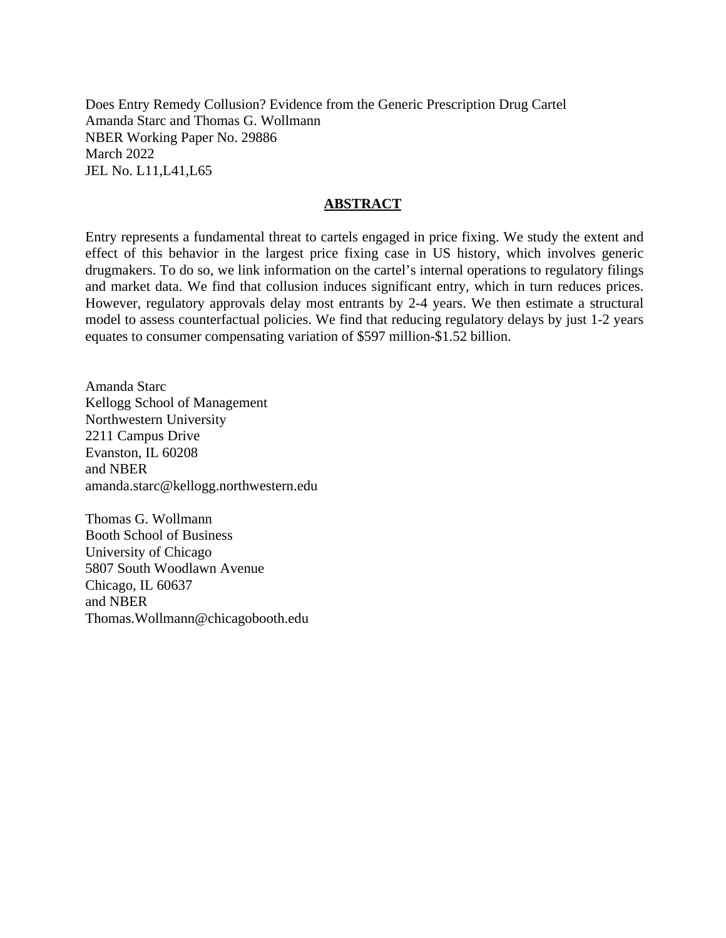Does Entry Remedy Collusion? Evidence from the Generic Prescription Drug Cartel Amanda Starc and Thomas G. Wollmann NBER Working Paper No. 29886 March 2022 JEL No. L11,L41,L65

### **ABSTRACT**

Entry represents a fundamental threat to cartels engaged in price fixing. We study the extent and effect of this behavior in the largest price fixing case in US history, which involves generic drugmakers. To do so, we link information on the cartel's internal operations to regulatory filings and market data. We find that collusion induces significant entry, which in turn reduces prices. However, regulatory approvals delay most entrants by 2-4 years. We then estimate a structural model to assess counterfactual policies. We find that reducing regulatory delays by just 1-2 years equates to consumer compensating variation of \$597 million-\$1.52 billion.

Amanda Starc Kellogg School of Management Northwestern University 2211 Campus Drive Evanston, IL 60208 and NBER amanda.starc@kellogg.northwestern.edu

Thomas G. Wollmann Booth School of Business University of Chicago 5807 South Woodlawn Avenue Chicago, IL 60637 and NBER Thomas.Wollmann@chicagobooth.edu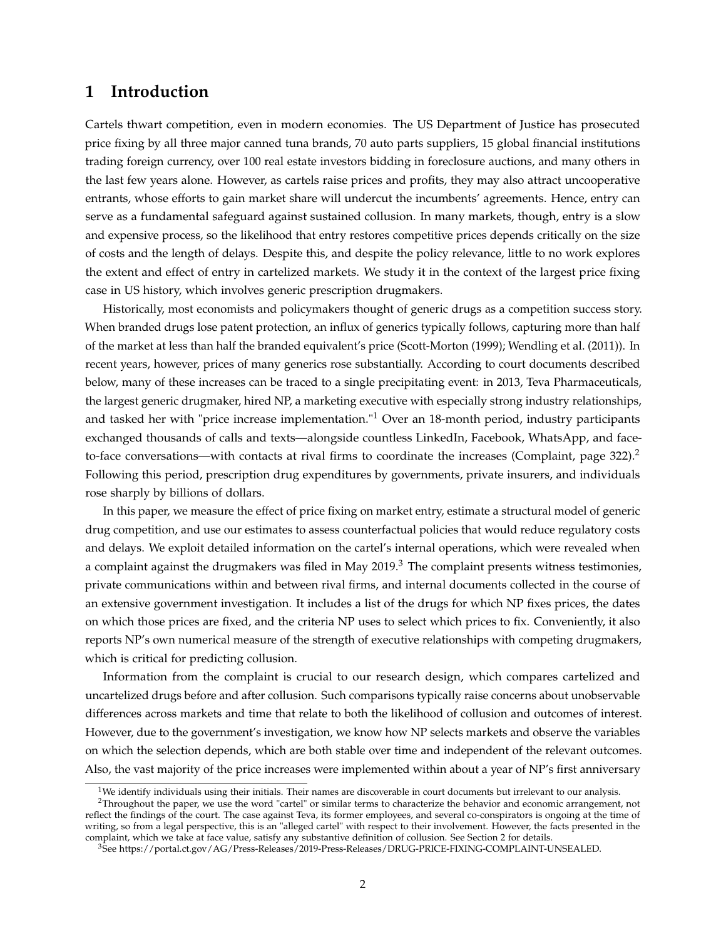### **1 Introduction**

Cartels thwart competition, even in modern economies. The US Department of Justice has prosecuted price fixing by all three major canned tuna brands, 70 auto parts suppliers, 15 global financial institutions trading foreign currency, over 100 real estate investors bidding in foreclosure auctions, and many others in the last few years alone. However, as cartels raise prices and profits, they may also attract uncooperative entrants, whose efforts to gain market share will undercut the incumbents' agreements. Hence, entry can serve as a fundamental safeguard against sustained collusion. In many markets, though, entry is a slow and expensive process, so the likelihood that entry restores competitive prices depends critically on the size of costs and the length of delays. Despite this, and despite the policy relevance, little to no work explores the extent and effect of entry in cartelized markets. We study it in the context of the largest price fixing case in US history, which involves generic prescription drugmakers.

Historically, most economists and policymakers thought of generic drugs as a competition success story. When branded drugs lose patent protection, an influx of generics typically follows, capturing more than half of the market at less than half the branded equivalent's price (Scott-Morton (1999); Wendling et al. (2011)). In recent years, however, prices of many generics rose substantially. According to court documents described below, many of these increases can be traced to a single precipitating event: in 2013, Teva Pharmaceuticals, the largest generic drugmaker, hired NP, a marketing executive with especially strong industry relationships, and tasked her with "price increase implementation."<sup>1</sup> Over an 18-month period, industry participants exchanged thousands of calls and texts—alongside countless LinkedIn, Facebook, WhatsApp, and faceto-face conversations—with contacts at rival firms to coordinate the increases (Complaint, page  $322$ ).<sup>2</sup> Following this period, prescription drug expenditures by governments, private insurers, and individuals rose sharply by billions of dollars.

In this paper, we measure the effect of price fixing on market entry, estimate a structural model of generic drug competition, and use our estimates to assess counterfactual policies that would reduce regulatory costs and delays. We exploit detailed information on the cartel's internal operations, which were revealed when a complaint against the drugmakers was filed in May 2019.<sup>3</sup> The complaint presents witness testimonies, private communications within and between rival firms, and internal documents collected in the course of an extensive government investigation. It includes a list of the drugs for which NP fixes prices, the dates on which those prices are fixed, and the criteria NP uses to select which prices to fix. Conveniently, it also reports NP's own numerical measure of the strength of executive relationships with competing drugmakers, which is critical for predicting collusion.

Information from the complaint is crucial to our research design, which compares cartelized and uncartelized drugs before and after collusion. Such comparisons typically raise concerns about unobservable differences across markets and time that relate to both the likelihood of collusion and outcomes of interest. However, due to the government's investigation, we know how NP selects markets and observe the variables on which the selection depends, which are both stable over time and independent of the relevant outcomes. Also, the vast majority of the price increases were implemented within about a year of NP's first anniversary

 $1$ We identify individuals using their initials. Their names are discoverable in court documents but irrelevant to our analysis.

 $2$ Throughout the paper, we use the word "cartel" or similar terms to characterize the behavior and economic arrangement, not reflect the findings of the court. The case against Teva, its former employees, and several co-conspirators is ongoing at the time of writing, so from a legal perspective, this is an "alleged cartel" with respect to their involvement. However, the facts presented in the complaint, which we take at face value, satisfy any substantive definition of collusion. See Section 2 for details.

<sup>3</sup>See https://portal.ct.gov/AG/Press-Releases/2019-Press-Releases/DRUG-PRICE-FIXING-COMPLAINT-UNSEALED.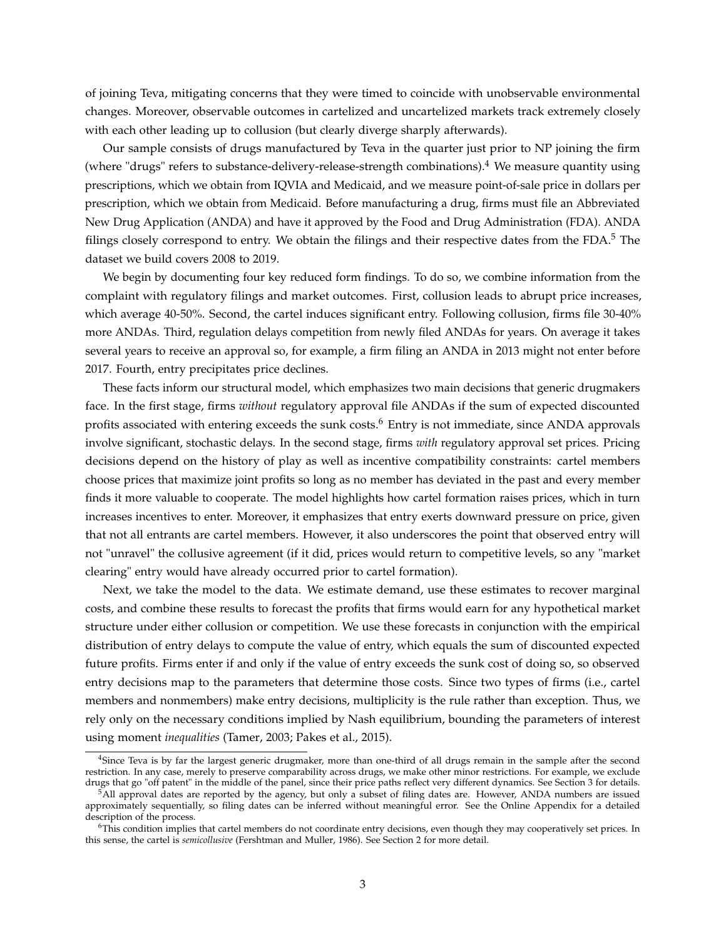of joining Teva, mitigating concerns that they were timed to coincide with unobservable environmental changes. Moreover, observable outcomes in cartelized and uncartelized markets track extremely closely with each other leading up to collusion (but clearly diverge sharply afterwards).

Our sample consists of drugs manufactured by Teva in the quarter just prior to NP joining the firm (where "drugs" refers to substance-delivery-release-strength combinations).<sup>4</sup> We measure quantity using prescriptions, which we obtain from IQVIA and Medicaid, and we measure point-of-sale price in dollars per prescription, which we obtain from Medicaid. Before manufacturing a drug, firms must file an Abbreviated New Drug Application (ANDA) and have it approved by the Food and Drug Administration (FDA). ANDA filings closely correspond to entry. We obtain the filings and their respective dates from the  $FDA$ <sup>5</sup>. The dataset we build covers 2008 to 2019.

We begin by documenting four key reduced form findings. To do so, we combine information from the complaint with regulatory filings and market outcomes. First, collusion leads to abrupt price increases, which average 40-50%. Second, the cartel induces significant entry. Following collusion, firms file 30-40% more ANDAs. Third, regulation delays competition from newly filed ANDAs for years. On average it takes several years to receive an approval so, for example, a firm filing an ANDA in 2013 might not enter before 2017. Fourth, entry precipitates price declines.

These facts inform our structural model, which emphasizes two main decisions that generic drugmakers face. In the first stage, firms *without* regulatory approval file ANDAs if the sum of expected discounted profits associated with entering exceeds the sunk costs.<sup>6</sup> Entry is not immediate, since ANDA approvals involve significant, stochastic delays. In the second stage, firms *with* regulatory approval set prices. Pricing decisions depend on the history of play as well as incentive compatibility constraints: cartel members choose prices that maximize joint profits so long as no member has deviated in the past and every member finds it more valuable to cooperate. The model highlights how cartel formation raises prices, which in turn increases incentives to enter. Moreover, it emphasizes that entry exerts downward pressure on price, given that not all entrants are cartel members. However, it also underscores the point that observed entry will not "unravel" the collusive agreement (if it did, prices would return to competitive levels, so any "market clearing" entry would have already occurred prior to cartel formation).

Next, we take the model to the data. We estimate demand, use these estimates to recover marginal costs, and combine these results to forecast the profits that firms would earn for any hypothetical market structure under either collusion or competition. We use these forecasts in conjunction with the empirical distribution of entry delays to compute the value of entry, which equals the sum of discounted expected future profits. Firms enter if and only if the value of entry exceeds the sunk cost of doing so, so observed entry decisions map to the parameters that determine those costs. Since two types of firms (i.e., cartel members and nonmembers) make entry decisions, multiplicity is the rule rather than exception. Thus, we rely only on the necessary conditions implied by Nash equilibrium, bounding the parameters of interest using moment *inequalities* (Tamer, 2003; Pakes et al., 2015).

<sup>4</sup>Since Teva is by far the largest generic drugmaker, more than one-third of all drugs remain in the sample after the second restriction. In any case, merely to preserve comparability across drugs, we make other minor restrictions. For example, we exclude drugs that go "off patent" in the middle of the panel, since their price paths reflect very different dynamics. See Section 3 for details.

<sup>5</sup>All approval dates are reported by the agency, but only a subset of filing dates are. However, ANDA numbers are issued approximately sequentially, so filing dates can be inferred without meaningful error. See the Online Appendix for a detailed description of the process.

<sup>6</sup>This condition implies that cartel members do not coordinate entry decisions, even though they may cooperatively set prices. In this sense, the cartel is *semicollusive* (Fershtman and Muller, 1986). See Section 2 for more detail.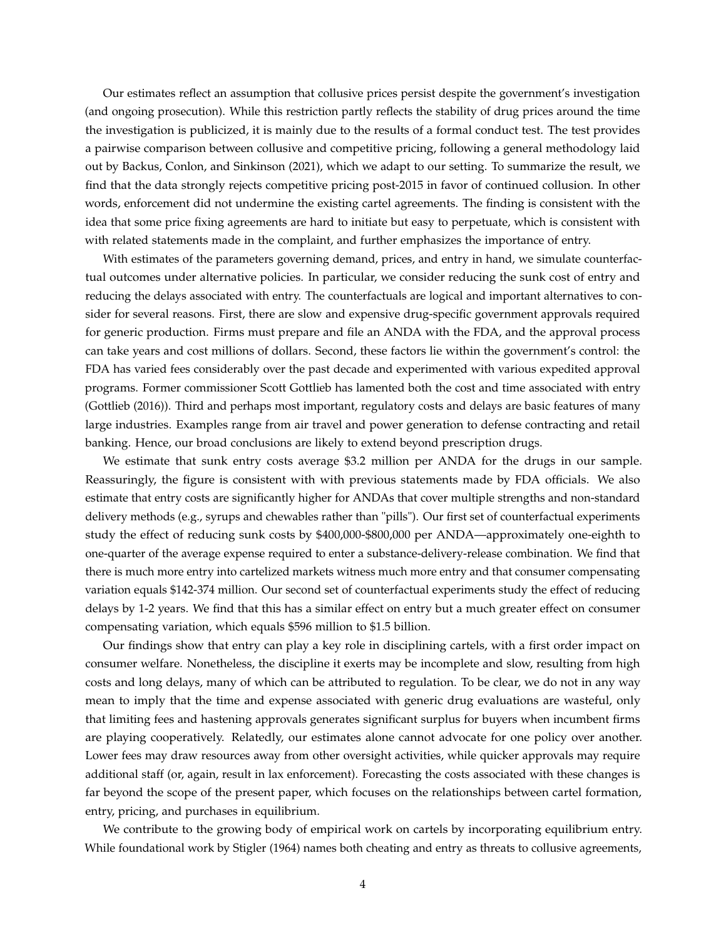Our estimates reflect an assumption that collusive prices persist despite the government's investigation (and ongoing prosecution). While this restriction partly reflects the stability of drug prices around the time the investigation is publicized, it is mainly due to the results of a formal conduct test. The test provides a pairwise comparison between collusive and competitive pricing, following a general methodology laid out by Backus, Conlon, and Sinkinson (2021), which we adapt to our setting. To summarize the result, we find that the data strongly rejects competitive pricing post-2015 in favor of continued collusion. In other words, enforcement did not undermine the existing cartel agreements. The finding is consistent with the idea that some price fixing agreements are hard to initiate but easy to perpetuate, which is consistent with with related statements made in the complaint, and further emphasizes the importance of entry.

With estimates of the parameters governing demand, prices, and entry in hand, we simulate counterfactual outcomes under alternative policies. In particular, we consider reducing the sunk cost of entry and reducing the delays associated with entry. The counterfactuals are logical and important alternatives to consider for several reasons. First, there are slow and expensive drug-specific government approvals required for generic production. Firms must prepare and file an ANDA with the FDA, and the approval process can take years and cost millions of dollars. Second, these factors lie within the government's control: the FDA has varied fees considerably over the past decade and experimented with various expedited approval programs. Former commissioner Scott Gottlieb has lamented both the cost and time associated with entry (Gottlieb (2016)). Third and perhaps most important, regulatory costs and delays are basic features of many large industries. Examples range from air travel and power generation to defense contracting and retail banking. Hence, our broad conclusions are likely to extend beyond prescription drugs.

We estimate that sunk entry costs average \$3.2 million per ANDA for the drugs in our sample. Reassuringly, the figure is consistent with with previous statements made by FDA officials. We also estimate that entry costs are significantly higher for ANDAs that cover multiple strengths and non-standard delivery methods (e.g., syrups and chewables rather than "pills"). Our first set of counterfactual experiments study the effect of reducing sunk costs by \$400,000-\$800,000 per ANDA—approximately one-eighth to one-quarter of the average expense required to enter a substance-delivery-release combination. We find that there is much more entry into cartelized markets witness much more entry and that consumer compensating variation equals \$142-374 million. Our second set of counterfactual experiments study the effect of reducing delays by 1-2 years. We find that this has a similar effect on entry but a much greater effect on consumer compensating variation, which equals \$596 million to \$1.5 billion.

Our findings show that entry can play a key role in disciplining cartels, with a first order impact on consumer welfare. Nonetheless, the discipline it exerts may be incomplete and slow, resulting from high costs and long delays, many of which can be attributed to regulation. To be clear, we do not in any way mean to imply that the time and expense associated with generic drug evaluations are wasteful, only that limiting fees and hastening approvals generates significant surplus for buyers when incumbent firms are playing cooperatively. Relatedly, our estimates alone cannot advocate for one policy over another. Lower fees may draw resources away from other oversight activities, while quicker approvals may require additional staff (or, again, result in lax enforcement). Forecasting the costs associated with these changes is far beyond the scope of the present paper, which focuses on the relationships between cartel formation, entry, pricing, and purchases in equilibrium.

We contribute to the growing body of empirical work on cartels by incorporating equilibrium entry. While foundational work by Stigler (1964) names both cheating and entry as threats to collusive agreements,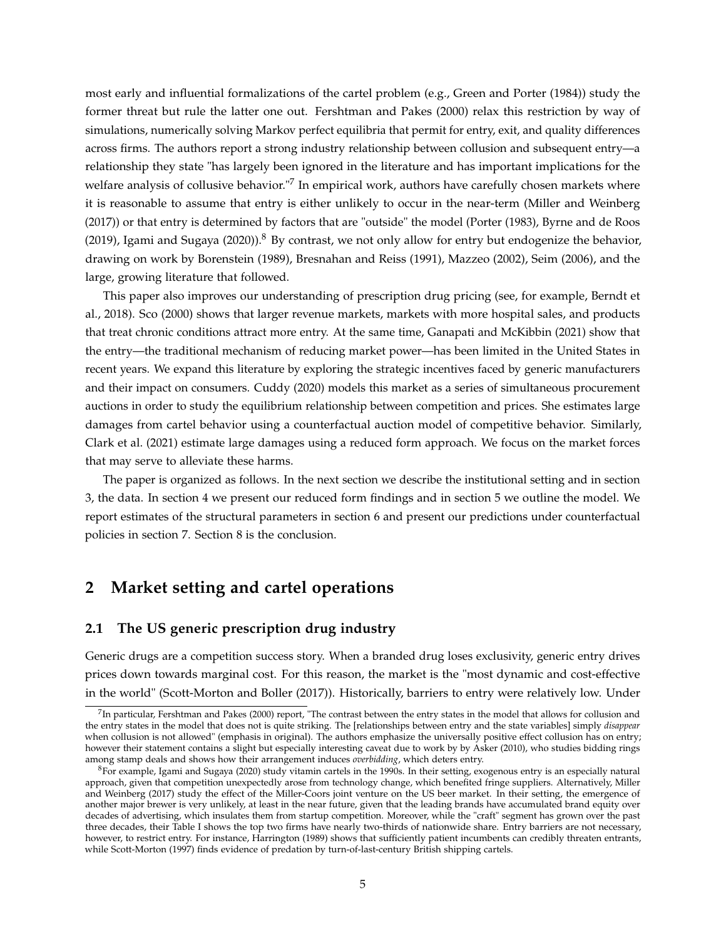most early and influential formalizations of the cartel problem (e.g., Green and Porter (1984)) study the former threat but rule the latter one out. Fershtman and Pakes (2000) relax this restriction by way of simulations, numerically solving Markov perfect equilibria that permit for entry, exit, and quality differences across firms. The authors report a strong industry relationship between collusion and subsequent entry—a relationship they state "has largely been ignored in the literature and has important implications for the welfare analysis of collusive behavior."<sup>7</sup> In empirical work, authors have carefully chosen markets where it is reasonable to assume that entry is either unlikely to occur in the near-term (Miller and Weinberg (2017)) or that entry is determined by factors that are "outside" the model (Porter (1983), Byrne and de Roos (2019), Igami and Sugaya (2020)).<sup>8</sup> By contrast, we not only allow for entry but endogenize the behavior, drawing on work by Borenstein (1989), Bresnahan and Reiss (1991), Mazzeo (2002), Seim (2006), and the large, growing literature that followed.

This paper also improves our understanding of prescription drug pricing (see, for example, Berndt et al., 2018). Sco (2000) shows that larger revenue markets, markets with more hospital sales, and products that treat chronic conditions attract more entry. At the same time, Ganapati and McKibbin (2021) show that the entry—the traditional mechanism of reducing market power—has been limited in the United States in recent years. We expand this literature by exploring the strategic incentives faced by generic manufacturers and their impact on consumers. Cuddy (2020) models this market as a series of simultaneous procurement auctions in order to study the equilibrium relationship between competition and prices. She estimates large damages from cartel behavior using a counterfactual auction model of competitive behavior. Similarly, Clark et al. (2021) estimate large damages using a reduced form approach. We focus on the market forces that may serve to alleviate these harms.

The paper is organized as follows. In the next section we describe the institutional setting and in section 3, the data. In section 4 we present our reduced form findings and in section 5 we outline the model. We report estimates of the structural parameters in section 6 and present our predictions under counterfactual policies in section 7. Section 8 is the conclusion.

## **2 Market setting and cartel operations**

### **2.1 The US generic prescription drug industry**

Generic drugs are a competition success story. When a branded drug loses exclusivity, generic entry drives prices down towards marginal cost. For this reason, the market is the "most dynamic and cost-effective in the world" (Scott-Morton and Boller (2017)). Historically, barriers to entry were relatively low. Under

 $^{7}$ In particular, Fershtman and Pakes (2000) report, "The contrast between the entry states in the model that allows for collusion and the entry states in the model that does not is quite striking. The [relationships between entry and the state variables] simply *disappear* when collusion is not allowed" (emphasis in original). The authors emphasize the universally positive effect collusion has on entry; however their statement contains a slight but especially interesting caveat due to work by by Asker (2010), who studies bidding rings among stamp deals and shows how their arrangement induces *overbidding*, which deters entry.

<sup>8</sup>For example, Igami and Sugaya (2020) study vitamin cartels in the 1990s. In their setting, exogenous entry is an especially natural approach, given that competition unexpectedly arose from technology change, which benefited fringe suppliers. Alternatively, Miller and Weinberg (2017) study the effect of the Miller-Coors joint venture on the US beer market. In their setting, the emergence of another major brewer is very unlikely, at least in the near future, given that the leading brands have accumulated brand equity over decades of advertising, which insulates them from startup competition. Moreover, while the "craft" segment has grown over the past three decades, their Table I shows the top two firms have nearly two-thirds of nationwide share. Entry barriers are not necessary, however, to restrict entry. For instance, Harrington (1989) shows that sufficiently patient incumbents can credibly threaten entrants, while Scott-Morton (1997) finds evidence of predation by turn-of-last-century British shipping cartels.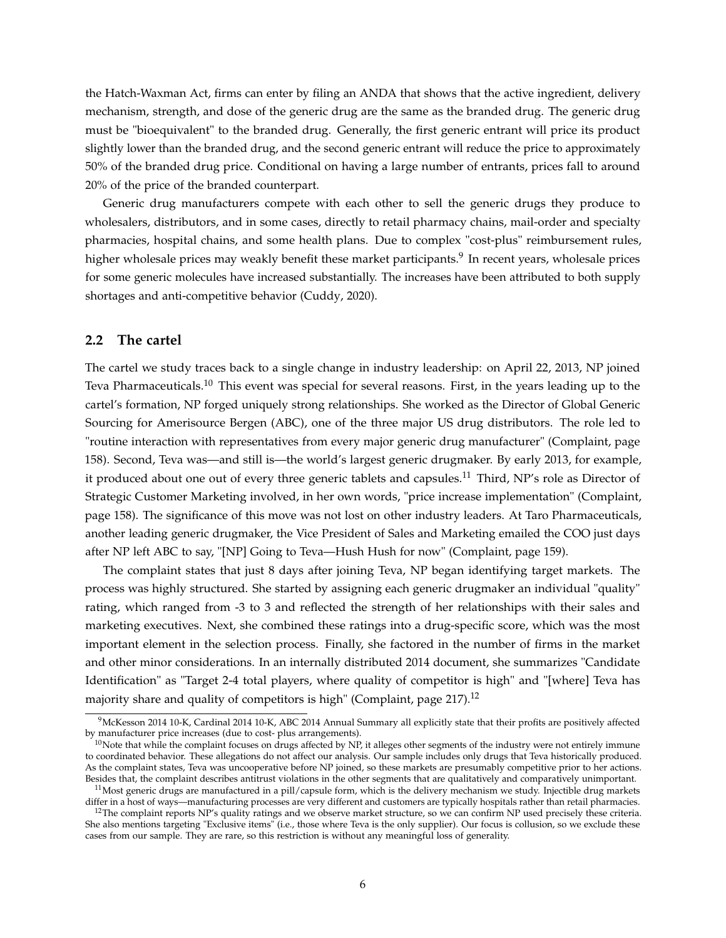the Hatch-Waxman Act, firms can enter by filing an ANDA that shows that the active ingredient, delivery mechanism, strength, and dose of the generic drug are the same as the branded drug. The generic drug must be "bioequivalent" to the branded drug. Generally, the first generic entrant will price its product slightly lower than the branded drug, and the second generic entrant will reduce the price to approximately 50% of the branded drug price. Conditional on having a large number of entrants, prices fall to around 20% of the price of the branded counterpart.

Generic drug manufacturers compete with each other to sell the generic drugs they produce to wholesalers, distributors, and in some cases, directly to retail pharmacy chains, mail-order and specialty pharmacies, hospital chains, and some health plans. Due to complex "cost-plus" reimbursement rules, higher wholesale prices may weakly benefit these market participants.<sup>9</sup> In recent years, wholesale prices for some generic molecules have increased substantially. The increases have been attributed to both supply shortages and anti-competitive behavior (Cuddy, 2020).

#### **2.2 The cartel**

The cartel we study traces back to a single change in industry leadership: on April 22, 2013, NP joined Teva Pharmaceuticals.<sup>10</sup> This event was special for several reasons. First, in the years leading up to the cartel's formation, NP forged uniquely strong relationships. She worked as the Director of Global Generic Sourcing for Amerisource Bergen (ABC), one of the three major US drug distributors. The role led to "routine interaction with representatives from every major generic drug manufacturer" (Complaint, page 158). Second, Teva was—and still is—the world's largest generic drugmaker. By early 2013, for example, it produced about one out of every three generic tablets and capsules.<sup>11</sup> Third, NP's role as Director of Strategic Customer Marketing involved, in her own words, "price increase implementation" (Complaint, page 158). The significance of this move was not lost on other industry leaders. At Taro Pharmaceuticals, another leading generic drugmaker, the Vice President of Sales and Marketing emailed the COO just days after NP left ABC to say, "[NP] Going to Teva—Hush Hush for now" (Complaint, page 159).

The complaint states that just 8 days after joining Teva, NP began identifying target markets. The process was highly structured. She started by assigning each generic drugmaker an individual "quality" rating, which ranged from -3 to 3 and reflected the strength of her relationships with their sales and marketing executives. Next, she combined these ratings into a drug-specific score, which was the most important element in the selection process. Finally, she factored in the number of firms in the market and other minor considerations. In an internally distributed 2014 document, she summarizes "Candidate Identification" as "Target 2-4 total players, where quality of competitor is high" and "[where] Teva has majority share and quality of competitors is high" (Complaint, page 217).<sup>12</sup>

<sup>9</sup>McKesson 2014 10-K, Cardinal 2014 10-K, ABC 2014 Annual Summary all explicitly state that their profits are positively affected by manufacturer price increases (due to cost- plus arrangements).

 $10$ Note that while the complaint focuses on drugs affected by NP, it alleges other segments of the industry were not entirely immune to coordinated behavior. These allegations do not affect our analysis. Our sample includes only drugs that Teva historically produced. As the complaint states, Teva was uncooperative before NP joined, so these markets are presumably competitive prior to her actions. Besides that, the complaint describes antitrust violations in the other segments that are qualitatively and comparatively unimportant.

 $11$ Most generic drugs are manufactured in a pill/capsule form, which is the delivery mechanism we study. Injectible drug markets differ in a host of ways—manufacturing processes are very different and customers are typically hospitals rather than retail pharmacies.

<sup>&</sup>lt;sup>12</sup>The complaint reports NP's quality ratings and we observe market structure, so we can confirm NP used precisely these criteria. She also mentions targeting "Exclusive items" (i.e., those where Teva is the only supplier). Our focus is collusion, so we exclude these cases from our sample. They are rare, so this restriction is without any meaningful loss of generality.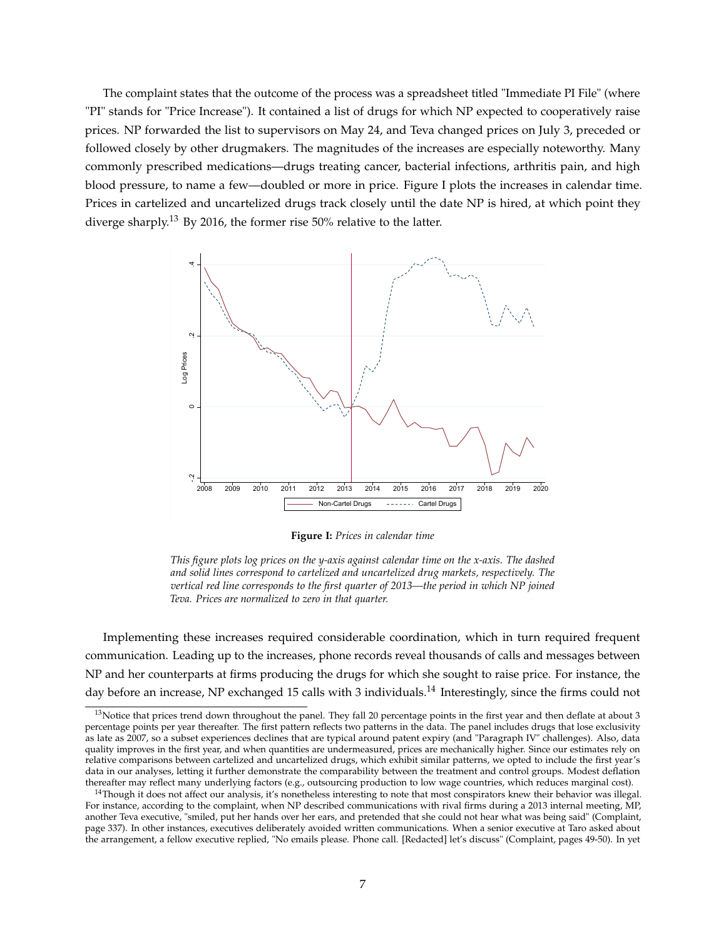The complaint states that the outcome of the process was a spreadsheet titled "Immediate PI File" (where "PI" stands for "Price Increase"). It contained a list of drugs for which NP expected to cooperatively raise prices. NP forwarded the list to supervisors on May 24, and Teva changed prices on July 3, preceded or followed closely by other drugmakers. The magnitudes of the increases are especially noteworthy. Many commonly prescribed medications—drugs treating cancer, bacterial infections, arthritis pain, and high blood pressure, to name a few—doubled or more in price. Figure I plots the increases in calendar time. Prices in cartelized and uncartelized drugs track closely until the date NP is hired, at which point they diverge sharply.<sup>13</sup> By 2016, the former rise 50% relative to the latter.



**Figure I:** *Prices in calendar time*

*This figure plots log prices on the y-axis against calendar time on the x-axis. The dashed and solid lines correspond to cartelized and uncartelized drug markets, respectively. The vertical red line corresponds to the first quarter of 2013—the period in which NP joined Teva. Prices are normalized to zero in that quarter.*

Implementing these increases required considerable coordination, which in turn required frequent communication. Leading up to the increases, phone records reveal thousands of calls and messages between NP and her counterparts at firms producing the drugs for which she sought to raise price. For instance, the day before an increase, NP exchanged 15 calls with 3 individuals.<sup>14</sup> Interestingly, since the firms could not

<sup>&</sup>lt;sup>13</sup>Notice that prices trend down throughout the panel. They fall 20 percentage points in the first year and then deflate at about 3 percentage points per year thereafter. The first pattern reflects two patterns in the data. The panel includes drugs that lose exclusivity as late as 2007, so a subset experiences declines that are typical around patent expiry (and "Paragraph IV" challenges). Also, data quality improves in the first year, and when quantities are undermeasured, prices are mechanically higher. Since our estimates rely on relative comparisons between cartelized and uncartelized drugs, which exhibit similar patterns, we opted to include the first year's data in our analyses, letting it further demonstrate the comparability between the treatment and control groups. Modest deflation thereafter may reflect many underlying factors (e.g., outsourcing production to low wage countries, which reduces marginal cost).

 $14$ Though it does not affect our analysis, it's nonetheless interesting to note that most conspirators knew their behavior was illegal. For instance, according to the complaint, when NP described communications with rival firms during a 2013 internal meeting, MP, another Teva executive, "smiled, put her hands over her ears, and pretended that she could not hear what was being said" (Complaint, page 337). In other instances, executives deliberately avoided written communications. When a senior executive at Taro asked about the arrangement, a fellow executive replied, "No emails please. Phone call. [Redacted] let's discuss" (Complaint, pages 49-50). In yet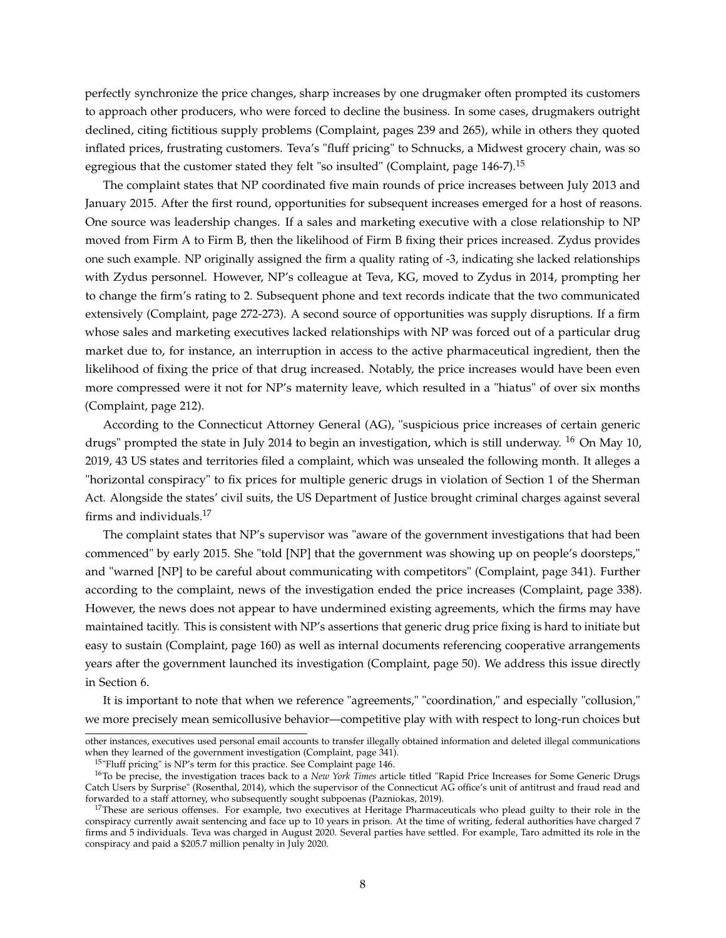perfectly synchronize the price changes, sharp increases by one drugmaker often prompted its customers to approach other producers, who were forced to decline the business. In some cases, drugmakers outright declined, citing fictitious supply problems (Complaint, pages 239 and 265), while in others they quoted inflated prices, frustrating customers. Teva's "fluff pricing" to Schnucks, a Midwest grocery chain, was so egregious that the customer stated they felt "so insulted" (Complaint, page 146-7).<sup>15</sup>

The complaint states that NP coordinated five main rounds of price increases between July 2013 and January 2015. After the first round, opportunities for subsequent increases emerged for a host of reasons. One source was leadership changes. If a sales and marketing executive with a close relationship to NP moved from Firm A to Firm B, then the likelihood of Firm B fixing their prices increased. Zydus provides one such example. NP originally assigned the firm a quality rating of -3, indicating she lacked relationships with Zydus personnel. However, NP's colleague at Teva, KG, moved to Zydus in 2014, prompting her to change the firm's rating to 2. Subsequent phone and text records indicate that the two communicated extensively (Complaint, page 272-273). A second source of opportunities was supply disruptions. If a firm whose sales and marketing executives lacked relationships with NP was forced out of a particular drug market due to, for instance, an interruption in access to the active pharmaceutical ingredient, then the likelihood of fixing the price of that drug increased. Notably, the price increases would have been even more compressed were it not for NP's maternity leave, which resulted in a "hiatus" of over six months (Complaint, page 212).

According to the Connecticut Attorney General (AG), "suspicious price increases of certain generic drugs" prompted the state in July 2014 to begin an investigation, which is still underway. <sup>16</sup> On May 10, 2019, 43 US states and territories filed a complaint, which was unsealed the following month. It alleges a "horizontal conspiracy" to fix prices for multiple generic drugs in violation of Section 1 of the Sherman Act. Alongside the states' civil suits, the US Department of Justice brought criminal charges against several firms and individuals.<sup>17</sup>

The complaint states that NP's supervisor was "aware of the government investigations that had been commenced" by early 2015. She "told [NP] that the government was showing up on people's doorsteps," and "warned [NP] to be careful about communicating with competitors" (Complaint, page 341). Further according to the complaint, news of the investigation ended the price increases (Complaint, page 338). However, the news does not appear to have undermined existing agreements, which the firms may have maintained tacitly. This is consistent with NP's assertions that generic drug price fixing is hard to initiate but easy to sustain (Complaint, page 160) as well as internal documents referencing cooperative arrangements years after the government launched its investigation (Complaint, page 50). We address this issue directly in Section 6.

It is important to note that when we reference "agreements," "coordination," and especially "collusion," we more precisely mean semicollusive behavior—competitive play with with respect to long-run choices but

other instances, executives used personal email accounts to transfer illegally obtained information and deleted illegal communications when they learned of the government investigation (Complaint, page 341).

<sup>&</sup>lt;sup>15</sup>"Fluff pricing" is NP's term for this practice. See Complaint page 146.

<sup>16</sup>To be precise, the investigation traces back to a *New York Times* article titled "Rapid Price Increases for Some Generic Drugs Catch Users by Surprise" (Rosenthal, 2014), which the supervisor of the Connecticut AG office's unit of antitrust and fraud read and forwarded to a staff attorney, who subsequently sought subpoenas (Pazniokas, 2019).

<sup>&</sup>lt;sup>17</sup>These are serious offenses. For example, two executives at Heritage Pharmaceuticals who plead guilty to their role in the conspiracy currently await sentencing and face up to 10 years in prison. At the time of writing, federal authorities have charged 7 firms and 5 individuals. Teva was charged in August 2020. Several parties have settled. For example, Taro admitted its role in the conspiracy and paid a \$205.7 million penalty in July 2020.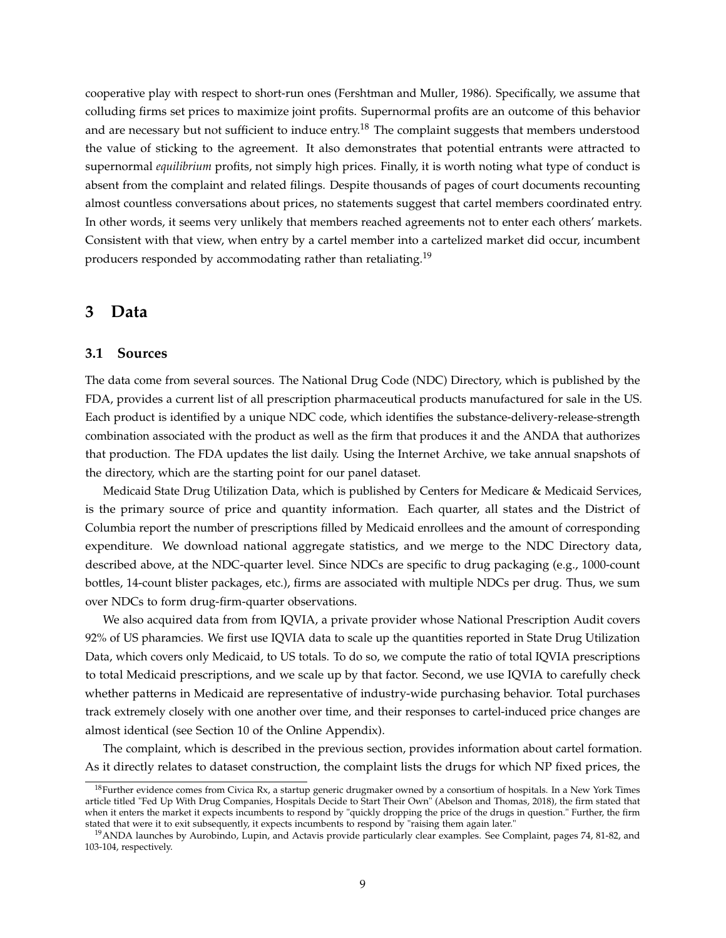cooperative play with respect to short-run ones (Fershtman and Muller, 1986). Specifically, we assume that colluding firms set prices to maximize joint profits. Supernormal profits are an outcome of this behavior and are necessary but not sufficient to induce entry.<sup>18</sup> The complaint suggests that members understood the value of sticking to the agreement. It also demonstrates that potential entrants were attracted to supernormal *equilibrium* profits, not simply high prices. Finally, it is worth noting what type of conduct is absent from the complaint and related filings. Despite thousands of pages of court documents recounting almost countless conversations about prices, no statements suggest that cartel members coordinated entry. In other words, it seems very unlikely that members reached agreements not to enter each others' markets. Consistent with that view, when entry by a cartel member into a cartelized market did occur, incumbent producers responded by accommodating rather than retaliating.<sup>19</sup>

### **3 Data**

#### **3.1 Sources**

The data come from several sources. The National Drug Code (NDC) Directory, which is published by the FDA, provides a current list of all prescription pharmaceutical products manufactured for sale in the US. Each product is identified by a unique NDC code, which identifies the substance-delivery-release-strength combination associated with the product as well as the firm that produces it and the ANDA that authorizes that production. The FDA updates the list daily. Using the Internet Archive, we take annual snapshots of the directory, which are the starting point for our panel dataset.

Medicaid State Drug Utilization Data, which is published by Centers for Medicare & Medicaid Services, is the primary source of price and quantity information. Each quarter, all states and the District of Columbia report the number of prescriptions filled by Medicaid enrollees and the amount of corresponding expenditure. We download national aggregate statistics, and we merge to the NDC Directory data, described above, at the NDC-quarter level. Since NDCs are specific to drug packaging (e.g., 1000-count bottles, 14-count blister packages, etc.), firms are associated with multiple NDCs per drug. Thus, we sum over NDCs to form drug-firm-quarter observations.

We also acquired data from from IQVIA, a private provider whose National Prescription Audit covers 92% of US pharamcies. We first use IQVIA data to scale up the quantities reported in State Drug Utilization Data, which covers only Medicaid, to US totals. To do so, we compute the ratio of total IQVIA prescriptions to total Medicaid prescriptions, and we scale up by that factor. Second, we use IQVIA to carefully check whether patterns in Medicaid are representative of industry-wide purchasing behavior. Total purchases track extremely closely with one another over time, and their responses to cartel-induced price changes are almost identical (see Section 10 of the Online Appendix).

The complaint, which is described in the previous section, provides information about cartel formation. As it directly relates to dataset construction, the complaint lists the drugs for which NP fixed prices, the

<sup>&</sup>lt;sup>18</sup>Further evidence comes from Civica Rx, a startup generic drugmaker owned by a consortium of hospitals. In a New York Times article titled "Fed Up With Drug Companies, Hospitals Decide to Start Their Own" (Abelson and Thomas, 2018), the firm stated that when it enters the market it expects incumbents to respond by "quickly dropping the price of the drugs in question." Further, the firm stated that were it to exit subsequently, it expects incumbents to respond by "raising them again later."

<sup>19</sup>ANDA launches by Aurobindo, Lupin, and Actavis provide particularly clear examples. See Complaint, pages 74, 81-82, and 103-104, respectively.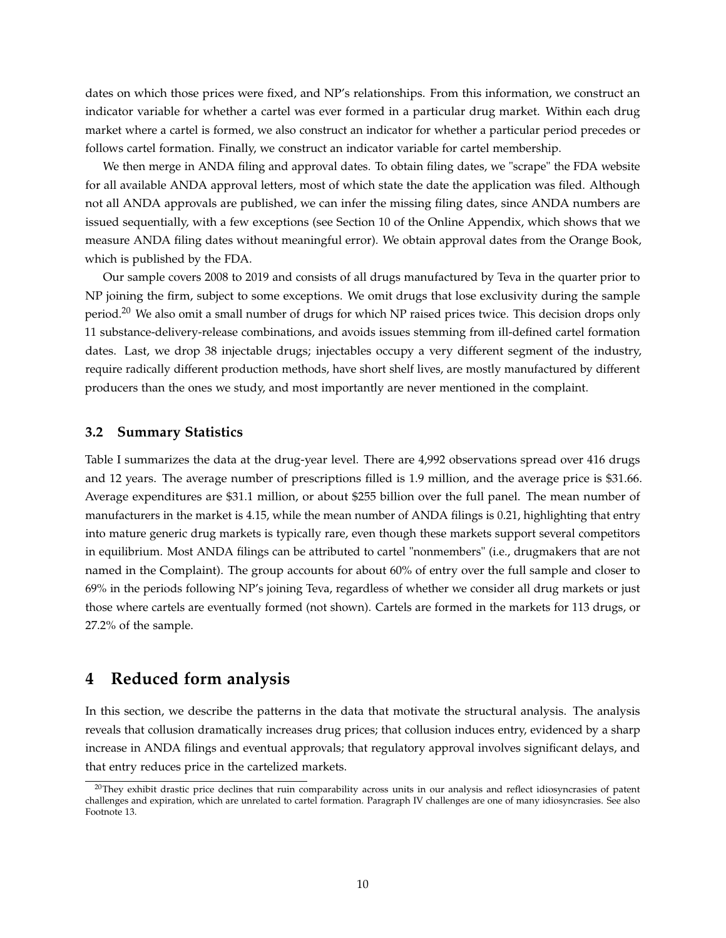dates on which those prices were fixed, and NP's relationships. From this information, we construct an indicator variable for whether a cartel was ever formed in a particular drug market. Within each drug market where a cartel is formed, we also construct an indicator for whether a particular period precedes or follows cartel formation. Finally, we construct an indicator variable for cartel membership.

We then merge in ANDA filing and approval dates. To obtain filing dates, we "scrape" the FDA website for all available ANDA approval letters, most of which state the date the application was filed. Although not all ANDA approvals are published, we can infer the missing filing dates, since ANDA numbers are issued sequentially, with a few exceptions (see Section 10 of the Online Appendix, which shows that we measure ANDA filing dates without meaningful error). We obtain approval dates from the Orange Book, which is published by the FDA.

Our sample covers 2008 to 2019 and consists of all drugs manufactured by Teva in the quarter prior to NP joining the firm, subject to some exceptions. We omit drugs that lose exclusivity during the sample period.<sup>20</sup> We also omit a small number of drugs for which NP raised prices twice. This decision drops only 11 substance-delivery-release combinations, and avoids issues stemming from ill-defined cartel formation dates. Last, we drop 38 injectable drugs; injectables occupy a very different segment of the industry, require radically different production methods, have short shelf lives, are mostly manufactured by different producers than the ones we study, and most importantly are never mentioned in the complaint.

#### **3.2 Summary Statistics**

Table I summarizes the data at the drug-year level. There are 4,992 observations spread over 416 drugs and 12 years. The average number of prescriptions filled is 1.9 million, and the average price is \$31.66. Average expenditures are \$31.1 million, or about \$255 billion over the full panel. The mean number of manufacturers in the market is 4.15, while the mean number of ANDA filings is 0.21, highlighting that entry into mature generic drug markets is typically rare, even though these markets support several competitors in equilibrium. Most ANDA filings can be attributed to cartel "nonmembers" (i.e., drugmakers that are not named in the Complaint). The group accounts for about 60% of entry over the full sample and closer to 69% in the periods following NP's joining Teva, regardless of whether we consider all drug markets or just those where cartels are eventually formed (not shown). Cartels are formed in the markets for 113 drugs, or 27.2% of the sample.

### **4 Reduced form analysis**

In this section, we describe the patterns in the data that motivate the structural analysis. The analysis reveals that collusion dramatically increases drug prices; that collusion induces entry, evidenced by a sharp increase in ANDA filings and eventual approvals; that regulatory approval involves significant delays, and that entry reduces price in the cartelized markets.

<sup>&</sup>lt;sup>20</sup>They exhibit drastic price declines that ruin comparability across units in our analysis and reflect idiosyncrasies of patent challenges and expiration, which are unrelated to cartel formation. Paragraph IV challenges are one of many idiosyncrasies. See also Footnote 13.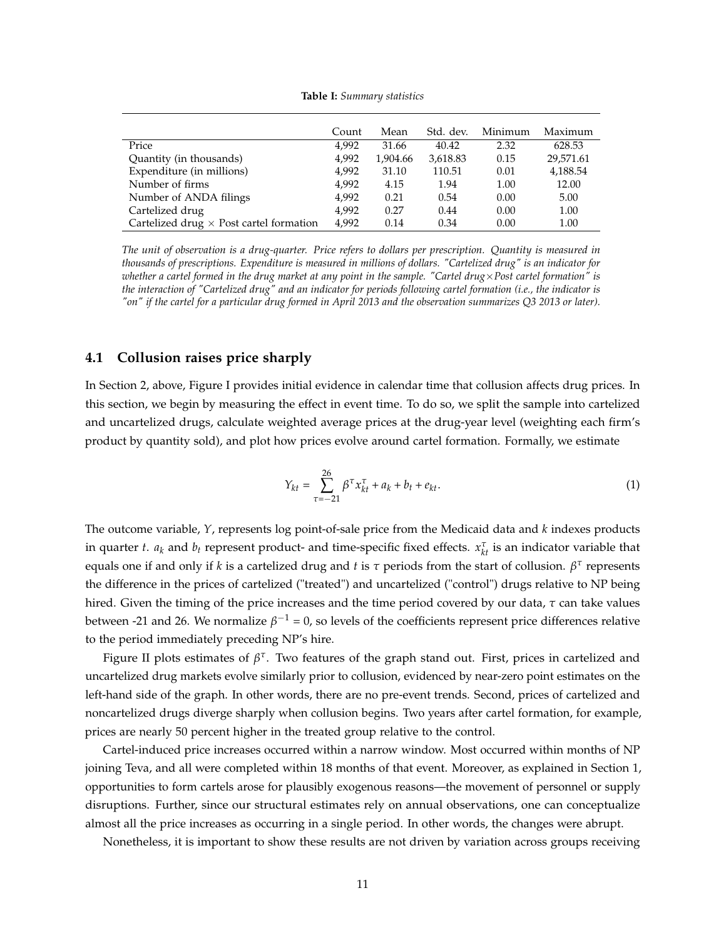**Table I:** *Summary statistics*

|                                                | Count | Mean     | Std. dev. | Minimum | Maximum   |
|------------------------------------------------|-------|----------|-----------|---------|-----------|
| Price                                          | 4.992 | 31.66    | 40.42     | 2.32    | 628.53    |
| Quantity (in thousands)                        | 4.992 | 1,904.66 | 3,618.83  | 0.15    | 29,571.61 |
| Expenditure (in millions)                      | 4.992 | 31.10    | 110.51    | 0.01    | 4,188.54  |
| Number of firms                                | 4.992 | 4.15     | 1.94      | 1.00    | 12.00     |
| Number of ANDA filings                         | 4.992 | 0.21     | 0.54      | 0.00    | 5.00      |
| Cartelized drug                                | 4.992 | 0.27     | 0.44      | 0.00    | 1.00      |
| Cartelized drug $\times$ Post cartel formation | 4,992 | 0.14     | 0.34      | 0.00    | 1.00      |

*The unit of observation is a drug-quarter. Price refers to dollars per prescription. Quantity is measured in thousands of prescriptions. Expenditure is measured in millions of dollars. "Cartelized drug" is an indicator for whether a cartel formed in the drug market at any point in the sample. "Cartel drug*×*Post cartel formation" is the interaction of "Cartelized drug" and an indicator for periods following cartel formation (i.e., the indicator is "on" if the cartel for a particular drug formed in April 2013 and the observation summarizes Q3 2013 or later).*

#### **4.1 Collusion raises price sharply**

In Section 2, above, Figure I provides initial evidence in calendar time that collusion affects drug prices. In this section, we begin by measuring the effect in event time. To do so, we split the sample into cartelized and uncartelized drugs, calculate weighted average prices at the drug-year level (weighting each firm's product by quantity sold), and plot how prices evolve around cartel formation. Formally, we estimate

$$
Y_{kt} = \sum_{\tau=-21}^{26} \beta^{\tau} x_{kt}^{\tau} + a_k + b_t + e_{kt}.
$$
 (1)

The outcome variable, *Y*, represents log point-of-sale price from the Medicaid data and *k* indexes products in quarter *t*.  $a_k$  and  $b_t$  represent product- and time-specific fixed effects.  $x_{kt}^{\tau}$  is an indicator variable that equals one if and only if *k* is a cartelized drug and *t* is *τ* periods from the start of collusion. *β τ* represents the difference in the prices of cartelized ("treated") and uncartelized ("control") drugs relative to NP being hired. Given the timing of the price increases and the time period covered by our data, *τ* can take values between -21 and 26. We normalize  $\beta^{-1}$  = 0, so levels of the coefficients represent price differences relative to the period immediately preceding NP's hire.

Figure II plots estimates of  $\beta^{\tau}$ . Two features of the graph stand out. First, prices in cartelized and uncartelized drug markets evolve similarly prior to collusion, evidenced by near-zero point estimates on the left-hand side of the graph. In other words, there are no pre-event trends. Second, prices of cartelized and noncartelized drugs diverge sharply when collusion begins. Two years after cartel formation, for example, prices are nearly 50 percent higher in the treated group relative to the control.

Cartel-induced price increases occurred within a narrow window. Most occurred within months of NP joining Teva, and all were completed within 18 months of that event. Moreover, as explained in Section 1, opportunities to form cartels arose for plausibly exogenous reasons—the movement of personnel or supply disruptions. Further, since our structural estimates rely on annual observations, one can conceptualize almost all the price increases as occurring in a single period. In other words, the changes were abrupt.

Nonetheless, it is important to show these results are not driven by variation across groups receiving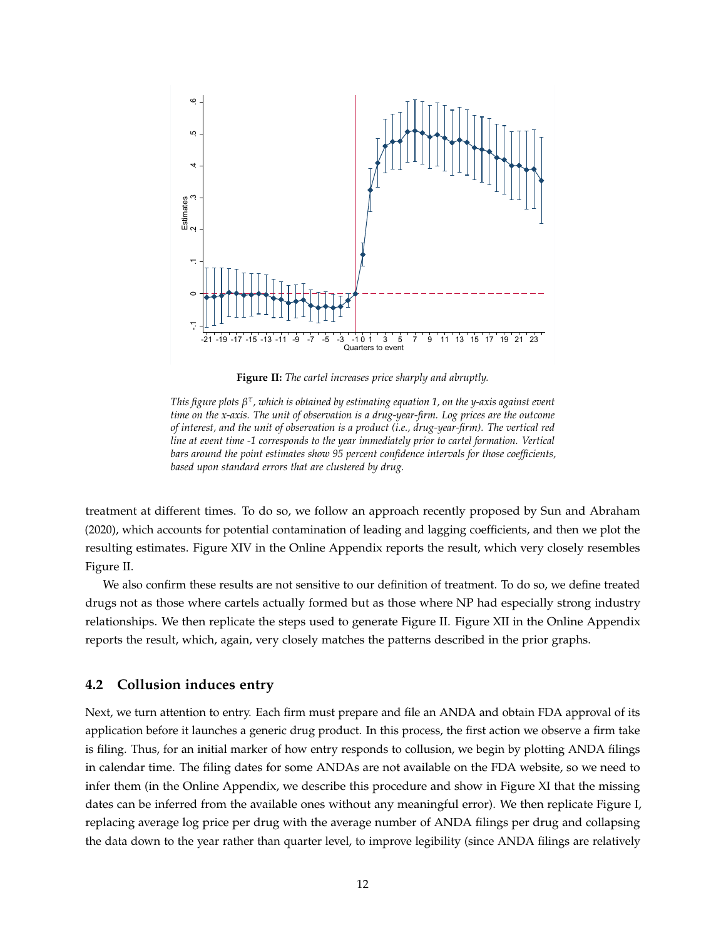

**Figure II:** *The cartel increases price sharply and abruptly.*

*This figure plots β τ , which is obtained by estimating equation 1, on the y-axis against event time on the x-axis. The unit of observation is a drug-year-firm. Log prices are the outcome of interest, and the unit of observation is a product (i.e., drug-year-firm). The vertical red line at event time -1 corresponds to the year immediately prior to cartel formation. Vertical bars around the point estimates show 95 percent confidence intervals for those coefficients, based upon standard errors that are clustered by drug.*

treatment at different times. To do so, we follow an approach recently proposed by Sun and Abraham (2020), which accounts for potential contamination of leading and lagging coefficients, and then we plot the resulting estimates. Figure XIV in the Online Appendix reports the result, which very closely resembles Figure II.

We also confirm these results are not sensitive to our definition of treatment. To do so, we define treated drugs not as those where cartels actually formed but as those where NP had especially strong industry relationships. We then replicate the steps used to generate Figure II. Figure XII in the Online Appendix reports the result, which, again, very closely matches the patterns described in the prior graphs.

#### **4.2 Collusion induces entry**

Next, we turn attention to entry. Each firm must prepare and file an ANDA and obtain FDA approval of its application before it launches a generic drug product. In this process, the first action we observe a firm take is filing. Thus, for an initial marker of how entry responds to collusion, we begin by plotting ANDA filings in calendar time. The filing dates for some ANDAs are not available on the FDA website, so we need to infer them (in the Online Appendix, we describe this procedure and show in Figure XI that the missing dates can be inferred from the available ones without any meaningful error). We then replicate Figure I, replacing average log price per drug with the average number of ANDA filings per drug and collapsing the data down to the year rather than quarter level, to improve legibility (since ANDA filings are relatively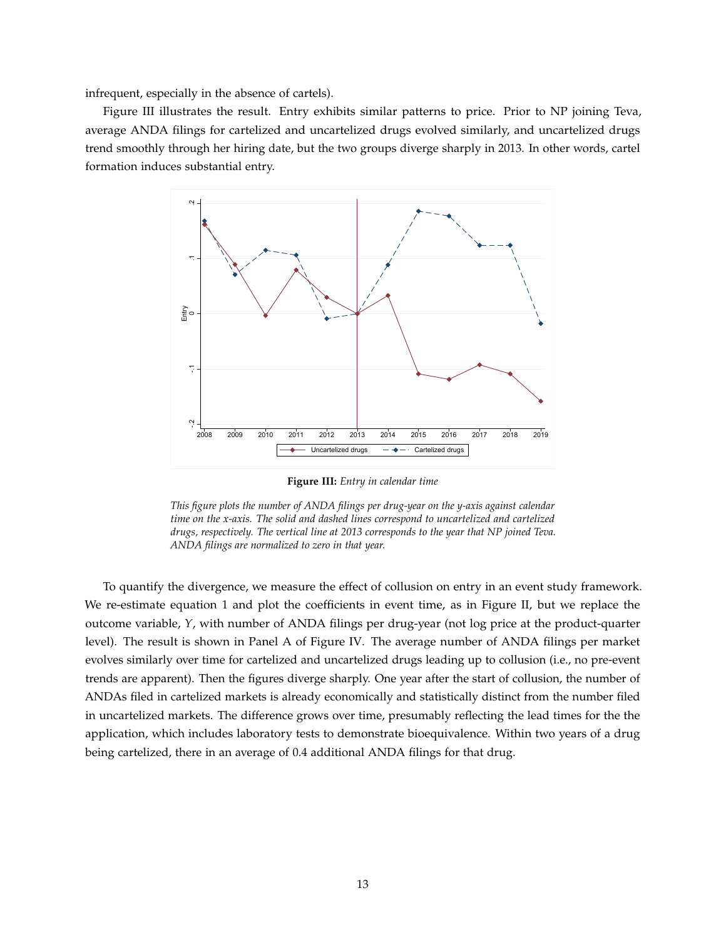infrequent, especially in the absence of cartels).

Figure III illustrates the result. Entry exhibits similar patterns to price. Prior to NP joining Teva, average ANDA filings for cartelized and uncartelized drugs evolved similarly, and uncartelized drugs trend smoothly through her hiring date, but the two groups diverge sharply in 2013. In other words, cartel formation induces substantial entry.



**Figure III:** *Entry in calendar time*

*This figure plots the number of ANDA filings per drug-year on the y-axis against calendar time on the x-axis. The solid and dashed lines correspond to uncartelized and cartelized drugs, respectively. The vertical line at 2013 corresponds to the year that NP joined Teva. ANDA filings are normalized to zero in that year.*

To quantify the divergence, we measure the effect of collusion on entry in an event study framework. We re-estimate equation 1 and plot the coefficients in event time, as in Figure II, but we replace the outcome variable, *Y*, with number of ANDA filings per drug-year (not log price at the product-quarter level). The result is shown in Panel A of Figure IV. The average number of ANDA filings per market evolves similarly over time for cartelized and uncartelized drugs leading up to collusion (i.e., no pre-event trends are apparent). Then the figures diverge sharply. One year after the start of collusion, the number of ANDAs filed in cartelized markets is already economically and statistically distinct from the number filed in uncartelized markets. The difference grows over time, presumably reflecting the lead times for the the application, which includes laboratory tests to demonstrate bioequivalence. Within two years of a drug being cartelized, there in an average of 0.4 additional ANDA filings for that drug.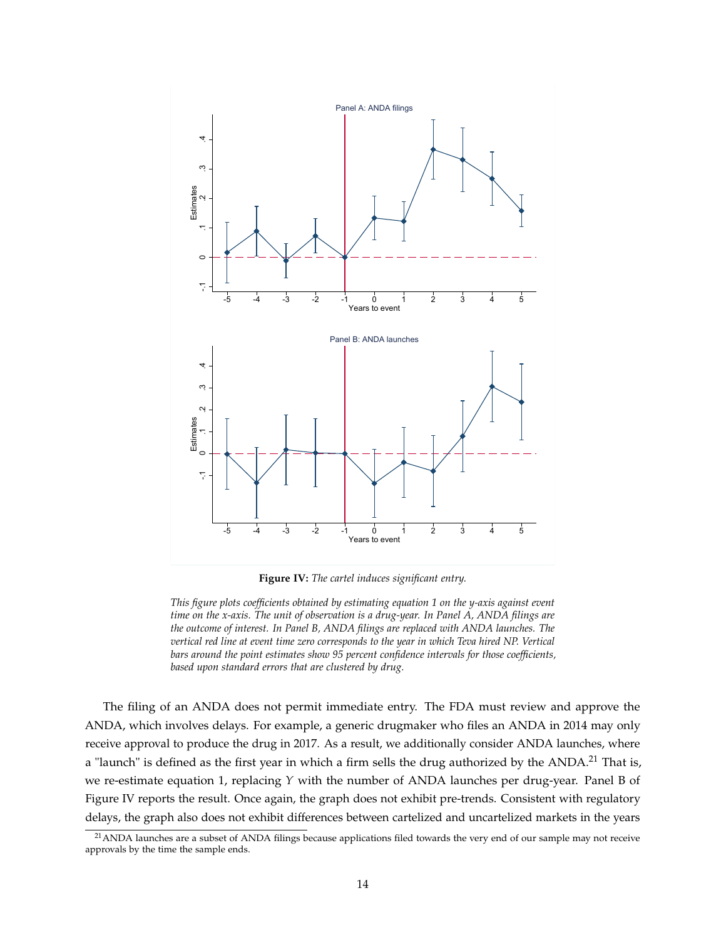

**Figure IV:** *The cartel induces significant entry.*

*This figure plots coefficients obtained by estimating equation 1 on the y-axis against event time on the x-axis. The unit of observation is a drug-year. In Panel A, ANDA filings are the outcome of interest. In Panel B, ANDA filings are replaced with ANDA launches. The vertical red line at event time zero corresponds to the year in which Teva hired NP. Vertical bars around the point estimates show 95 percent confidence intervals for those coefficients, based upon standard errors that are clustered by drug.*

The filing of an ANDA does not permit immediate entry. The FDA must review and approve the ANDA, which involves delays. For example, a generic drugmaker who files an ANDA in 2014 may only receive approval to produce the drug in 2017. As a result, we additionally consider ANDA launches, where a "launch" is defined as the first year in which a firm sells the drug authorized by the ANDA.<sup>21</sup> That is, we re-estimate equation 1, replacing *Y* with the number of ANDA launches per drug-year. Panel B of Figure IV reports the result. Once again, the graph does not exhibit pre-trends. Consistent with regulatory delays, the graph also does not exhibit differences between cartelized and uncartelized markets in the years

 $21$ ANDA launches are a subset of ANDA filings because applications filed towards the very end of our sample may not receive approvals by the time the sample ends.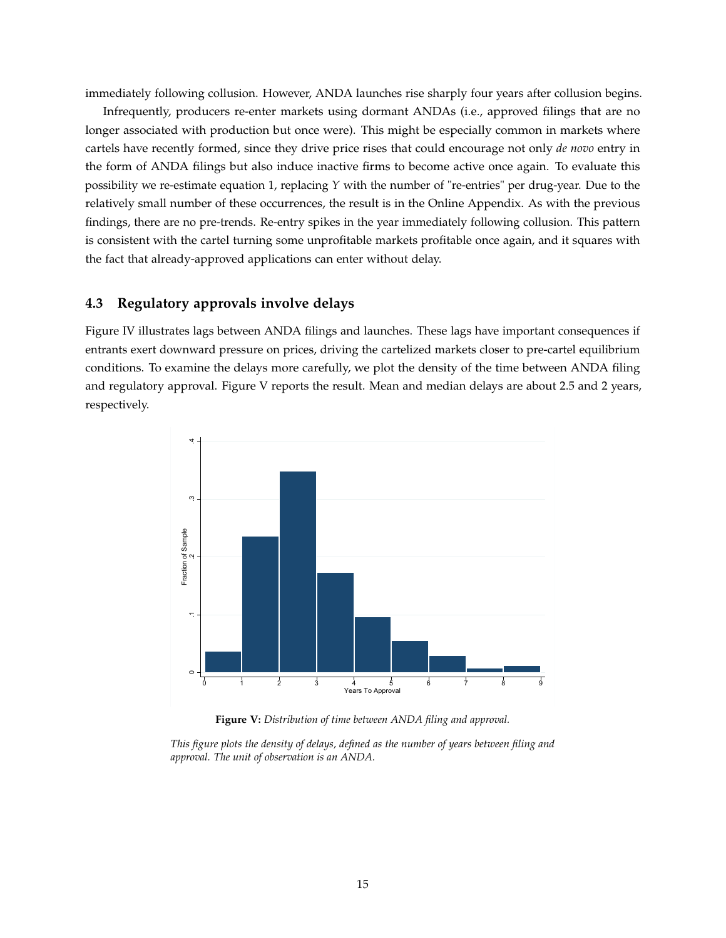immediately following collusion. However, ANDA launches rise sharply four years after collusion begins.

Infrequently, producers re-enter markets using dormant ANDAs (i.e., approved filings that are no longer associated with production but once were). This might be especially common in markets where cartels have recently formed, since they drive price rises that could encourage not only *de novo* entry in the form of ANDA filings but also induce inactive firms to become active once again. To evaluate this possibility we re-estimate equation 1, replacing *Y* with the number of "re-entries" per drug-year. Due to the relatively small number of these occurrences, the result is in the Online Appendix. As with the previous findings, there are no pre-trends. Re-entry spikes in the year immediately following collusion. This pattern is consistent with the cartel turning some unprofitable markets profitable once again, and it squares with the fact that already-approved applications can enter without delay.

### **4.3 Regulatory approvals involve delays**

Figure IV illustrates lags between ANDA filings and launches. These lags have important consequences if entrants exert downward pressure on prices, driving the cartelized markets closer to pre-cartel equilibrium conditions. To examine the delays more carefully, we plot the density of the time between ANDA filing and regulatory approval. Figure V reports the result. Mean and median delays are about 2.5 and 2 years, respectively.



**Figure V:** *Distribution of time between ANDA filing and approval.*

*This figure plots the density of delays, defined as the number of years between filing and approval. The unit of observation is an ANDA.*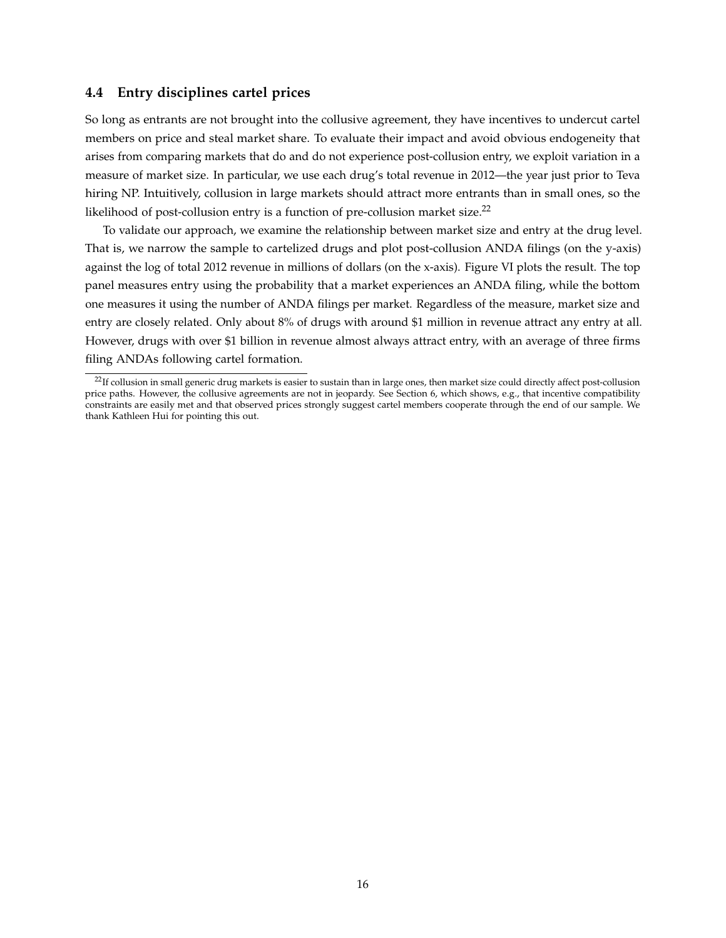### **4.4 Entry disciplines cartel prices**

So long as entrants are not brought into the collusive agreement, they have incentives to undercut cartel members on price and steal market share. To evaluate their impact and avoid obvious endogeneity that arises from comparing markets that do and do not experience post-collusion entry, we exploit variation in a measure of market size. In particular, we use each drug's total revenue in 2012—the year just prior to Teva hiring NP. Intuitively, collusion in large markets should attract more entrants than in small ones, so the likelihood of post-collusion entry is a function of pre-collusion market size.<sup>22</sup>

To validate our approach, we examine the relationship between market size and entry at the drug level. That is, we narrow the sample to cartelized drugs and plot post-collusion ANDA filings (on the y-axis) against the log of total 2012 revenue in millions of dollars (on the x-axis). Figure VI plots the result. The top panel measures entry using the probability that a market experiences an ANDA filing, while the bottom one measures it using the number of ANDA filings per market. Regardless of the measure, market size and entry are closely related. Only about 8% of drugs with around \$1 million in revenue attract any entry at all. However, drugs with over \$1 billion in revenue almost always attract entry, with an average of three firms filing ANDAs following cartel formation.

<sup>&</sup>lt;sup>22</sup>If collusion in small generic drug markets is easier to sustain than in large ones, then market size could directly affect post-collusion price paths. However, the collusive agreements are not in jeopardy. See Section 6, which shows, e.g., that incentive compatibility constraints are easily met and that observed prices strongly suggest cartel members cooperate through the end of our sample. We thank Kathleen Hui for pointing this out.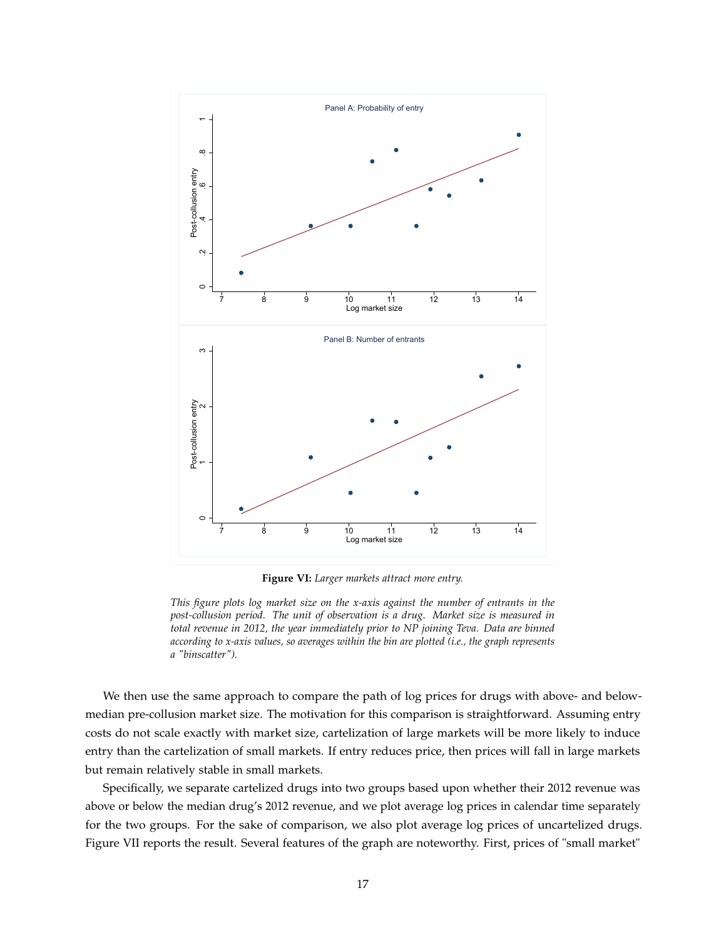

**Figure VI:** *Larger markets attract more entry.*

*This figure plots log market size on the x-axis against the number of entrants in the post-collusion period. The unit of observation is a drug. Market size is measured in total revenue in 2012, the year immediately prior to NP joining Teva. Data are binned according to x-axis values, so averages within the bin are plotted (i.e., the graph represents a "binscatter").*

We then use the same approach to compare the path of log prices for drugs with above- and belowmedian pre-collusion market size. The motivation for this comparison is straightforward. Assuming entry costs do not scale exactly with market size, cartelization of large markets will be more likely to induce entry than the cartelization of small markets. If entry reduces price, then prices will fall in large markets but remain relatively stable in small markets.

Specifically, we separate cartelized drugs into two groups based upon whether their 2012 revenue was above or below the median drug's 2012 revenue, and we plot average log prices in calendar time separately for the two groups. For the sake of comparison, we also plot average log prices of uncartelized drugs. Figure VII reports the result. Several features of the graph are noteworthy. First, prices of "small market"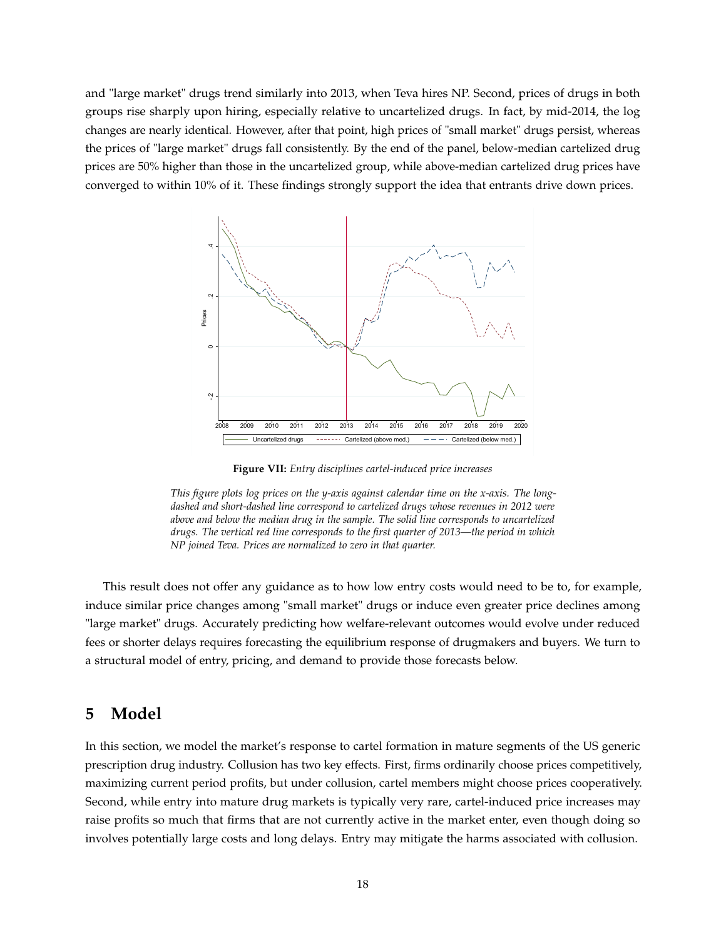and "large market" drugs trend similarly into 2013, when Teva hires NP. Second, prices of drugs in both groups rise sharply upon hiring, especially relative to uncartelized drugs. In fact, by mid-2014, the log changes are nearly identical. However, after that point, high prices of "small market" drugs persist, whereas the prices of "large market" drugs fall consistently. By the end of the panel, below-median cartelized drug prices are 50% higher than those in the uncartelized group, while above-median cartelized drug prices have converged to within 10% of it. These findings strongly support the idea that entrants drive down prices.



**Figure VII:** *Entry disciplines cartel-induced price increases*

This result does not offer any guidance as to how low entry costs would need to be to, for example, induce similar price changes among "small market" drugs or induce even greater price declines among "large market" drugs. Accurately predicting how welfare-relevant outcomes would evolve under reduced fees or shorter delays requires forecasting the equilibrium response of drugmakers and buyers. We turn to a structural model of entry, pricing, and demand to provide those forecasts below.

## **5 Model**

In this section, we model the market's response to cartel formation in mature segments of the US generic prescription drug industry. Collusion has two key effects. First, firms ordinarily choose prices competitively, maximizing current period profits, but under collusion, cartel members might choose prices cooperatively. Second, while entry into mature drug markets is typically very rare, cartel-induced price increases may raise profits so much that firms that are not currently active in the market enter, even though doing so involves potentially large costs and long delays. Entry may mitigate the harms associated with collusion.

*This figure plots log prices on the y-axis against calendar time on the x-axis. The longdashed and short-dashed line correspond to cartelized drugs whose revenues in 2012 were above and below the median drug in the sample. The solid line corresponds to uncartelized drugs. The vertical red line corresponds to the first quarter of 2013—the period in which NP joined Teva. Prices are normalized to zero in that quarter.*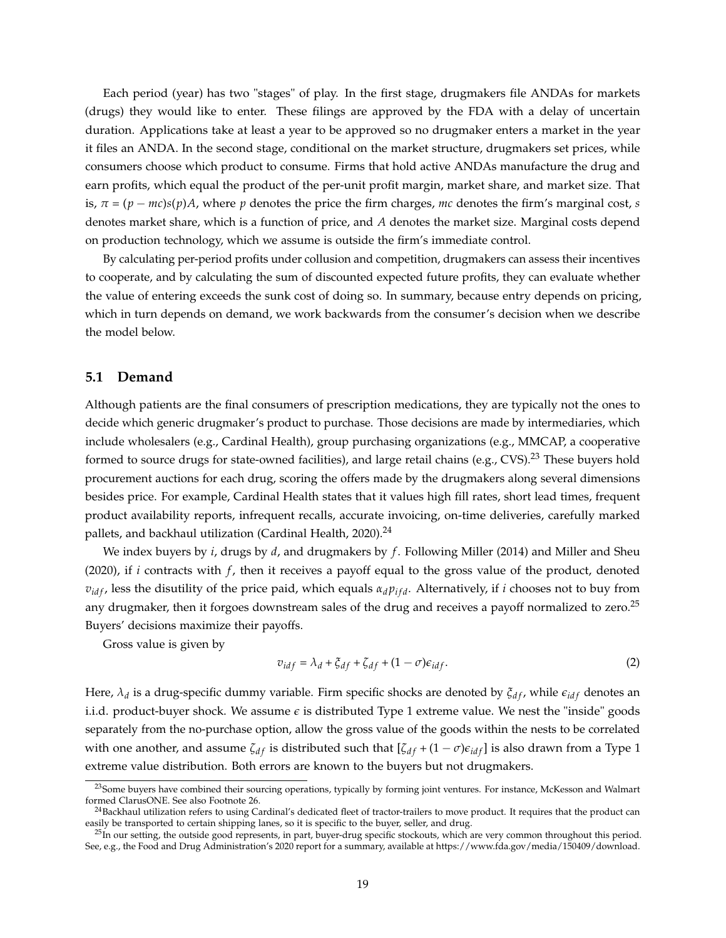Each period (year) has two "stages" of play. In the first stage, drugmakers file ANDAs for markets (drugs) they would like to enter. These filings are approved by the FDA with a delay of uncertain duration. Applications take at least a year to be approved so no drugmaker enters a market in the year it files an ANDA. In the second stage, conditional on the market structure, drugmakers set prices, while consumers choose which product to consume. Firms that hold active ANDAs manufacture the drug and earn profits, which equal the product of the per-unit profit margin, market share, and market size. That is,  $\pi = (p - mc)s(p)A$ , where *p* denotes the price the firm charges, *mc* denotes the firm's marginal cost, *s* denotes market share, which is a function of price, and *A* denotes the market size. Marginal costs depend on production technology, which we assume is outside the firm's immediate control.

By calculating per-period profits under collusion and competition, drugmakers can assess their incentives to cooperate, and by calculating the sum of discounted expected future profits, they can evaluate whether the value of entering exceeds the sunk cost of doing so. In summary, because entry depends on pricing, which in turn depends on demand, we work backwards from the consumer's decision when we describe the model below.

### **5.1 Demand**

Although patients are the final consumers of prescription medications, they are typically not the ones to decide which generic drugmaker's product to purchase. Those decisions are made by intermediaries, which include wholesalers (e.g., Cardinal Health), group purchasing organizations (e.g., MMCAP, a cooperative formed to source drugs for state-owned facilities), and large retail chains (e.g., CVS).<sup>23</sup> These buyers hold procurement auctions for each drug, scoring the offers made by the drugmakers along several dimensions besides price. For example, Cardinal Health states that it values high fill rates, short lead times, frequent product availability reports, infrequent recalls, accurate invoicing, on-time deliveries, carefully marked pallets, and backhaul utilization (Cardinal Health, 2020). $^{24}$ 

We index buyers by *i*, drugs by *d*, and drugmakers by *f* . Following Miller (2014) and Miller and Sheu (2020), if *i* contracts with *f* , then it receives a payoff equal to the gross value of the product, denoted  $v_{\text{if}}$ , less the disutility of the price paid, which equals  $\alpha_d p_{\text{if}}$ . Alternatively, if *i* chooses not to buy from any drugmaker, then it forgoes downstream sales of the drug and receives a payoff normalized to zero.<sup>25</sup> Buyers' decisions maximize their payoffs.

Gross value is given by

$$
v_{\text{idf}} = \lambda_d + \xi_{\text{df}} + \zeta_{\text{df}} + (1 - \sigma)\epsilon_{\text{idf}}.\tag{2}
$$

Here,  $\lambda_d$  is a drug-specific dummy variable. Firm specific shocks are denoted by  $\xi_{df}$ , while  $\epsilon_{idf}$  denotes an i.i.d. product-buyer shock. We assume  $\epsilon$  is distributed Type 1 extreme value. We nest the "inside" goods separately from the no-purchase option, allow the gross value of the goods within the nests to be correlated with one another, and assume  $\zeta_{df}$  is distributed such that  $[\zeta_{df} + (1 - \sigma)\epsilon_{idf}]$  is also drawn from a Type 1 extreme value distribution. Both errors are known to the buyers but not drugmakers.

<sup>&</sup>lt;sup>23</sup>Some buyers have combined their sourcing operations, typically by forming joint ventures. For instance, McKesson and Walmart formed ClarusONE. See also Footnote 26.

<sup>&</sup>lt;sup>24</sup>Backhaul utilization refers to using Cardinal's dedicated fleet of tractor-trailers to move product. It requires that the product can easily be transported to certain shipping lanes, so it is specific to the buyer, seller, and drug.

<sup>&</sup>lt;sup>25</sup>In our setting, the outside good represents, in part, buyer-drug specific stockouts, which are very common throughout this period. See, e.g., the Food and Drug Administration's 2020 report for a summary, available at https://www.fda.gov/media/150409/download.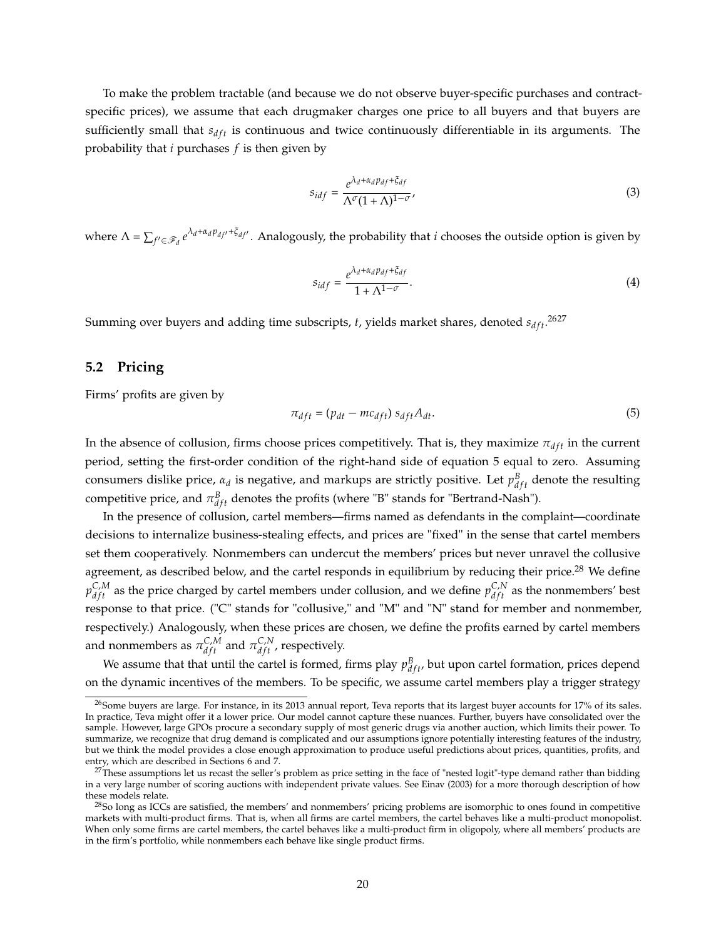To make the problem tractable (and because we do not observe buyer-specific purchases and contractspecific prices), we assume that each drugmaker charges one price to all buyers and that buyers are sufficiently small that  $s_{dft}$  is continuous and twice continuously differentiable in its arguments. The probability that *i* purchases *f* is then given by

$$
s_{idf} = \frac{e^{\lambda_d + \alpha_d p_{df} + \xi_{df}}}{\Lambda^{\sigma} (1 + \Lambda)^{1 - \sigma}},
$$
\n(3)

where  $\Lambda = \sum_{f' \in \mathscr{F}_d} e^{\lambda_d + \alpha_d p_{df'} + \xi_{df'}}$ . Analogously, the probability that *i* chooses the outside option is given by

$$
s_{idf} = \frac{e^{\lambda_d + \alpha_d p_{df} + \xi_{df}}}{1 + \Lambda^{1 - \sigma}}.
$$
\n(4)

Summing over buyers and adding time subscripts*, t*, yields market shares, denoted  $s_{dft}$ .<sup>2627</sup>

#### **5.2 Pricing**

Firms' profits are given by

$$
\pi_{dft} = (p_{dt} - mc_{dft}) s_{dft} A_{dt}.
$$
\n<sup>(5)</sup>

In the absence of collusion, firms choose prices competitively. That is, they maximize  $\pi_{dft}$  in the current period, setting the first-order condition of the right-hand side of equation 5 equal to zero. Assuming consumers dislike price,  $\alpha_d$  is negative, and markups are strictly positive. Let  $p_{dft}^B$  denote the resulting competitive price, and  $\pi^B_{dft}$  denotes the profits (where "B" stands for "Bertrand-Nash").

In the presence of collusion, cartel members—firms named as defendants in the complaint—coordinate decisions to internalize business-stealing effects, and prices are "fixed" in the sense that cartel members set them cooperatively. Nonmembers can undercut the members' prices but never unravel the collusive agreement, as described below, and the cartel responds in equilibrium by reducing their price.<sup>28</sup> We define  $p_{dft}^{C,M}$  as the price charged by cartel members under collusion, and we define  $p_{dft}^{C,N}$  as the nonmembers' best response to that price. ("C" stands for "collusive," and "M" and "N" stand for member and nonmember, respectively.) Analogously, when these prices are chosen, we define the profits earned by cartel members and nonmembers as  $\pi_{dft}^{\mathcal{C},M}$  and  $\pi_{dft}^{\mathcal{C},N}$ , respectively.

We assume that that until the cartel is formed, firms play  $p_{dft}^B$ , but upon cartel formation, prices depend on the dynamic incentives of the members. To be specific, we assume cartel members play a trigger strategy

<sup>&</sup>lt;sup>26</sup>Some buyers are large. For instance, in its 2013 annual report, Teva reports that its largest buyer accounts for 17% of its sales. In practice, Teva might offer it a lower price. Our model cannot capture these nuances. Further, buyers have consolidated over the sample. However, large GPOs procure a secondary supply of most generic drugs via another auction, which limits their power. To summarize, we recognize that drug demand is complicated and our assumptions ignore potentially interesting features of the industry, but we think the model provides a close enough approximation to produce useful predictions about prices, quantities, profits, and entry, which are described in Sections 6 and 7.

 $27$ These assumptions let us recast the seller's problem as price setting in the face of "nested logit"-type demand rather than bidding in a very large number of scoring auctions with independent private values. See Einav (2003) for a more thorough description of how these models relate.

<sup>&</sup>lt;sup>28</sup>So long as ICCs are satisfied, the members' and nonmembers' pricing problems are isomorphic to ones found in competitive markets with multi-product firms. That is, when all firms are cartel members, the cartel behaves like a multi-product monopolist. When only some firms are cartel members, the cartel behaves like a multi-product firm in oligopoly, where all members' products are in the firm's portfolio, while nonmembers each behave like single product firms.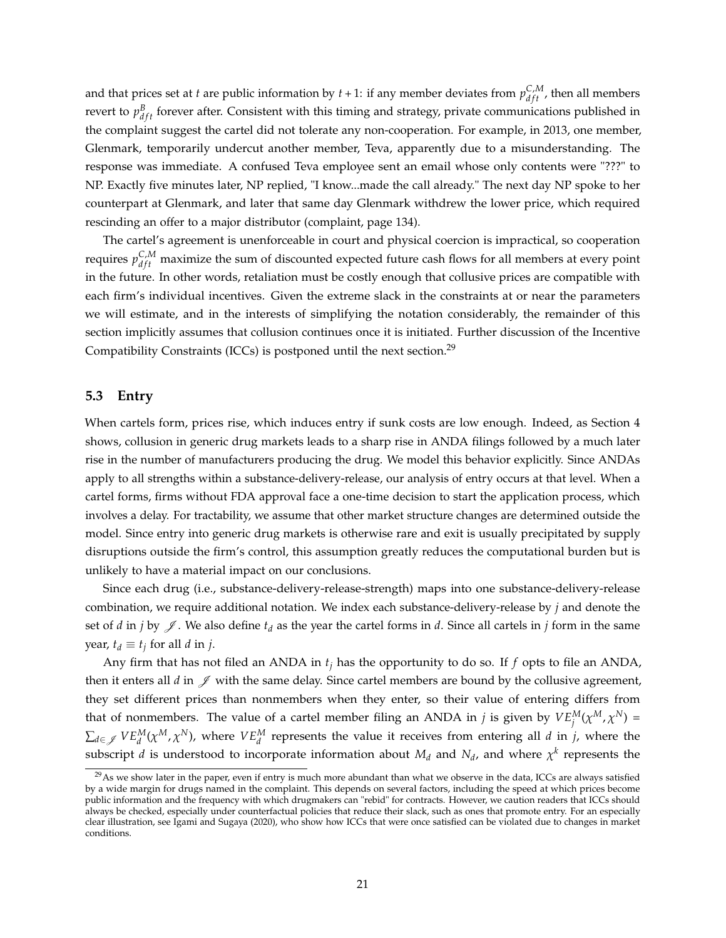and that prices set at *t* are public information by  $t + 1$ : if any member deviates from  $p_{dft}^{C,M}$ , then all members revert to  $p_{dft}^B$  forever after. Consistent with this timing and strategy, private communications published in the complaint suggest the cartel did not tolerate any non-cooperation. For example, in 2013, one member, Glenmark, temporarily undercut another member, Teva, apparently due to a misunderstanding. The response was immediate. A confused Teva employee sent an email whose only contents were "???" to NP. Exactly five minutes later, NP replied, "I know...made the call already." The next day NP spoke to her counterpart at Glenmark, and later that same day Glenmark withdrew the lower price, which required rescinding an offer to a major distributor (complaint, page 134).

The cartel's agreement is unenforceable in court and physical coercion is impractical, so cooperation requires  $p_{dft}^{C,M}$  maximize the sum of discounted expected future cash flows for all members at every point in the future. In other words, retaliation must be costly enough that collusive prices are compatible with each firm's individual incentives. Given the extreme slack in the constraints at or near the parameters we will estimate, and in the interests of simplifying the notation considerably, the remainder of this section implicitly assumes that collusion continues once it is initiated. Further discussion of the Incentive Compatibility Constraints (ICCs) is postponed until the next section.<sup>29</sup>

### **5.3 Entry**

When cartels form, prices rise, which induces entry if sunk costs are low enough. Indeed, as Section 4 shows, collusion in generic drug markets leads to a sharp rise in ANDA filings followed by a much later rise in the number of manufacturers producing the drug. We model this behavior explicitly. Since ANDAs apply to all strengths within a substance-delivery-release, our analysis of entry occurs at that level. When a cartel forms, firms without FDA approval face a one-time decision to start the application process, which involves a delay. For tractability, we assume that other market structure changes are determined outside the model. Since entry into generic drug markets is otherwise rare and exit is usually precipitated by supply disruptions outside the firm's control, this assumption greatly reduces the computational burden but is unlikely to have a material impact on our conclusions.

Since each drug (i.e., substance-delivery-release-strength) maps into one substance-delivery-release combination, we require additional notation. We index each substance-delivery-release by *j* and denote the set of *d* in *j* by  $\mathscr{J}$ . We also define  $t_d$  as the year the cartel forms in *d*. Since all cartels in *j* form in the same *year,*  $t_d \equiv t_j$  for all *d* in *j*.

Any firm that has not filed an ANDA in *t<sup>j</sup>* has the opportunity to do so. If *f* opts to file an ANDA, then it enters all  $d$  in  $\mathscr J$  with the same delay. Since cartel members are bound by the collusive agreement, they set different prices than nonmembers when they enter, so their value of entering differs from that of nonmembers. The value of a cartel member filing an ANDA in *j* is given by  $VE_j^M(\chi^M, \chi^N)$  =  $\sum_{d\in\mathscr{J}}VE_{d}^{M}(\chi^{M},\chi^{N})$ , where  $VE_{d}^{M}$  represents the value it receives from entering all *d* in *j*, where the subscript *d* is understood to incorporate information about  $M_d$  and  $N_d$ , and where  $\chi^k$  represents the

 $^{29}$ As we show later in the paper, even if entry is much more abundant than what we observe in the data, ICCs are always satisfied by a wide margin for drugs named in the complaint. This depends on several factors, including the speed at which prices become public information and the frequency with which drugmakers can "rebid" for contracts. However, we caution readers that ICCs should always be checked, especially under counterfactual policies that reduce their slack, such as ones that promote entry. For an especially clear illustration, see Igami and Sugaya (2020), who show how ICCs that were once satisfied can be violated due to changes in market conditions.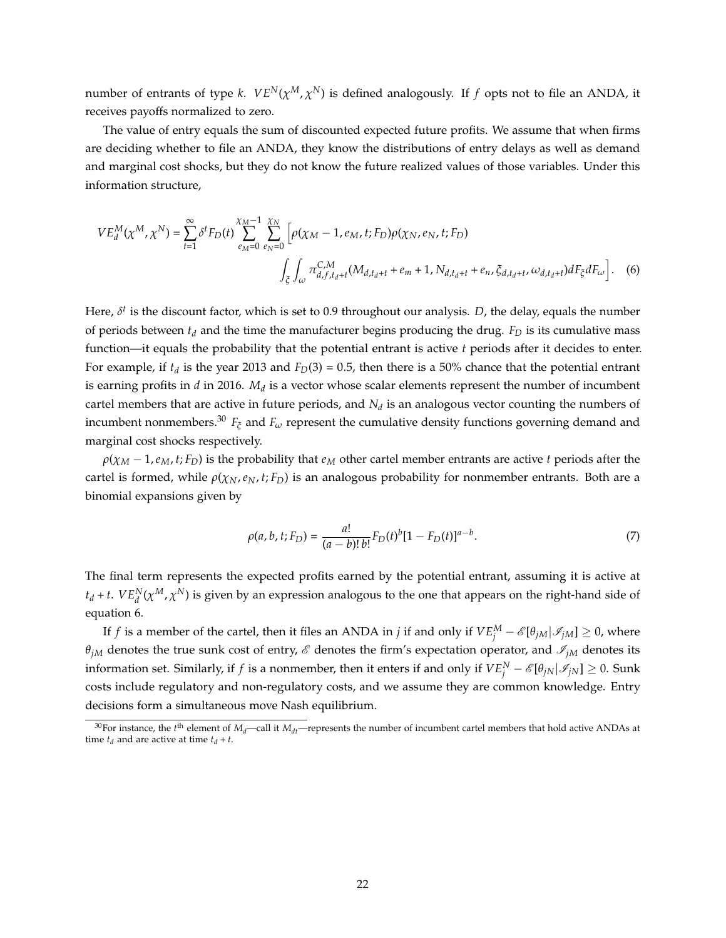number of entrants of type *k*.  $VE^N(\chi^M,\chi^N)$  is defined analogously. If  $f$  opts not to file an ANDA, it receives payoffs normalized to zero.

The value of entry equals the sum of discounted expected future profits. We assume that when firms are deciding whether to file an ANDA, they know the distributions of entry delays as well as demand and marginal cost shocks, but they do not know the future realized values of those variables. Under this information structure,

$$
VE_{d}^{M}(\chi^{M}, \chi^{N}) = \sum_{t=1}^{\infty} \delta^{t} F_{D}(t) \sum_{e_{M}=0}^{\chi_{M}-1} \sum_{e_{N}=0}^{\chi_{M}} \left[ \rho(\chi_{M}-1, e_{M}, t; F_{D}) \rho(\chi_{N}, e_{N}, t; F_{D}) \right. \\
\int_{\xi} \int_{\omega} \pi_{d,f,t_{d}+t}^{C,M} (M_{d,t_{d}+t} + e_{m} + 1, N_{d,t_{d}+t} + e_{n}, \xi_{d,t_{d}+t}, \omega_{d,t_{d}+t}) dF_{\xi} dF_{\omega} \right].
$$
 (6)

Here, *δ<sup>t</sup>* is the discount factor, which is set to 0.9 throughout our analysis. *D*, the delay, equals the number of periods between  $t_d$  and the time the manufacturer begins producing the drug.  $F_D$  is its cumulative mass function—it equals the probability that the potential entrant is active *t* periods after it decides to enter. For example, if  $t_d$  is the year 2013 and  $F_D(3) = 0.5$ , then there is a 50% chance that the potential entrant is earning profits in *d* in 2016. *M<sup>d</sup>* is a vector whose scalar elements represent the number of incumbent cartel members that are active in future periods, and  $N_d$  is an analogous vector counting the numbers of incumbent nonmembers.<sup>30</sup>  $F_{\xi}$  and  $F_{\omega}$  represent the cumulative density functions governing demand and marginal cost shocks respectively.

 $\rho(\chi_M - 1, e_M, t; F_D)$  is the probability that  $e_M$  other cartel member entrants are active *t* periods after the cartel is formed, while  $\rho(\chi_N, e_N, t; F_D)$  is an analogous probability for nonmember entrants. Both are a binomial expansions given by

$$
\rho(a, b, t; F_D) = \frac{a!}{(a - b)! b!} F_D(t)^b [1 - F_D(t)]^{a - b}.
$$
\n(7)

The final term represents the expected profits earned by the potential entrant, assuming it is active at  $t_d$  + *t*.  $VE_d^N(\chi^M, \chi^N)$  is given by an expression analogous to the one that appears on the right-hand side of equation 6.

If *f* is a member of the cartel, then it files an ANDA in *j* if and only if  $VE_j^M - \mathscr{E}[\theta_{jM}|\mathscr{I}_{jM}] \ge 0$ , where  $\theta_{jM}$  denotes the true sunk cost of entry,  $\mathscr E$  denotes the firm's expectation operator, and  $\mathscr I_{jM}$  denotes its information set. Similarly, if  $f$  is a nonmember, then it enters if and only if  $VE^N_j - \mathscr{E}[\theta_{jN}|\mathscr{I}_{jN}]\geq 0.$  Sunk costs include regulatory and non-regulatory costs, and we assume they are common knowledge. Entry decisions form a simultaneous move Nash equilibrium.

<sup>&</sup>lt;sup>30</sup>For instance, the *t*<sup>th</sup> element of *M<sub>d</sub>*—call it *M<sub>dt</sub>*—represents the number of incumbent cartel members that hold active ANDAs at time  $t_d$  and are active at time  $t_d + t$ .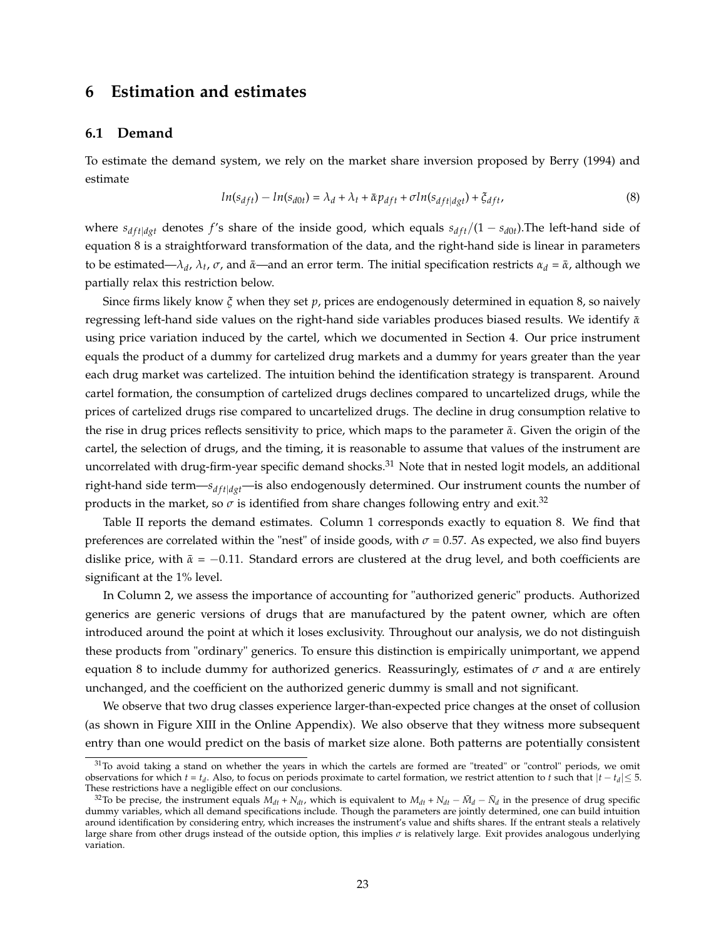### **6 Estimation and estimates**

#### **6.1 Demand**

To estimate the demand system, we rely on the market share inversion proposed by Berry (1994) and estimate

$$
ln(s_{dft}) - ln(s_{d0t}) = \lambda_d + \lambda_t + \bar{\alpha} p_{dft} + \sigma ln(s_{dft|dgt}) + \xi_{dft},
$$
\n(8)

where  $s_{dft|dyt}$  denotes *f*'s share of the inside good, which equals  $s_{dft}/(1 - s_{d0t})$ . The left-hand side of equation 8 is a straightforward transformation of the data, and the right-hand side is linear in parameters to be estimated—*λ<sub>d</sub>*, *λ<sub>t</sub>*, *σ*, and *α*—and an error term. The initial specification restricts *α<sub>d</sub>* = *α*̃, although we partially relax this restriction below.

Since firms likely know *ξ* when they set *p*, prices are endogenously determined in equation 8, so naively regressing left-hand side values on the right-hand side variables produces biased results. We identify *α*¯ using price variation induced by the cartel, which we documented in Section 4. Our price instrument equals the product of a dummy for cartelized drug markets and a dummy for years greater than the year each drug market was cartelized. The intuition behind the identification strategy is transparent. Around cartel formation, the consumption of cartelized drugs declines compared to uncartelized drugs, while the prices of cartelized drugs rise compared to uncartelized drugs. The decline in drug consumption relative to the rise in drug prices reflects sensitivity to price, which maps to the parameter  $\bar{\alpha}$ . Given the origin of the cartel, the selection of drugs, and the timing, it is reasonable to assume that values of the instrument are uncorrelated with drug-firm-year specific demand shocks.<sup>31</sup> Note that in nested logit models, an additional right-hand side term— $s_{dft|dyt}$ —is also endogenously determined. Our instrument counts the number of products in the market, so  $\sigma$  is identified from share changes following entry and exit.<sup>32</sup>

Table II reports the demand estimates. Column 1 corresponds exactly to equation 8. We find that preferences are correlated within the "nest" of inside goods, with  $\sigma$  = 0.57. As expected, we also find buyers dislike price, with  $\bar{\alpha} = -0.11$ . Standard errors are clustered at the drug level, and both coefficients are significant at the 1% level.

In Column 2, we assess the importance of accounting for "authorized generic" products. Authorized generics are generic versions of drugs that are manufactured by the patent owner, which are often introduced around the point at which it loses exclusivity. Throughout our analysis, we do not distinguish these products from "ordinary" generics. To ensure this distinction is empirically unimportant, we append equation 8 to include dummy for authorized generics. Reassuringly, estimates of *σ* and *α* are entirely unchanged, and the coefficient on the authorized generic dummy is small and not significant.

We observe that two drug classes experience larger-than-expected price changes at the onset of collusion (as shown in Figure XIII in the Online Appendix). We also observe that they witness more subsequent entry than one would predict on the basis of market size alone. Both patterns are potentially consistent

 $31$ To avoid taking a stand on whether the years in which the cartels are formed are "treated" or "control" periods, we omit observations for which *t* = *t*<sub>*d*</sub>. Also, to focus on periods proximate to cartel formation, we restrict attention to *t* such that  $|t - t_a| \leq 5$ . These restrictions have a negligible effect on our conclusions.

 $^{32}$ To be precise, the instrument equals  $M_{dt} + N_{dt}$ , which is equivalent to  $M_{dt} + N_{dt} - \bar{M}_d - \bar{N}_d$  in the presence of drug specific dummy variables, which all demand specifications include. Though the parameters are jointly determined, one can build intuition around identification by considering entry, which increases the instrument's value and shifts shares. If the entrant steals a relatively large share from other drugs instead of the outside option, this implies *σ* is relatively large. Exit provides analogous underlying variation.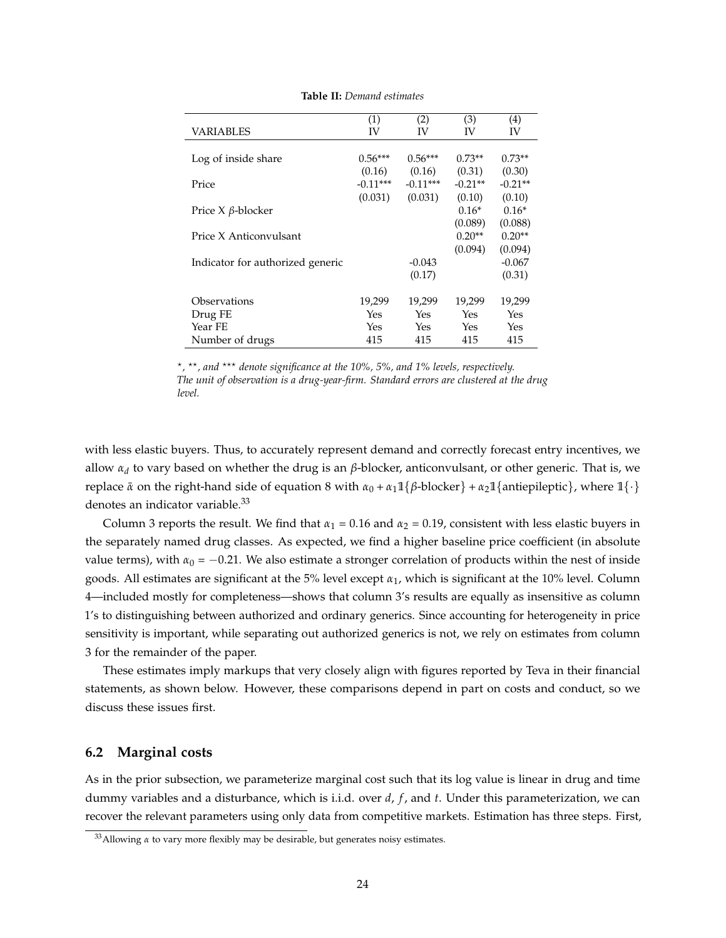|                                  | (1)        | (2)        | (3)       | (4)       |
|----------------------------------|------------|------------|-----------|-----------|
| VARIABLES                        | IV         | IV         | IV        | IV        |
|                                  |            |            |           |           |
| Log of inside share              | $0.56***$  | $0.56***$  | $0.73**$  | $0.73**$  |
|                                  | (0.16)     | (0.16)     | (0.31)    | (0.30)    |
| Price                            | $-0.11***$ | $-0.11***$ | $-0.21**$ | $-0.21**$ |
|                                  | (0.031)    | (0.031)    | (0.10)    | (0.10)    |
| Price $X$ $\beta$ -blocker       |            |            | $0.16*$   | $0.16*$   |
|                                  |            |            | (0.089)   | (0.088)   |
| Price X Anticonvulsant           |            |            | $0.20**$  | $0.20**$  |
|                                  |            |            | (0.094)   | (0.094)   |
| Indicator for authorized generic |            | $-0.043$   |           | $-0.067$  |
|                                  |            | (0.17)     |           | (0.31)    |
|                                  |            |            |           |           |
| Observations                     | 19,299     | 19,299     | 19,299    | 19,299    |
| Drug FE                          | Yes        | Yes        | Yes       | Yes       |
| Year FE                          | Yes        | Yes        | Yes       | Yes       |
| Number of drugs                  | 415        | 415        | 415       | 415       |

**Table II:** *Demand estimates*

\*, \*\*, and \*\*\* denote significance at the 10%, 5%, and 1% levels, respectively. *The unit of observation is a drug-year-firm. Standard errors are clustered at the drug level.*

with less elastic buyers. Thus, to accurately represent demand and correctly forecast entry incentives, we allow *α<sup>d</sup>* to vary based on whether the drug is an *β*-blocker, anticonvulsant, or other generic. That is, we replace  $\bar{\alpha}$  on the right-hand side of equation 8 with  $\alpha_0 + \alpha_1 \mathbb{1}{\beta}$ -blocker} +  $\alpha_2 \mathbb{1}{\{\text{antiepileptic}\}}$ , where  $\mathbb{1}{\cdot}$ } denotes an indicator variable.<sup>33</sup>

Column 3 reports the result. We find that  $\alpha_1 = 0.16$  and  $\alpha_2 = 0.19$ , consistent with less elastic buyers in the separately named drug classes. As expected, we find a higher baseline price coefficient (in absolute value terms), with  $\alpha_0 = -0.21$ . We also estimate a stronger correlation of products within the nest of inside goods. All estimates are significant at the 5% level except *α*1, which is significant at the 10% level. Column 4—included mostly for completeness—shows that column 3's results are equally as insensitive as column 1's to distinguishing between authorized and ordinary generics. Since accounting for heterogeneity in price sensitivity is important, while separating out authorized generics is not, we rely on estimates from column 3 for the remainder of the paper.

These estimates imply markups that very closely align with figures reported by Teva in their financial statements, as shown below. However, these comparisons depend in part on costs and conduct, so we discuss these issues first.

#### **6.2 Marginal costs**

As in the prior subsection, we parameterize marginal cost such that its log value is linear in drug and time dummy variables and a disturbance, which is i.i.d. over *d*, *f* , and *t*. Under this parameterization, we can recover the relevant parameters using only data from competitive markets. Estimation has three steps. First,

<sup>33</sup>Allowing *α* to vary more flexibly may be desirable, but generates noisy estimates.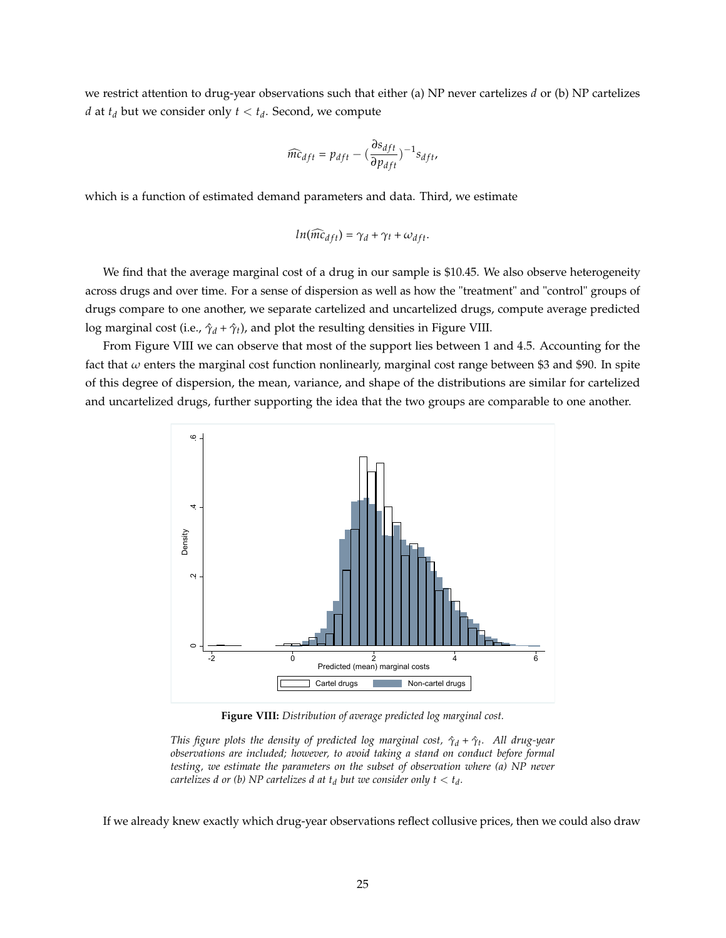we restrict attention to drug-year observations such that either (a) NP never cartelizes *d* or (b) NP cartelizes *d* at  $t_d$  but we consider only  $t < t_d$ . Second, we compute

$$
\widehat{mc}_{dft} = p_{dft} - \left(\frac{\partial s_{dft}}{\partial p_{dft}}\right)^{-1} s_{dft},
$$

which is a function of estimated demand parameters and data. Third, we estimate

$$
ln(\widehat{mc}_{dft}) = \gamma_d + \gamma_t + \omega_{dft}.
$$

We find that the average marginal cost of a drug in our sample is \$10.45. We also observe heterogeneity across drugs and over time. For a sense of dispersion as well as how the "treatment" and "control" groups of drugs compare to one another, we separate cartelized and uncartelized drugs, compute average predicted log marginal cost (i.e.,  $\hat{\gamma}_d + \hat{\gamma}_t$ ), and plot the resulting densities in Figure VIII.

From Figure VIII we can observe that most of the support lies between 1 and 4.5. Accounting for the fact that *ω* enters the marginal cost function nonlinearly, marginal cost range between \$3 and \$90. In spite of this degree of dispersion, the mean, variance, and shape of the distributions are similar for cartelized and uncartelized drugs, further supporting the idea that the two groups are comparable to one another.



**Figure VIII:** *Distribution of average predicted log marginal cost.*

*This figure plots the density of predicted log marginal cost, γ*ˆ*<sup>d</sup>* + *γ*ˆ*<sup>t</sup> . All drug-year observations are included; however, to avoid taking a stand on conduct before formal testing, we estimate the parameters on the subset of observation where (a) NP never cartelizes d or (b)*  $NP$  *cartelizes d at*  $t_d$  *but we consider only*  $t < t_d$ *.* 

If we already knew exactly which drug-year observations reflect collusive prices, then we could also draw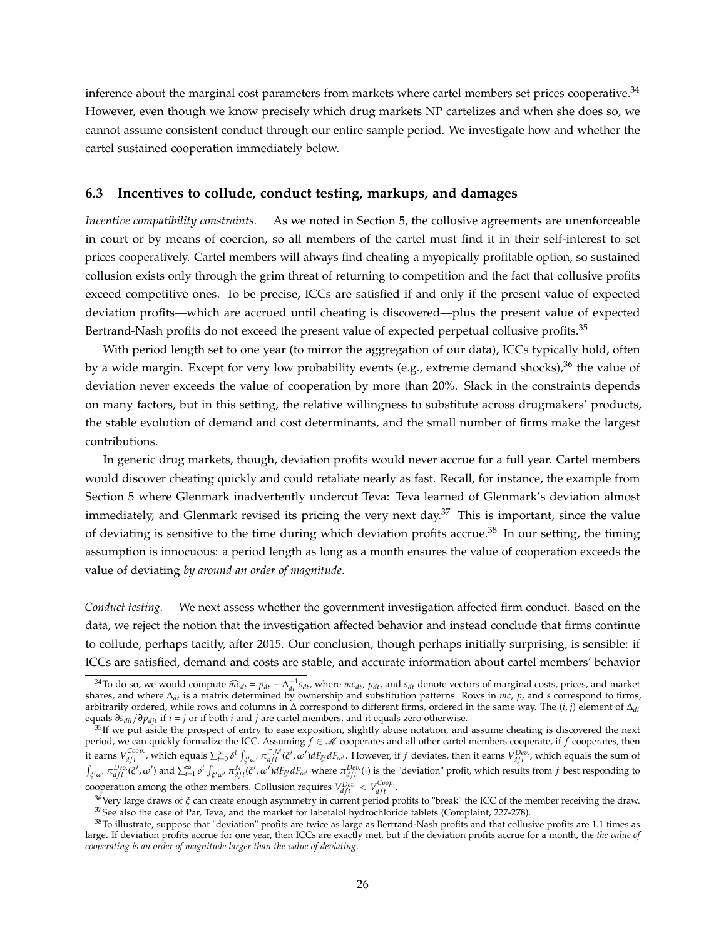inference about the marginal cost parameters from markets where cartel members set prices cooperative.<sup>34</sup> However, even though we know precisely which drug markets NP cartelizes and when she does so, we cannot assume consistent conduct through our entire sample period. We investigate how and whether the cartel sustained cooperation immediately below.

#### **6.3 Incentives to collude, conduct testing, markups, and damages**

*Incentive compatibility constraints.* As we noted in Section 5, the collusive agreements are unenforceable in court or by means of coercion, so all members of the cartel must find it in their self-interest to set prices cooperatively. Cartel members will always find cheating a myopically profitable option, so sustained collusion exists only through the grim threat of returning to competition and the fact that collusive profits exceed competitive ones. To be precise, ICCs are satisfied if and only if the present value of expected deviation profits—which are accrued until cheating is discovered—plus the present value of expected Bertrand-Nash profits do not exceed the present value of expected perpetual collusive profits.<sup>35</sup>

With period length set to one year (to mirror the aggregation of our data), ICCs typically hold, often by a wide margin. Except for very low probability events (e.g., extreme demand shocks), $36$  the value of deviation never exceeds the value of cooperation by more than 20%. Slack in the constraints depends on many factors, but in this setting, the relative willingness to substitute across drugmakers' products, the stable evolution of demand and cost determinants, and the small number of firms make the largest contributions.

In generic drug markets, though, deviation profits would never accrue for a full year. Cartel members would discover cheating quickly and could retaliate nearly as fast. Recall, for instance, the example from Section 5 where Glenmark inadvertently undercut Teva: Teva learned of Glenmark's deviation almost immediately, and Glenmark revised its pricing the very next day. $37$  This is important, since the value of deviating is sensitive to the time during which deviation profits accrue.<sup>38</sup> In our setting, the timing assumption is innocuous: a period length as long as a month ensures the value of cooperation exceeds the value of deviating *by around an order of magnitude*.

*Conduct testing.* We next assess whether the government investigation affected firm conduct. Based on the data, we reject the notion that the investigation affected behavior and instead conclude that firms continue to collude, perhaps tacitly, after 2015. Our conclusion, though perhaps initially surprising, is sensible: if ICCs are satisfied, demand and costs are stable, and accurate information about cartel members' behavior

<sup>&</sup>lt;sup>34</sup>To do so, we would compute  $\widehat{mc}_{dt} = p_{dt} - \Delta_{at}^{-1} s_{dt}$ , where  $mc_{dt}$ ,  $p_{dt}$ , and  $s_{dt}$  denote vectors of marginal costs, prices, and market shares, and where ∆*dt* is a matrix determined by ownership and substitution patterns. Rows in *mc*, *p*, and *s* correspond to firms, arbitrarily ordered, while rows and columns in ∆ correspond to different firms, ordered in the same way. The (*i*, *j*) element of ∆*dt* equals *∂sdit*/*∂pdjt* if *i* = *j* or if both *i* and *j* are cartel members, and it equals zero otherwise.

 $35$ If we put aside the prospect of entry to ease exposition, slightly abuse notation, and assume cheating is discovered the next period, we can quickly formalize the ICC. Assuming *f* ∈ M cooperates and all other cartel members cooperate, if *f* cooperates, then it earns  $V_{dft}^{Coop}$ , which equals  $\sum_{t=0}^{\infty} \delta^t \int_{\xi' \omega'} \pi_{dft}^{C,M}(\xi',\omega') dF_{\xi'} dF_{\omega'}$ . However, if f deviates, then it earns  $V_{dft}^{Dec}$ , which equals the sum of  $\int_{\xi'\omega'} \pi_{dft}^{Dev.}(\xi', \omega')$  and  $\sum_{t=1}^{\infty} \delta^t \int_{\xi'\omega'} \pi_{dft}^N(\xi', \omega') dF_{\xi'} dF_{\omega'}$  where  $\pi_{dft}^{Dev.}(\cdot)$  is the "deviation" profit, which results from f best responding to cooperation among the other members. Collusion requires  $V_{dft}^{Dep.} < V_{dft}^{Coop.}$ 

<sup>&</sup>lt;sup>36</sup>Very large draws of *ζ* can create enough asymmetry in current period profits to "break" the ICC of the member receiving the draw. <sup>37</sup>See also the case of Par, Teva, and the market for labetalol hydrochloride tablets (Complaint, 227-278).

<sup>&</sup>lt;sup>38</sup>To illustrate, suppose that "deviation" profits are twice as large as Bertrand-Nash profits and that collusive profits are 1.1 times as large. If deviation profits accrue for one year, then ICCs are exactly met, but if the deviation profits accrue for a month, the *the value of cooperating is an order of magnitude larger than the value of deviating*.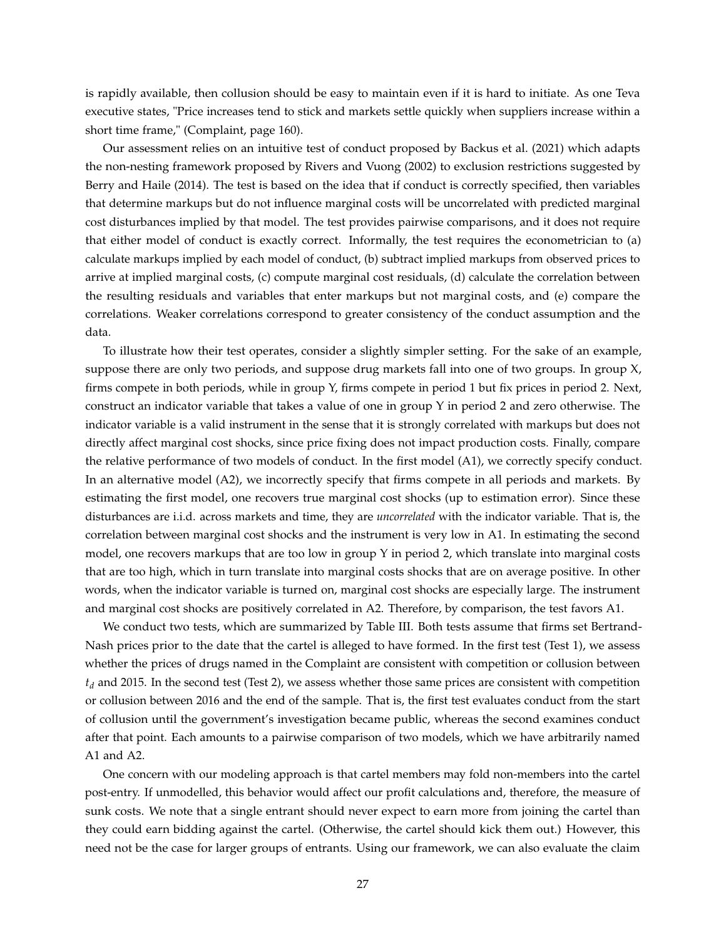is rapidly available, then collusion should be easy to maintain even if it is hard to initiate. As one Teva executive states, "Price increases tend to stick and markets settle quickly when suppliers increase within a short time frame," (Complaint, page 160).

Our assessment relies on an intuitive test of conduct proposed by Backus et al. (2021) which adapts the non-nesting framework proposed by Rivers and Vuong (2002) to exclusion restrictions suggested by Berry and Haile (2014). The test is based on the idea that if conduct is correctly specified, then variables that determine markups but do not influence marginal costs will be uncorrelated with predicted marginal cost disturbances implied by that model. The test provides pairwise comparisons, and it does not require that either model of conduct is exactly correct. Informally, the test requires the econometrician to (a) calculate markups implied by each model of conduct, (b) subtract implied markups from observed prices to arrive at implied marginal costs, (c) compute marginal cost residuals, (d) calculate the correlation between the resulting residuals and variables that enter markups but not marginal costs, and (e) compare the correlations. Weaker correlations correspond to greater consistency of the conduct assumption and the data.

To illustrate how their test operates, consider a slightly simpler setting. For the sake of an example, suppose there are only two periods, and suppose drug markets fall into one of two groups. In group X, firms compete in both periods, while in group Y, firms compete in period 1 but fix prices in period 2. Next, construct an indicator variable that takes a value of one in group Y in period 2 and zero otherwise. The indicator variable is a valid instrument in the sense that it is strongly correlated with markups but does not directly affect marginal cost shocks, since price fixing does not impact production costs. Finally, compare the relative performance of two models of conduct. In the first model (A1), we correctly specify conduct. In an alternative model (A2), we incorrectly specify that firms compete in all periods and markets. By estimating the first model, one recovers true marginal cost shocks (up to estimation error). Since these disturbances are i.i.d. across markets and time, they are *uncorrelated* with the indicator variable. That is, the correlation between marginal cost shocks and the instrument is very low in A1. In estimating the second model, one recovers markups that are too low in group Y in period 2, which translate into marginal costs that are too high, which in turn translate into marginal costs shocks that are on average positive. In other words, when the indicator variable is turned on, marginal cost shocks are especially large. The instrument and marginal cost shocks are positively correlated in A2. Therefore, by comparison, the test favors A1.

We conduct two tests, which are summarized by Table III. Both tests assume that firms set Bertrand-Nash prices prior to the date that the cartel is alleged to have formed. In the first test (Test 1), we assess whether the prices of drugs named in the Complaint are consistent with competition or collusion between *t<sup>d</sup>* and 2015. In the second test (Test 2), we assess whether those same prices are consistent with competition or collusion between 2016 and the end of the sample. That is, the first test evaluates conduct from the start of collusion until the government's investigation became public, whereas the second examines conduct after that point. Each amounts to a pairwise comparison of two models, which we have arbitrarily named A1 and A2.

One concern with our modeling approach is that cartel members may fold non-members into the cartel post-entry. If unmodelled, this behavior would affect our profit calculations and, therefore, the measure of sunk costs. We note that a single entrant should never expect to earn more from joining the cartel than they could earn bidding against the cartel. (Otherwise, the cartel should kick them out.) However, this need not be the case for larger groups of entrants. Using our framework, we can also evaluate the claim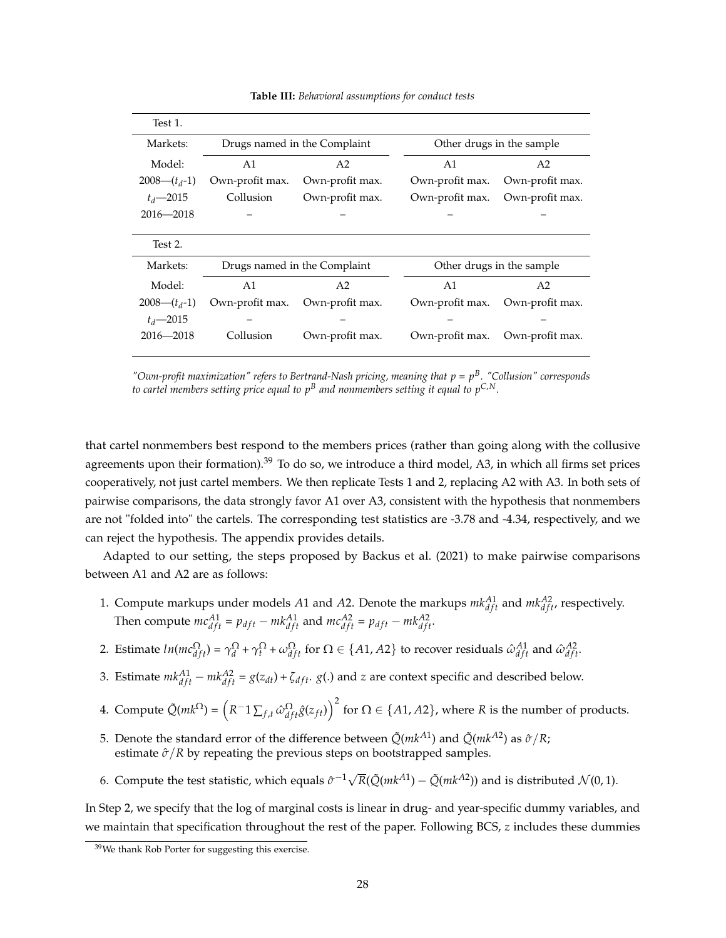| Test 1.        |                              |                              |                           |                           |
|----------------|------------------------------|------------------------------|---------------------------|---------------------------|
| Markets:       | Drugs named in the Complaint |                              | Other drugs in the sample |                           |
| Model:         | A <sub>1</sub>               | A <sub>2</sub>               | A <sub>1</sub>            | A2                        |
| $2008-(t_d-1)$ | Own-profit max.              | Own-profit max.              | Own-profit max.           | Own-profit max.           |
| $t_d$ - 2015   | Collusion                    | Own-profit max.              | Own-profit max.           | Own-profit max.           |
| $2016 - 2018$  |                              |                              |                           |                           |
|                |                              |                              |                           |                           |
| Test 2.        |                              |                              |                           |                           |
| Markets:       |                              | Drugs named in the Complaint |                           | Other drugs in the sample |
| Model:         | A <sub>1</sub>               | A <sub>2</sub>               | A <sub>1</sub>            | A2                        |
| $2008-(t_d-1)$ | Own-profit max.              | Own-profit max.              | Own-profit max.           | Own-profit max.           |
| $t_d$ -2015    |                              |                              |                           |                           |
| $2016 - 2018$  | Collusion                    | Own-profit max.              | Own-profit max.           | Own-profit max.           |
|                |                              |                              |                           |                           |

**Table III:** *Behavioral assumptions for conduct tests*

*"Own-profit maximization" refers to Bertrand-Nash pricing, meaning that p* = *p B . "Collusion" corresponds to cartel members setting price equal to p<sup>B</sup> and nonmembers setting it equal to pC*,*N.*

that cartel nonmembers best respond to the members prices (rather than going along with the collusive agreements upon their formation). $39$  To do so, we introduce a third model, A3, in which all firms set prices cooperatively, not just cartel members. We then replicate Tests 1 and 2, replacing A2 with A3. In both sets of pairwise comparisons, the data strongly favor A1 over A3, consistent with the hypothesis that nonmembers are not "folded into" the cartels. The corresponding test statistics are -3.78 and -4.34, respectively, and we can reject the hypothesis. The appendix provides details.

Adapted to our setting, the steps proposed by Backus et al. (2021) to make pairwise comparisons between A1 and A2 are as follows:

- 1. Compute markups under models A1 and A2. Denote the markups  $mk_{dft}^{A1}$  and  $mk_{dft}^{A2}$ , respectively. Then compute  $mc_{dft}^{A1} = p_{dft} - mk_{dft}^{A1}$  and  $mc_{dft}^{A2} = p_{dft} - mk_{dft}^{A2}$ .
- 2. Estimate  $ln(mc_{dft}^{\Omega}) = \gamma_d^{\Omega} + \gamma_t^{\Omega} + \omega_{dft}^{\Omega}$  for  $\Omega \in \{A1, A2\}$  to recover residuals  $\hat{\omega}_{dft}^{A1}$  and  $\hat{\omega}_{dft}^{A2}$ .
- 3. Estimate  $mk_{dft}^{A1} mk_{dft}^{A2} = g(z_{dt}) + \zeta_{dft}$ .  $g(.)$  and  $z$  are context specific and described below.
- 4. Compute  $\tilde{Q}(mk^{\Omega}) = \left(R^{-}1\sum_{f,t}\hat{\omega}_{dft}^{\Omega}\hat{g}(z_{ft})\right)^2$  for  $\Omega \in \{A1,A2\}$ , where  $R$  is the number of products.
- 5. Denote the standard error of the difference between  $\tilde{Q}(mk^{A1})$  and  $\tilde{Q}(mk^{A2})$  as  $\hat{\sigma}/R$ ; estimate  $\partial/R$  by repeating the previous steps on bootstrapped samples.
- 6. Compute the test statistic, which equals  $\hat{\sigma}^{-1}\sqrt{R}(\tilde{Q}(mk^{A1}) \tilde{Q}(mk^{A2}))$  and is distributed  $\mathcal{N}(0, 1)$ .

In Step 2, we specify that the log of marginal costs is linear in drug- and year-specific dummy variables, and we maintain that specification throughout the rest of the paper. Following BCS, *z* includes these dummies

<sup>39</sup>We thank Rob Porter for suggesting this exercise.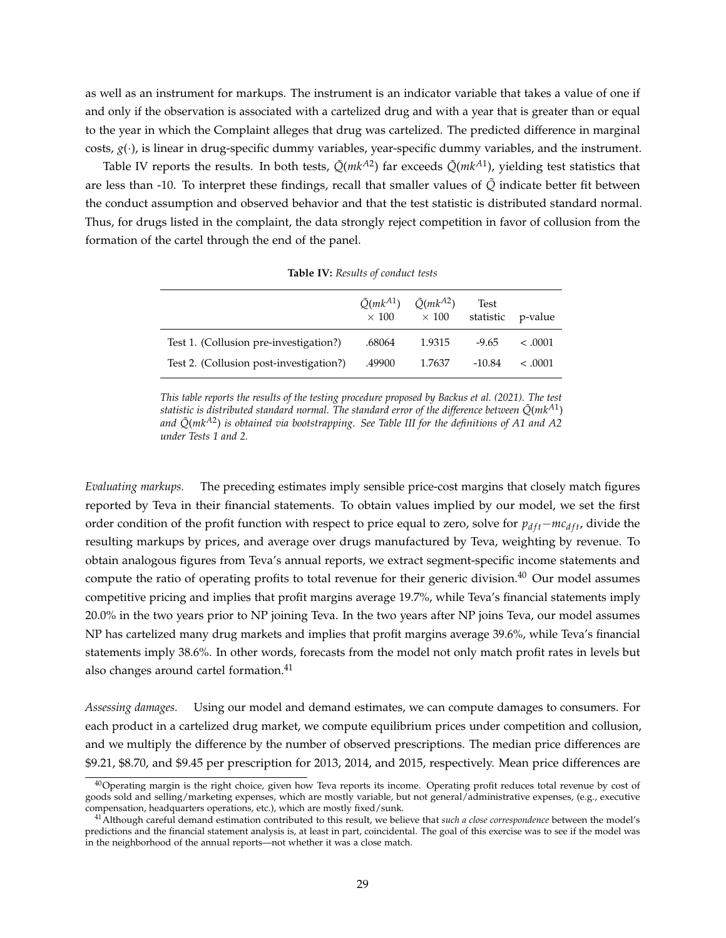as well as an instrument for markups. The instrument is an indicator variable that takes a value of one if and only if the observation is associated with a cartelized drug and with a year that is greater than or equal to the year in which the Complaint alleges that drug was cartelized. The predicted difference in marginal costs,  $g(\cdot)$ , is linear in drug-specific dummy variables, year-specific dummy variables, and the instrument.

Table IV reports the results. In both tests, *Q*˜(*mkA*<sup>2</sup> ) far exceeds *Q*˜(*mkA*<sup>1</sup> ), yielding test statistics that are less than -10. To interpret these findings, recall that smaller values of  $\tilde{Q}$  indicate better fit between the conduct assumption and observed behavior and that the test statistic is distributed standard normal. Thus, for drugs listed in the complaint, the data strongly reject competition in favor of collusion from the formation of the cartel through the end of the panel.

|                                         | $\tilde{Q}(mk^{A1})$<br>$\times$ 100 | $\tilde{O}(mk^{A2})$<br>$\times$ 100 | Test     | statistic p-value |
|-----------------------------------------|--------------------------------------|--------------------------------------|----------|-------------------|
| Test 1. (Collusion pre-investigation?)  | .68064                               | 1.9315                               | $-9.65$  | $\leq .0001$      |
| Test 2. (Collusion post-investigation?) | .49900                               | 1.7637                               | $-10.84$ | $\leq .0001$      |

**Table IV:** *Results of conduct tests*

*This table reports the results of the testing procedure proposed by Backus et al. (2021). The test* statistic is distributed standard normal. The standard error of the difference between  $\tilde{Q}$ (mk $^{A1})$ *and Q*˜(*mkA*<sup>2</sup> ) *is obtained via bootstrapping. See Table III for the definitions of A1 and A2 under Tests 1 and 2.*

*Evaluating markups.* The preceding estimates imply sensible price-cost margins that closely match figures reported by Teva in their financial statements. To obtain values implied by our model, we set the first order condition of the profit function with respect to price equal to zero, solve for  $p_{dft}-mc_{dft}$ , divide the resulting markups by prices, and average over drugs manufactured by Teva, weighting by revenue. To obtain analogous figures from Teva's annual reports, we extract segment-specific income statements and compute the ratio of operating profits to total revenue for their generic division.<sup>40</sup> Our model assumes competitive pricing and implies that profit margins average 19.7%, while Teva's financial statements imply 20.0% in the two years prior to NP joining Teva. In the two years after NP joins Teva, our model assumes NP has cartelized many drug markets and implies that profit margins average 39.6%, while Teva's financial statements imply 38.6%. In other words, forecasts from the model not only match profit rates in levels but also changes around cartel formation.<sup>41</sup>

*Assessing damages.* Using our model and demand estimates, we can compute damages to consumers. For each product in a cartelized drug market, we compute equilibrium prices under competition and collusion, and we multiply the difference by the number of observed prescriptions. The median price differences are \$9.21, \$8.70, and \$9.45 per prescription for 2013, 2014, and 2015, respectively. Mean price differences are

<sup>&</sup>lt;sup>40</sup>Operating margin is the right choice, given how Teva reports its income. Operating profit reduces total revenue by cost of goods sold and selling/marketing expenses, which are mostly variable, but not general/administrative expenses, (e.g., executive compensation, headquarters operations, etc.), which are mostly fixed/sunk.

<sup>41</sup>Although careful demand estimation contributed to this result, we believe that *such a close correspondence* between the model's predictions and the financial statement analysis is, at least in part, coincidental. The goal of this exercise was to see if the model was in the neighborhood of the annual reports—not whether it was a close match.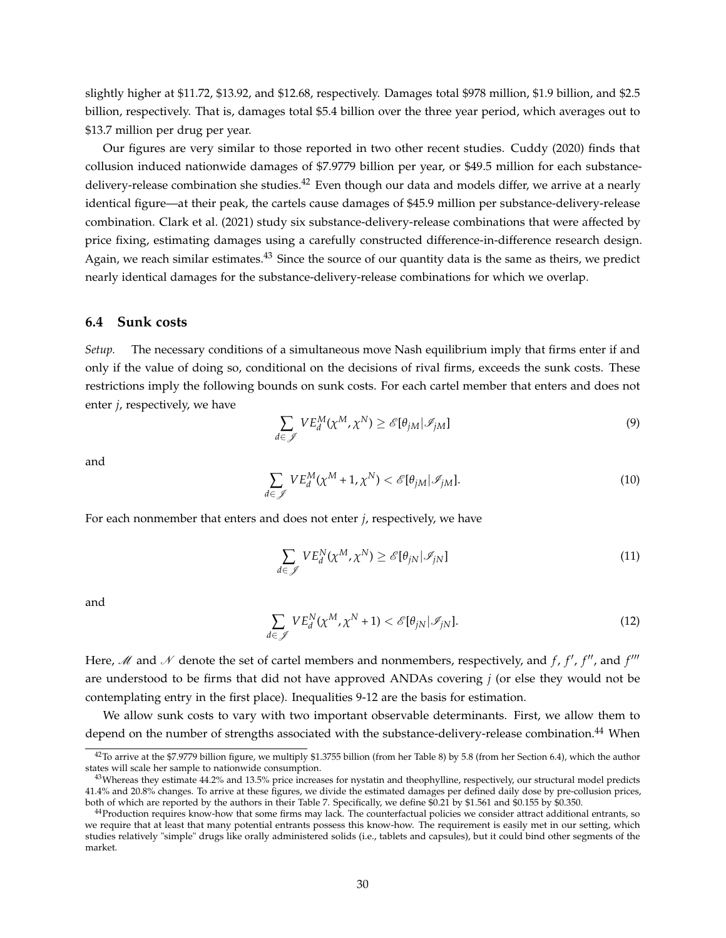slightly higher at \$11.72, \$13.92, and \$12.68, respectively. Damages total \$978 million, \$1.9 billion, and \$2.5 billion, respectively. That is, damages total \$5.4 billion over the three year period, which averages out to \$13.7 million per drug per year.

Our figures are very similar to those reported in two other recent studies. Cuddy (2020) finds that collusion induced nationwide damages of \$7.9779 billion per year, or \$49.5 million for each substancedelivery-release combination she studies.<sup>42</sup> Even though our data and models differ, we arrive at a nearly identical figure—at their peak, the cartels cause damages of \$45.9 million per substance-delivery-release combination. Clark et al. (2021) study six substance-delivery-release combinations that were affected by price fixing, estimating damages using a carefully constructed difference-in-difference research design. Again, we reach similar estimates.<sup>43</sup> Since the source of our quantity data is the same as theirs, we predict nearly identical damages for the substance-delivery-release combinations for which we overlap.

#### **6.4 Sunk costs**

*Setup.* The necessary conditions of a simultaneous move Nash equilibrium imply that firms enter if and only if the value of doing so, conditional on the decisions of rival firms, exceeds the sunk costs. These restrictions imply the following bounds on sunk costs. For each cartel member that enters and does not enter *j*, respectively, we have

$$
\sum_{d \in \mathscr{J}} V E_d^M(\chi^M, \chi^N) \ge \mathscr{E}[\theta_{jM} | \mathscr{I}_{jM}]
$$
\n(9)

and

$$
\sum_{d \in \mathscr{J}} V E_d^M(\chi^M + 1, \chi^N) < \mathscr{E}[\theta_{jM} | \mathscr{I}_{jM}]. \tag{10}
$$

For each nonmember that enters and does not enter *j*, respectively, we have

$$
\sum_{d \in \mathscr{J}} V E_d^N(\chi^M, \chi^N) \ge \mathscr{E}[\theta_{jN} | \mathscr{I}_{jN}]
$$
\n(11)

and

$$
\sum_{d \in \mathscr{J}} V E_d^N(\chi^M, \chi^N + 1) < \mathscr{E}[\theta_{jN} | \mathscr{I}_{jN}]. \tag{12}
$$

Here, M and N denote the set of cartel members and nonmembers, respectively, and  $f$ ,  $f'$ ,  $f''$ , and  $f'''$ are understood to be firms that did not have approved ANDAs covering *j* (or else they would not be contemplating entry in the first place). Inequalities 9-12 are the basis for estimation.

We allow sunk costs to vary with two important observable determinants. First, we allow them to depend on the number of strengths associated with the substance-delivery-release combination.<sup>44</sup> When

<sup>&</sup>lt;sup>42</sup>To arrive at the \$7.9779 billion figure, we multiply \$1.3755 billion (from her Table 8) by 5.8 (from her Section 6.4), which the author states will scale her sample to nationwide consumption.

 $43$ Whereas they estimate  $44.2\%$  and  $13.5\%$  price increases for nystatin and theophylline, respectively, our structural model predicts 41.4% and 20.8% changes. To arrive at these figures, we divide the estimated damages per defined daily dose by pre-collusion prices, both of which are reported by the authors in their Table 7. Specifically, we define \$0.21 by \$1.561 and \$0.155 by \$0.350.

<sup>&</sup>lt;sup>44</sup>Production requires know-how that some firms may lack. The counterfactual policies we consider attract additional entrants, so we require that at least that many potential entrants possess this know-how. The requirement is easily met in our setting, which studies relatively "simple" drugs like orally administered solids (i.e., tablets and capsules), but it could bind other segments of the market.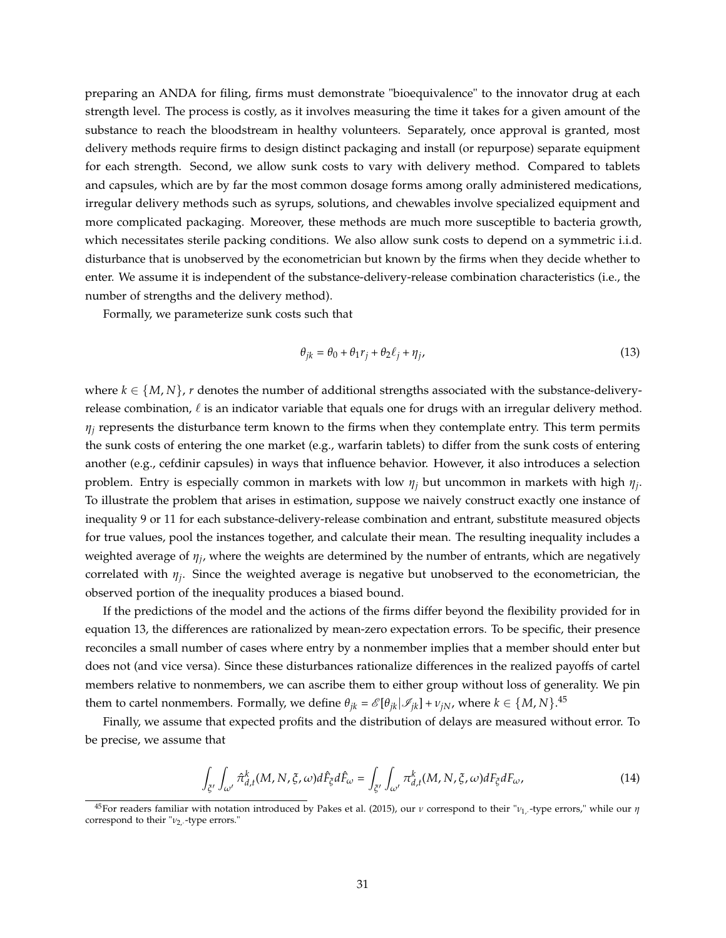preparing an ANDA for filing, firms must demonstrate "bioequivalence" to the innovator drug at each strength level. The process is costly, as it involves measuring the time it takes for a given amount of the substance to reach the bloodstream in healthy volunteers. Separately, once approval is granted, most delivery methods require firms to design distinct packaging and install (or repurpose) separate equipment for each strength. Second, we allow sunk costs to vary with delivery method. Compared to tablets and capsules, which are by far the most common dosage forms among orally administered medications, irregular delivery methods such as syrups, solutions, and chewables involve specialized equipment and more complicated packaging. Moreover, these methods are much more susceptible to bacteria growth, which necessitates sterile packing conditions. We also allow sunk costs to depend on a symmetric i.i.d. disturbance that is unobserved by the econometrician but known by the firms when they decide whether to enter. We assume it is independent of the substance-delivery-release combination characteristics (i.e., the number of strengths and the delivery method).

Formally, we parameterize sunk costs such that

$$
\theta_{jk} = \theta_0 + \theta_1 r_j + \theta_2 \ell_j + \eta_j,\tag{13}
$$

where  $k \in \{M, N\}$ , *r* denotes the number of additional strengths associated with the substance-deliveryrelease combination,  $\ell$  is an indicator variable that equals one for drugs with an irregular delivery method.  $\eta$ <sup>*j*</sup> represents the disturbance term known to the firms when they contemplate entry. This term permits the sunk costs of entering the one market (e.g., warfarin tablets) to differ from the sunk costs of entering another (e.g., cefdinir capsules) in ways that influence behavior. However, it also introduces a selection problem. Entry is especially common in markets with low *η<sup>j</sup>* but uncommon in markets with high *η<sup>j</sup>* . To illustrate the problem that arises in estimation, suppose we naively construct exactly one instance of inequality 9 or 11 for each substance-delivery-release combination and entrant, substitute measured objects for true values, pool the instances together, and calculate their mean. The resulting inequality includes a weighted average of *η<sup>j</sup>* , where the weights are determined by the number of entrants, which are negatively correlated with *η<sup>j</sup>* . Since the weighted average is negative but unobserved to the econometrician, the observed portion of the inequality produces a biased bound.

If the predictions of the model and the actions of the firms differ beyond the flexibility provided for in equation 13, the differences are rationalized by mean-zero expectation errors. To be specific, their presence reconciles a small number of cases where entry by a nonmember implies that a member should enter but does not (and vice versa). Since these disturbances rationalize differences in the realized payoffs of cartel members relative to nonmembers, we can ascribe them to either group without loss of generality. We pin them to cartel nonmembers. Formally, we define  $\theta_{jk} = \mathscr{E}[\theta_{jk}|\mathscr{I}_{jk}] + \nu_{jN}$ , where  $k \in \{M, N\}$ .<sup>45</sup>

Finally, we assume that expected profits and the distribution of delays are measured without error. To be precise, we assume that

$$
\int_{\tilde{\zeta}'} \int_{\omega'} \hat{\pi}_{d,t}^k(M, N, \xi, \omega) d\hat{F}_{\xi} d\hat{F}_{\omega} = \int_{\tilde{\zeta}'} \int_{\omega'} \pi_{d,t}^k(M, N, \xi, \omega) dF_{\xi} dF_{\omega}, \tag{14}
$$

<sup>45</sup>For readers familiar with notation introduced by Pakes et al. (2015), our *ν* correspond to their "*ν*1,· -type errors," while our *η* correspond to their "*ν*2,· -type errors."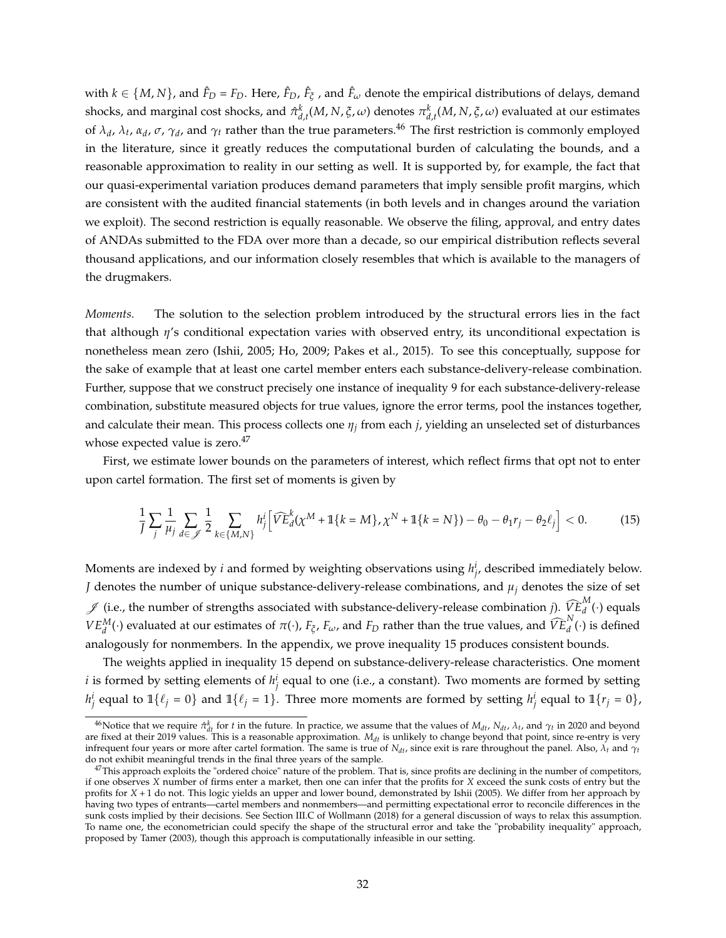with  $k \in \{M, N\}$ , and  $\hat{F}_D = F_D$ . Here,  $\hat{F}_D$ ,  $\hat{F}_\xi$ , and  $\hat{F}_\omega$  denote the empirical distributions of delays, demand shocks, and marginal cost shocks, and  $\hat{\pi}^k_{d,t}(M,N,\xi,\omega)$  denotes  $\pi^k_{d,t}(M,N,\xi,\omega)$  evaluated at our estimates of  $\lambda_d$ ,  $\lambda_t$ ,  $\alpha_d$ ,  $\sigma$ ,  $\gamma_d$ , and  $\gamma_t$  rather than the true parameters.<sup>46</sup> The first restriction is commonly employed in the literature, since it greatly reduces the computational burden of calculating the bounds, and a reasonable approximation to reality in our setting as well. It is supported by, for example, the fact that our quasi-experimental variation produces demand parameters that imply sensible profit margins, which are consistent with the audited financial statements (in both levels and in changes around the variation we exploit). The second restriction is equally reasonable. We observe the filing, approval, and entry dates of ANDAs submitted to the FDA over more than a decade, so our empirical distribution reflects several thousand applications, and our information closely resembles that which is available to the managers of the drugmakers.

*Moments.* The solution to the selection problem introduced by the structural errors lies in the fact that although *η*'s conditional expectation varies with observed entry, its unconditional expectation is nonetheless mean zero (Ishii, 2005; Ho, 2009; Pakes et al., 2015). To see this conceptually, suppose for the sake of example that at least one cartel member enters each substance-delivery-release combination. Further, suppose that we construct precisely one instance of inequality 9 for each substance-delivery-release combination, substitute measured objects for true values, ignore the error terms, pool the instances together, and calculate their mean. This process collects one *η<sup>j</sup>* from each *j*, yielding an unselected set of disturbances whose expected value is zero.<sup>47</sup>

First, we estimate lower bounds on the parameters of interest, which reflect firms that opt not to enter upon cartel formation. The first set of moments is given by

$$
\frac{1}{J} \sum_{j} \frac{1}{\mu_j} \sum_{d \in \mathcal{J}} \frac{1}{2} \sum_{k \in \{M, N\}} h_j^i \Big[ \widehat{VE}^k_d(\chi^M + \mathbb{1}\{k = M\}, \chi^N + \mathbb{1}\{k = N\}) - \theta_0 - \theta_1 r_j - \theta_2 \ell_j \Big] < 0. \tag{15}
$$

Moments are indexed by *i* and formed by weighting observations using  $h^i_{j'}$  described immediately below. *J* denotes the number of unique substance-delivery-release combinations, and  $\mu_j$  denotes the size of set  $\mathscr{J}$  (i.e., the number of strengths associated with substance-delivery-release combination *j*).  $\widehat{V}_{d}^{E}$ <sup>*M*</sup> $(d \cdot)$  equals *VE*<sup>*M*</sup>(·) evaluated at our estimates of *π*(·), *F<sub>ζ</sub>*, *F<sub>ω</sub>*, and *F<sub>D</sub>* rather than the true values, and  $\widehat{VE}_{d}^{N}(\cdot)$  is defined analogously for nonmembers. In the appendix, we prove inequality 15 produces consistent bounds.

The weights applied in inequality 15 depend on substance-delivery-release characteristics. One moment *i* is formed by setting elements of  $h^i_j$  equal to one (i.e., a constant). Two moments are formed by setting  $h^i_j$  equal to  $\mathbb{1}\{\ell_j = 0\}$  and  $\mathbb{1}\{\ell_j = 1\}$ . Three more moments are formed by setting  $h^i_j$  equal to  $\mathbb{1}\{r_j = 0\}$ ,

<sup>&</sup>lt;sup>46</sup>Notice that we require  $\hat{\pi}_{dt}^{k}$  for *t* in the future. In practice, we assume that the values of  $M_{dt}$ ,  $N_{dt}$ ,  $\lambda_t$ , and  $\gamma_t$  in 2020 and beyond are fixed at their 2019 values. This is a reasonable approximation.  $M_{dt}$  is unlikely to change beyond that point, since re-entry is very infrequent four years or more after cartel formation. The same is true of *Ndt*, since exit is rare throughout the panel. Also, *λ<sup>t</sup>* and *γ<sup>t</sup>* do not exhibit meaningful trends in the final three years of the sample.

 $^{47}$ This approach exploits the "ordered choice" nature of the problem. That is, since profits are declining in the number of competitors, if one observes *X* number of firms enter a market, then one can infer that the profits for *X* exceed the sunk costs of entry but the profits for *X* + 1 do not. This logic yields an upper and lower bound, demonstrated by Ishii (2005). We differ from her approach by having two types of entrants—cartel members and nonmembers—and permitting expectational error to reconcile differences in the sunk costs implied by their decisions. See Section III.C of Wollmann (2018) for a general discussion of ways to relax this assumption. To name one, the econometrician could specify the shape of the structural error and take the "probability inequality" approach, proposed by Tamer (2003), though this approach is computationally infeasible in our setting.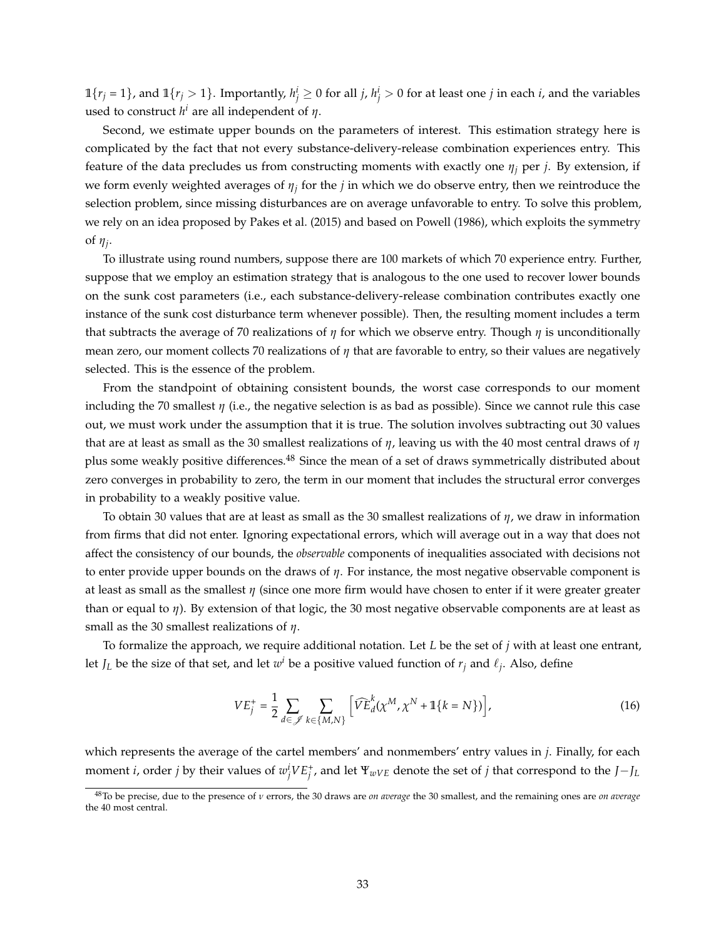$1\{r_j = 1\}$ , and  $1\{r_j > 1\}$ . Importantly,  $h_j^i \ge 0$  for all *j*,  $h_j^i > 0$  for at least one *j* in each *i*, and the variables used to construct  $h^i$  are all independent of  $\eta$ .

Second, we estimate upper bounds on the parameters of interest. This estimation strategy here is complicated by the fact that not every substance-delivery-release combination experiences entry. This feature of the data precludes us from constructing moments with exactly one  $\eta_i$  per *j*. By extension, if we form evenly weighted averages of *η<sup>j</sup>* for the *j* in which we do observe entry, then we reintroduce the selection problem, since missing disturbances are on average unfavorable to entry. To solve this problem, we rely on an idea proposed by Pakes et al. (2015) and based on Powell (1986), which exploits the symmetry of *η<sup>j</sup>* .

To illustrate using round numbers, suppose there are 100 markets of which 70 experience entry. Further, suppose that we employ an estimation strategy that is analogous to the one used to recover lower bounds on the sunk cost parameters (i.e., each substance-delivery-release combination contributes exactly one instance of the sunk cost disturbance term whenever possible). Then, the resulting moment includes a term that subtracts the average of 70 realizations of *η* for which we observe entry. Though *η* is unconditionally mean zero, our moment collects 70 realizations of *η* that are favorable to entry, so their values are negatively selected. This is the essence of the problem.

From the standpoint of obtaining consistent bounds, the worst case corresponds to our moment including the 70 smallest  $\eta$  (i.e., the negative selection is as bad as possible). Since we cannot rule this case out, we must work under the assumption that it is true. The solution involves subtracting out 30 values that are at least as small as the 30 smallest realizations of *η*, leaving us with the 40 most central draws of *η* plus some weakly positive differences.<sup>48</sup> Since the mean of a set of draws symmetrically distributed about zero converges in probability to zero, the term in our moment that includes the structural error converges in probability to a weakly positive value.

To obtain 30 values that are at least as small as the 30 smallest realizations of *η*, we draw in information from firms that did not enter. Ignoring expectational errors, which will average out in a way that does not affect the consistency of our bounds, the *observable* components of inequalities associated with decisions not to enter provide upper bounds on the draws of *η*. For instance, the most negative observable component is at least as small as the smallest *η* (since one more firm would have chosen to enter if it were greater greater than or equal to *η*). By extension of that logic, the 30 most negative observable components are at least as small as the 30 smallest realizations of *η*.

To formalize the approach, we require additional notation. Let *L* be the set of *j* with at least one entrant, let  $J_L$  be the size of that set, and let  $w^i$  be a positive valued function of  $r_j$  and  $\ell_j$ . Also, define

$$
VE_j^+ = \frac{1}{2} \sum_{d \in \mathcal{J}} \sum_{k \in \{M, N\}} \left[ \widehat{VE}_d^k(\chi^M, \chi^N + \mathbb{1}\{k = N\}) \right],\tag{16}
$$

which represents the average of the cartel members' and nonmembers' entry values in *j*. Finally, for each moment *i*, order *j* by their values of  $w_j^i V E_j^+$ , and let  $\Psi_{wVE}$  denote the set of *j* that correspond to the *J*−*J*<sub>*L*</sub>

<sup>48</sup>To be precise, due to the presence of *ν* errors, the 30 draws are *on average* the 30 smallest, and the remaining ones are *on average* the 40 most central.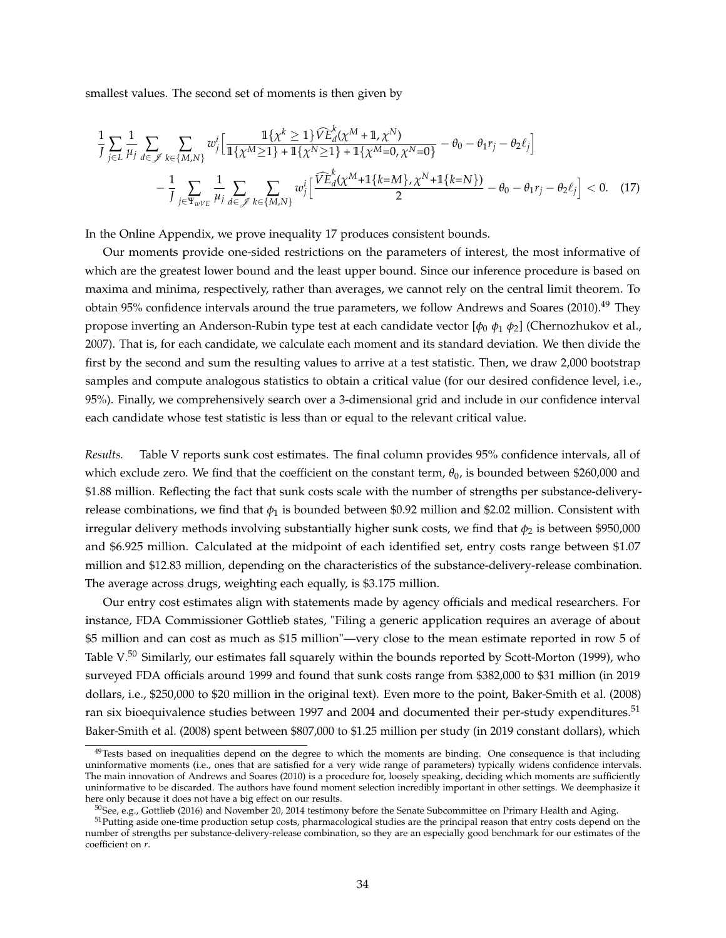smallest values. The second set of moments is then given by

$$
\frac{1}{J} \sum_{j \in L} \frac{1}{\mu_j} \sum_{d \in \mathcal{J}} \sum_{k \in \{M, N\}} w_j^i \Big[ \frac{\mathbb{1}\{\chi^k \ge 1\} \widehat{VE}_d^k(\chi^M + \mathbb{1}, \chi^N)}{\mathbb{1}\{\chi^M \ge 1\} + \mathbb{1}\{\chi^N \ge 1\} + \mathbb{1}\{\chi^M = 0, \chi^N = 0\}} - \theta_0 - \theta_1 r_j - \theta_2 \ell_j \Big] - \frac{1}{J} \sum_{j \in \Psi_{wVE}} \frac{1}{\mu_j} \sum_{d \in \mathcal{J}} \sum_{k \in \{M, N\}} w_j^i \Big[ \frac{\widehat{VE}_d^k(\chi^M + \mathbb{1}\{k = M\}, \chi^N + \mathbb{1}\{k = N\})}{2} - \theta_0 - \theta_1 r_j - \theta_2 \ell_j \Big] < 0. \tag{17}
$$

In the Online Appendix, we prove inequality 17 produces consistent bounds.

Our moments provide one-sided restrictions on the parameters of interest, the most informative of which are the greatest lower bound and the least upper bound. Since our inference procedure is based on maxima and minima, respectively, rather than averages, we cannot rely on the central limit theorem. To obtain 95% confidence intervals around the true parameters, we follow Andrews and Soares (2010).<sup>49</sup> They propose inverting an Anderson-Rubin type test at each candidate vector [*φ*<sup>0</sup> *φ*<sup>1</sup> *φ*2] (Chernozhukov et al., 2007). That is, for each candidate, we calculate each moment and its standard deviation. We then divide the first by the second and sum the resulting values to arrive at a test statistic. Then, we draw 2,000 bootstrap samples and compute analogous statistics to obtain a critical value (for our desired confidence level, i.e., 95%). Finally, we comprehensively search over a 3-dimensional grid and include in our confidence interval each candidate whose test statistic is less than or equal to the relevant critical value.

*Results.* Table V reports sunk cost estimates. The final column provides 95% confidence intervals, all of which exclude zero. We find that the coefficient on the constant term,  $\theta_0$ , is bounded between \$260,000 and \$1.88 million. Reflecting the fact that sunk costs scale with the number of strengths per substance-deliveryrelease combinations, we find that *φ*<sup>1</sup> is bounded between \$0.92 million and \$2.02 million. Consistent with irregular delivery methods involving substantially higher sunk costs, we find that  $\phi_2$  is between \$950,000 and \$6.925 million. Calculated at the midpoint of each identified set, entry costs range between \$1.07 million and \$12.83 million, depending on the characteristics of the substance-delivery-release combination. The average across drugs, weighting each equally, is \$3.175 million.

Our entry cost estimates align with statements made by agency officials and medical researchers. For instance, FDA Commissioner Gottlieb states, "Filing a generic application requires an average of about \$5 million and can cost as much as \$15 million"—very close to the mean estimate reported in row 5 of Table  $V^{50}$  Similarly, our estimates fall squarely within the bounds reported by Scott-Morton (1999), who surveyed FDA officials around 1999 and found that sunk costs range from \$382,000 to \$31 million (in 2019 dollars, i.e., \$250,000 to \$20 million in the original text). Even more to the point, Baker-Smith et al. (2008) ran six bioequivalence studies between 1997 and 2004 and documented their per-study expenditures.<sup>51</sup> Baker-Smith et al. (2008) spent between \$807,000 to \$1.25 million per study (in 2019 constant dollars), which

<sup>&</sup>lt;sup>49</sup>Tests based on inequalities depend on the degree to which the moments are binding. One consequence is that including uninformative moments (i.e., ones that are satisfied for a very wide range of parameters) typically widens confidence intervals. The main innovation of Andrews and Soares (2010) is a procedure for, loosely speaking, deciding which moments are sufficiently uninformative to be discarded. The authors have found moment selection incredibly important in other settings. We deemphasize it here only because it does not have a big effect on our results.

<sup>50</sup>See, e.g., Gottlieb (2016) and November 20, 2014 testimony before the Senate Subcommittee on Primary Health and Aging.

<sup>&</sup>lt;sup>51</sup>Putting aside one-time production setup costs, pharmacological studies are the principal reason that entry costs depend on the number of strengths per substance-delivery-release combination, so they are an especially good benchmark for our estimates of the coefficient on *r*.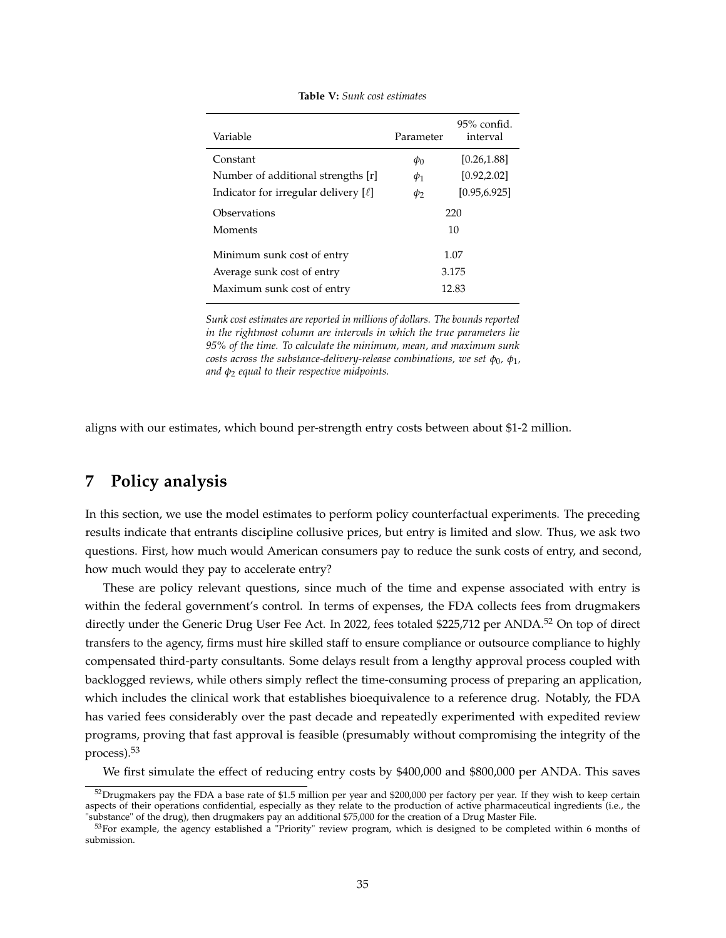| Parameter                | $95\%$ confid.<br>interval |  |
|--------------------------|----------------------------|--|
| [0.26, 1.88]<br>$\phi_0$ |                            |  |
| $\phi_1$                 | [0.92, 2.02]               |  |
| $\phi_2$                 | [0.95.6.925]               |  |
| 220                      |                            |  |
| 10                       |                            |  |
| 1.07                     |                            |  |
| 3.175                    |                            |  |
| 12.83                    |                            |  |
|                          |                            |  |

**Table V:** *Sunk cost estimates*

*Sunk cost estimates are reported in millions of dollars. The bounds reported in the rightmost column are intervals in which the true parameters lie 95% of the time. To calculate the minimum, mean, and maximum sunk*  $\epsilon$  *costs across the substance-delivery-release combinations, we set*  $\phi_0$ *,*  $\phi_1$ *, and φ*<sup>2</sup> *equal to their respective midpoints.*

aligns with our estimates, which bound per-strength entry costs between about \$1-2 million.

## **7 Policy analysis**

In this section, we use the model estimates to perform policy counterfactual experiments. The preceding results indicate that entrants discipline collusive prices, but entry is limited and slow. Thus, we ask two questions. First, how much would American consumers pay to reduce the sunk costs of entry, and second, how much would they pay to accelerate entry?

These are policy relevant questions, since much of the time and expense associated with entry is within the federal government's control. In terms of expenses, the FDA collects fees from drugmakers directly under the Generic Drug User Fee Act. In 2022, fees totaled \$225,712 per ANDA.<sup>52</sup> On top of direct transfers to the agency, firms must hire skilled staff to ensure compliance or outsource compliance to highly compensated third-party consultants. Some delays result from a lengthy approval process coupled with backlogged reviews, while others simply reflect the time-consuming process of preparing an application, which includes the clinical work that establishes bioequivalence to a reference drug. Notably, the FDA has varied fees considerably over the past decade and repeatedly experimented with expedited review programs, proving that fast approval is feasible (presumably without compromising the integrity of the process).<sup>53</sup>

We first simulate the effect of reducing entry costs by \$400,000 and \$800,000 per ANDA. This saves

<sup>&</sup>lt;sup>52</sup>Drugmakers pay the FDA a base rate of \$1.5 million per year and \$200,000 per factory per year. If they wish to keep certain aspects of their operations confidential, especially as they relate to the production of active pharmaceutical ingredients (i.e., the "substance" of the drug), then drugmakers pay an additional \$75,000 for the creation of a Drug Master File.

<sup>&</sup>lt;sup>53</sup>For example, the agency established a "Priority" review program, which is designed to be completed within 6 months of submission.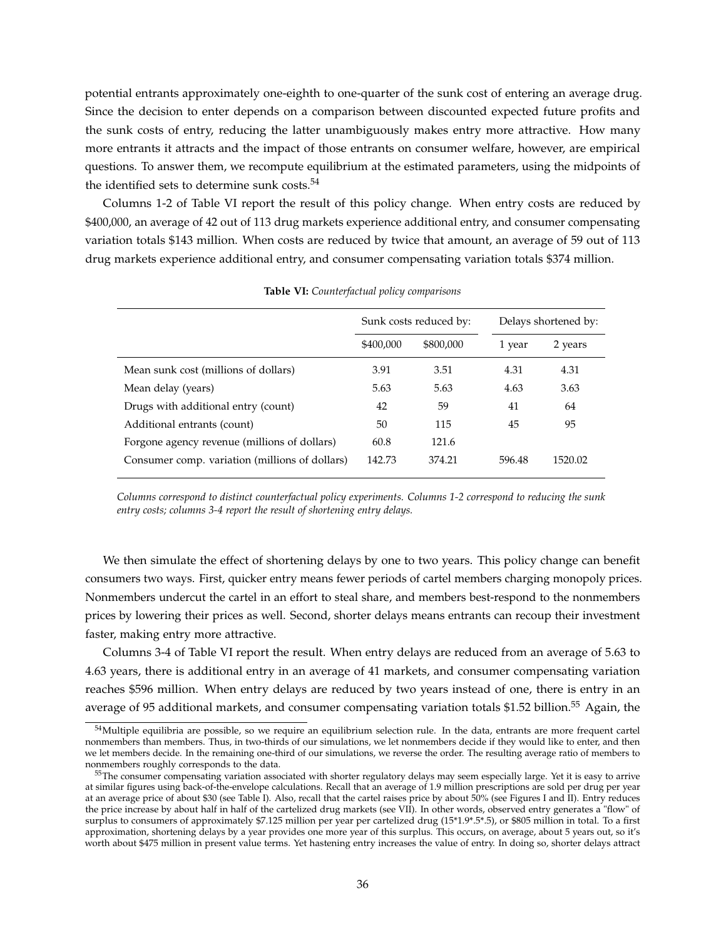potential entrants approximately one-eighth to one-quarter of the sunk cost of entering an average drug. Since the decision to enter depends on a comparison between discounted expected future profits and the sunk costs of entry, reducing the latter unambiguously makes entry more attractive. How many more entrants it attracts and the impact of those entrants on consumer welfare, however, are empirical questions. To answer them, we recompute equilibrium at the estimated parameters, using the midpoints of the identified sets to determine sunk costs.<sup>54</sup>

Columns 1-2 of Table VI report the result of this policy change. When entry costs are reduced by \$400,000, an average of 42 out of 113 drug markets experience additional entry, and consumer compensating variation totals \$143 million. When costs are reduced by twice that amount, an average of 59 out of 113 drug markets experience additional entry, and consumer compensating variation totals \$374 million.

|                                                | Sunk costs reduced by: |           | Delays shortened by: |         |
|------------------------------------------------|------------------------|-----------|----------------------|---------|
|                                                | \$400,000              | \$800,000 | 1 year               | 2 years |
| Mean sunk cost (millions of dollars)           | 3.91                   | 3.51      | 4.31                 | 4.31    |
| Mean delay (years)                             | 5.63                   | 5.63      | 4.63                 | 3.63    |
| Drugs with additional entry (count)            | 42                     | 59        | 41                   | 64      |
| Additional entrants (count)                    | 50                     | 115       | 45                   | 95      |
| Forgone agency revenue (millions of dollars)   | 60.8                   | 121.6     |                      |         |
| Consumer comp. variation (millions of dollars) | 142.73                 | 374.21    | 596.48               | 1520.02 |

**Table VI:** *Counterfactual policy comparisons*

*Columns correspond to distinct counterfactual policy experiments. Columns 1-2 correspond to reducing the sunk entry costs; columns 3-4 report the result of shortening entry delays.*

We then simulate the effect of shortening delays by one to two years. This policy change can benefit consumers two ways. First, quicker entry means fewer periods of cartel members charging monopoly prices. Nonmembers undercut the cartel in an effort to steal share, and members best-respond to the nonmembers prices by lowering their prices as well. Second, shorter delays means entrants can recoup their investment faster, making entry more attractive.

Columns 3-4 of Table VI report the result. When entry delays are reduced from an average of 5.63 to 4.63 years, there is additional entry in an average of 41 markets, and consumer compensating variation reaches \$596 million. When entry delays are reduced by two years instead of one, there is entry in an average of 95 additional markets, and consumer compensating variation totals \$1.52 billion.<sup>55</sup> Again, the

<sup>&</sup>lt;sup>54</sup>Multiple equilibria are possible, so we require an equilibrium selection rule. In the data, entrants are more frequent cartel nonmembers than members. Thus, in two-thirds of our simulations, we let nonmembers decide if they would like to enter, and then we let members decide. In the remaining one-third of our simulations, we reverse the order. The resulting average ratio of members to nonmembers roughly corresponds to the data.

<sup>55</sup>The consumer compensating variation associated with shorter regulatory delays may seem especially large. Yet it is easy to arrive at similar figures using back-of-the-envelope calculations. Recall that an average of 1.9 million prescriptions are sold per drug per year at an average price of about \$30 (see Table I). Also, recall that the cartel raises price by about 50% (see Figures I and II). Entry reduces the price increase by about half in half of the cartelized drug markets (see VII). In other words, observed entry generates a "flow" of surplus to consumers of approximately \$7.125 million per year per cartelized drug (15\*1.9\*.5\*.5), or \$805 million in total. To a first approximation, shortening delays by a year provides one more year of this surplus. This occurs, on average, about 5 years out, so it's worth about \$475 million in present value terms. Yet hastening entry increases the value of entry. In doing so, shorter delays attract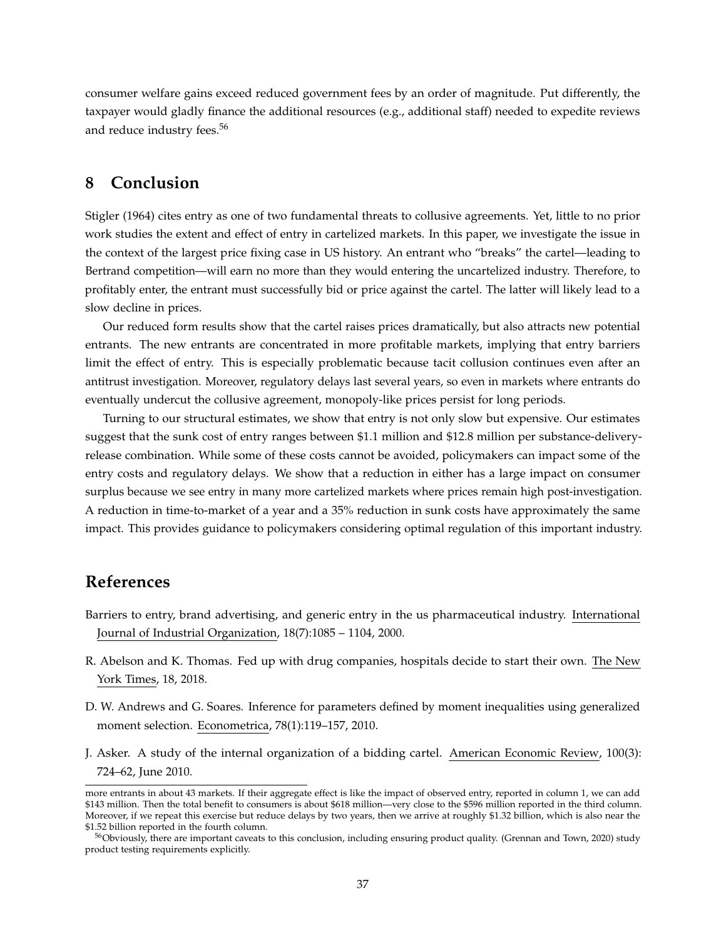consumer welfare gains exceed reduced government fees by an order of magnitude. Put differently, the taxpayer would gladly finance the additional resources (e.g., additional staff) needed to expedite reviews and reduce industry fees.<sup>56</sup>

## **8 Conclusion**

Stigler (1964) cites entry as one of two fundamental threats to collusive agreements. Yet, little to no prior work studies the extent and effect of entry in cartelized markets. In this paper, we investigate the issue in the context of the largest price fixing case in US history. An entrant who "breaks" the cartel—leading to Bertrand competition—will earn no more than they would entering the uncartelized industry. Therefore, to profitably enter, the entrant must successfully bid or price against the cartel. The latter will likely lead to a slow decline in prices.

Our reduced form results show that the cartel raises prices dramatically, but also attracts new potential entrants. The new entrants are concentrated in more profitable markets, implying that entry barriers limit the effect of entry. This is especially problematic because tacit collusion continues even after an antitrust investigation. Moreover, regulatory delays last several years, so even in markets where entrants do eventually undercut the collusive agreement, monopoly-like prices persist for long periods.

Turning to our structural estimates, we show that entry is not only slow but expensive. Our estimates suggest that the sunk cost of entry ranges between \$1.1 million and \$12.8 million per substance-deliveryrelease combination. While some of these costs cannot be avoided, policymakers can impact some of the entry costs and regulatory delays. We show that a reduction in either has a large impact on consumer surplus because we see entry in many more cartelized markets where prices remain high post-investigation. A reduction in time-to-market of a year and a 35% reduction in sunk costs have approximately the same impact. This provides guidance to policymakers considering optimal regulation of this important industry.

## **References**

- Barriers to entry, brand advertising, and generic entry in the us pharmaceutical industry. International Journal of Industrial Organization, 18(7):1085 – 1104, 2000.
- R. Abelson and K. Thomas. Fed up with drug companies, hospitals decide to start their own. The New York Times, 18, 2018.
- D. W. Andrews and G. Soares. Inference for parameters defined by moment inequalities using generalized moment selection. Econometrica, 78(1):119–157, 2010.
- J. Asker. A study of the internal organization of a bidding cartel. American Economic Review, 100(3): 724–62, June 2010.

more entrants in about 43 markets. If their aggregate effect is like the impact of observed entry, reported in column 1, we can add \$143 million. Then the total benefit to consumers is about \$618 million—very close to the \$596 million reported in the third column. Moreover, if we repeat this exercise but reduce delays by two years, then we arrive at roughly \$1.32 billion, which is also near the \$1.52 billion reported in the fourth column.

<sup>&</sup>lt;sup>56</sup>Obviously, there are important caveats to this conclusion, including ensuring product quality. (Grennan and Town, 2020) study product testing requirements explicitly.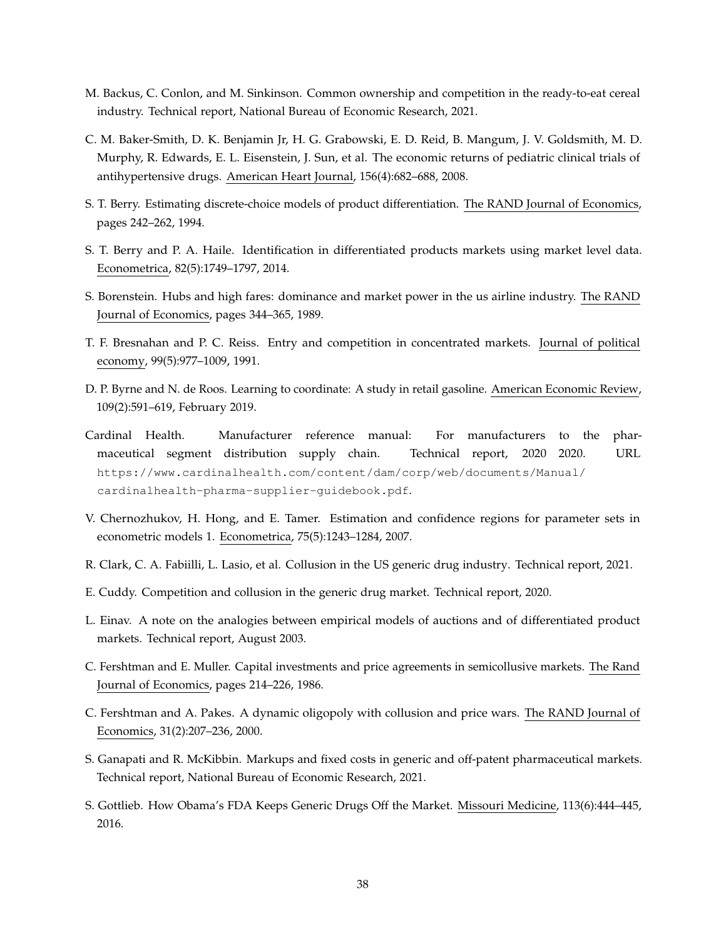- M. Backus, C. Conlon, and M. Sinkinson. Common ownership and competition in the ready-to-eat cereal industry. Technical report, National Bureau of Economic Research, 2021.
- C. M. Baker-Smith, D. K. Benjamin Jr, H. G. Grabowski, E. D. Reid, B. Mangum, J. V. Goldsmith, M. D. Murphy, R. Edwards, E. L. Eisenstein, J. Sun, et al. The economic returns of pediatric clinical trials of antihypertensive drugs. American Heart Journal, 156(4):682–688, 2008.
- S. T. Berry. Estimating discrete-choice models of product differentiation. The RAND Journal of Economics, pages 242–262, 1994.
- S. T. Berry and P. A. Haile. Identification in differentiated products markets using market level data. Econometrica, 82(5):1749–1797, 2014.
- S. Borenstein. Hubs and high fares: dominance and market power in the us airline industry. The RAND Journal of Economics, pages 344–365, 1989.
- T. F. Bresnahan and P. C. Reiss. Entry and competition in concentrated markets. Journal of political economy, 99(5):977–1009, 1991.
- D. P. Byrne and N. de Roos. Learning to coordinate: A study in retail gasoline. American Economic Review, 109(2):591–619, February 2019.
- Cardinal Health. Manufacturer reference manual: For manufacturers to the pharmaceutical segment distribution supply chain. Technical report, 2020 2020. URL https://www.cardinalhealth.com/content/dam/corp/web/documents/Manual/ cardinalhealth-pharma-supplier-guidebook.pdf.
- V. Chernozhukov, H. Hong, and E. Tamer. Estimation and confidence regions for parameter sets in econometric models 1. Econometrica, 75(5):1243–1284, 2007.
- R. Clark, C. A. Fabiilli, L. Lasio, et al. Collusion in the US generic drug industry. Technical report, 2021.
- E. Cuddy. Competition and collusion in the generic drug market. Technical report, 2020.
- L. Einav. A note on the analogies between empirical models of auctions and of differentiated product markets. Technical report, August 2003.
- C. Fershtman and E. Muller. Capital investments and price agreements in semicollusive markets. The Rand Journal of Economics, pages 214–226, 1986.
- C. Fershtman and A. Pakes. A dynamic oligopoly with collusion and price wars. The RAND Journal of Economics, 31(2):207–236, 2000.
- S. Ganapati and R. McKibbin. Markups and fixed costs in generic and off-patent pharmaceutical markets. Technical report, National Bureau of Economic Research, 2021.
- S. Gottlieb. How Obama's FDA Keeps Generic Drugs Off the Market. Missouri Medicine, 113(6):444–445, 2016.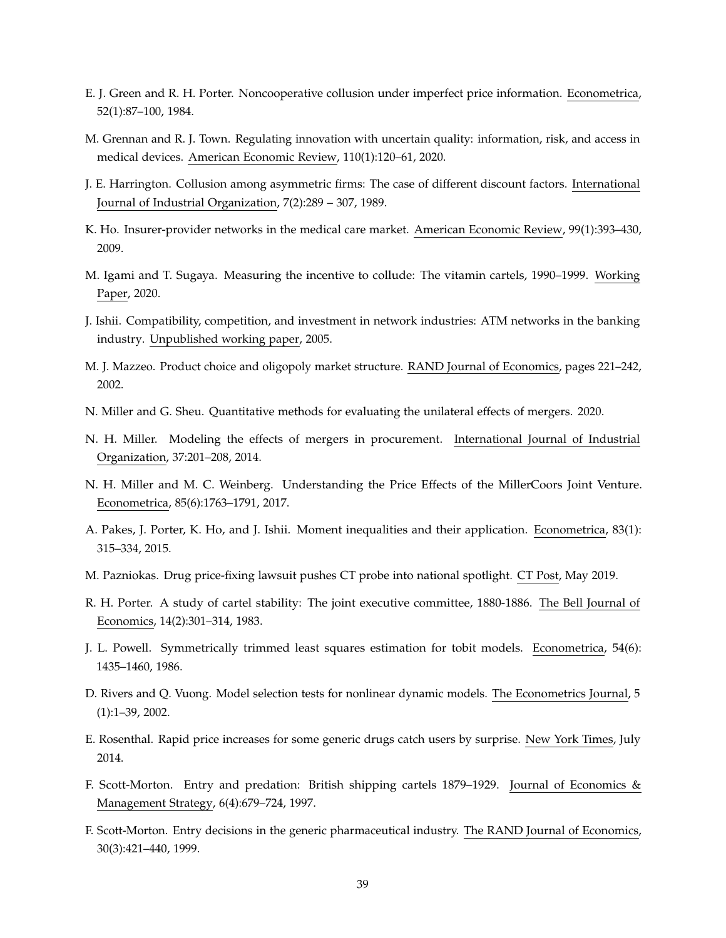- E. J. Green and R. H. Porter. Noncooperative collusion under imperfect price information. Econometrica, 52(1):87–100, 1984.
- M. Grennan and R. J. Town. Regulating innovation with uncertain quality: information, risk, and access in medical devices. American Economic Review, 110(1):120–61, 2020.
- J. E. Harrington. Collusion among asymmetric firms: The case of different discount factors. International Journal of Industrial Organization, 7(2):289 – 307, 1989.
- K. Ho. Insurer-provider networks in the medical care market. American Economic Review, 99(1):393–430, 2009.
- M. Igami and T. Sugaya. Measuring the incentive to collude: The vitamin cartels, 1990–1999. Working Paper, 2020.
- J. Ishii. Compatibility, competition, and investment in network industries: ATM networks in the banking industry. Unpublished working paper, 2005.
- M. J. Mazzeo. Product choice and oligopoly market structure. RAND Journal of Economics, pages 221–242, 2002.
- N. Miller and G. Sheu. Quantitative methods for evaluating the unilateral effects of mergers. 2020.
- N. H. Miller. Modeling the effects of mergers in procurement. International Journal of Industrial Organization, 37:201–208, 2014.
- N. H. Miller and M. C. Weinberg. Understanding the Price Effects of the MillerCoors Joint Venture. Econometrica, 85(6):1763–1791, 2017.
- A. Pakes, J. Porter, K. Ho, and J. Ishii. Moment inequalities and their application. Econometrica, 83(1): 315–334, 2015.
- M. Pazniokas. Drug price-fixing lawsuit pushes CT probe into national spotlight. CT Post, May 2019.
- R. H. Porter. A study of cartel stability: The joint executive committee, 1880-1886. The Bell Journal of Economics, 14(2):301–314, 1983.
- J. L. Powell. Symmetrically trimmed least squares estimation for tobit models. Econometrica, 54(6): 1435–1460, 1986.
- D. Rivers and Q. Vuong. Model selection tests for nonlinear dynamic models. The Econometrics Journal, 5 (1):1–39, 2002.
- E. Rosenthal. Rapid price increases for some generic drugs catch users by surprise. New York Times, July 2014.
- F. Scott-Morton. Entry and predation: British shipping cartels 1879–1929. Journal of Economics & Management Strategy, 6(4):679–724, 1997.
- F. Scott-Morton. Entry decisions in the generic pharmaceutical industry. The RAND Journal of Economics, 30(3):421–440, 1999.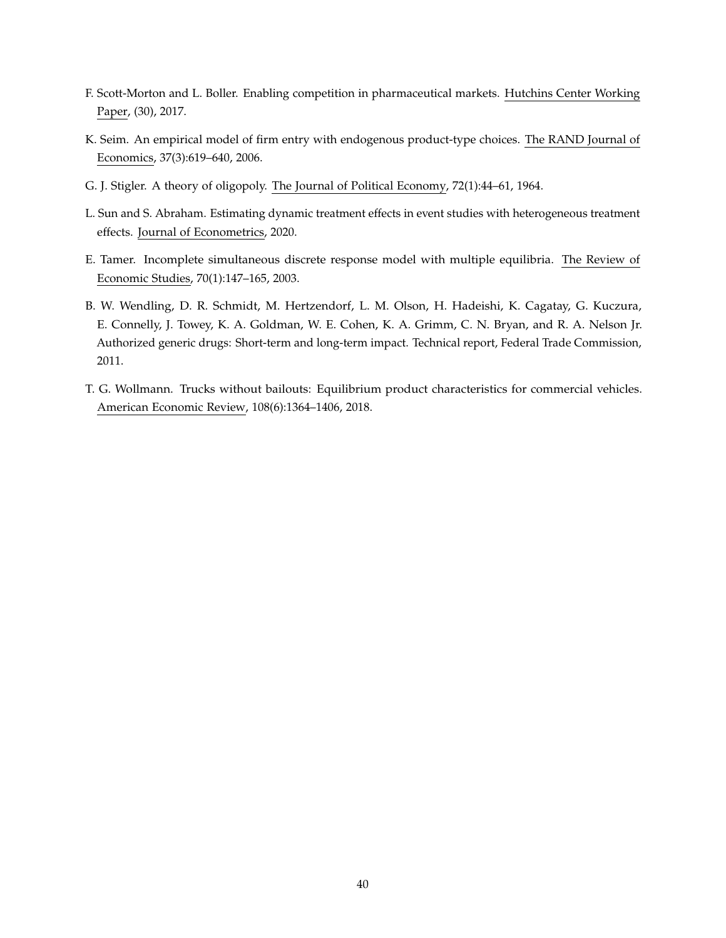- F. Scott-Morton and L. Boller. Enabling competition in pharmaceutical markets. Hutchins Center Working Paper, (30), 2017.
- K. Seim. An empirical model of firm entry with endogenous product-type choices. The RAND Journal of Economics, 37(3):619–640, 2006.
- G. J. Stigler. A theory of oligopoly. The Journal of Political Economy, 72(1):44–61, 1964.
- L. Sun and S. Abraham. Estimating dynamic treatment effects in event studies with heterogeneous treatment effects. Journal of Econometrics, 2020.
- E. Tamer. Incomplete simultaneous discrete response model with multiple equilibria. The Review of Economic Studies, 70(1):147–165, 2003.
- B. W. Wendling, D. R. Schmidt, M. Hertzendorf, L. M. Olson, H. Hadeishi, K. Cagatay, G. Kuczura, E. Connelly, J. Towey, K. A. Goldman, W. E. Cohen, K. A. Grimm, C. N. Bryan, and R. A. Nelson Jr. Authorized generic drugs: Short-term and long-term impact. Technical report, Federal Trade Commission, 2011.
- T. G. Wollmann. Trucks without bailouts: Equilibrium product characteristics for commercial vehicles. American Economic Review, 108(6):1364–1406, 2018.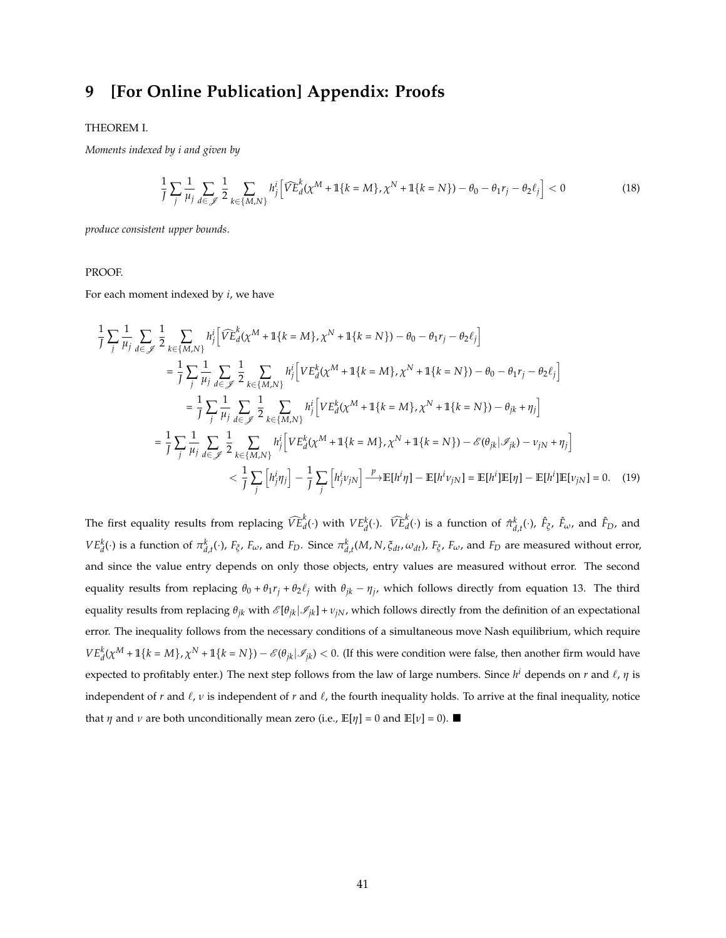## **9 [For Online Publication] Appendix: Proofs**

#### THEOREM I.

*Moments indexed by i and given by*

$$
\frac{1}{J} \sum_{j} \frac{1}{\mu_{j}} \sum_{d \in \mathcal{J}} \frac{1}{2} \sum_{k \in \{M, N\}} h_{j}^{i} \left[ \widehat{VE}_{d}^{k}(\chi^{M} + \mathbb{1}\{k = M\}, \chi^{N} + \mathbb{1}\{k = N\}) - \theta_{0} - \theta_{1}r_{j} - \theta_{2}\ell_{j} \right] < 0
$$
\n(18)

*produce consistent upper bounds*.

#### PROOF.

For each moment indexed by *i*, we have

$$
\frac{1}{J} \sum_{j} \frac{1}{\mu_{j}} \sum_{d \in \mathcal{J}} \frac{1}{2} \sum_{k \in \{M,N\}} h_{j}^{i} \Big[ \widehat{VE}_{d}^{k}(\chi^{M} + \mathbb{1}\{k = M\}, \chi^{N} + \mathbb{1}\{k = N\}) - \theta_{0} - \theta_{1}r_{j} - \theta_{2}\ell_{j} \Big]
$$
\n
$$
= \frac{1}{J} \sum_{j} \frac{1}{\mu_{j}} \sum_{d \in \mathcal{J}} \frac{1}{2} \sum_{k \in \{M,N\}} h_{j}^{i} \Big[ VE_{d}^{k}(\chi^{M} + \mathbb{1}\{k = M\}, \chi^{N} + \mathbb{1}\{k = N\}) - \theta_{0} - \theta_{1}r_{j} - \theta_{2}\ell_{j} \Big]
$$
\n
$$
= \frac{1}{J} \sum_{j} \frac{1}{\mu_{j}} \sum_{d \in \mathcal{J}} \frac{1}{2} \sum_{k \in \{M,N\}} h_{j}^{i} \Big[ VE_{d}^{k}(\chi^{M} + \mathbb{1}\{k = M\}, \chi^{N} + \mathbb{1}\{k = N\}) - \theta_{jk} + \eta_{j} \Big]
$$
\n
$$
= \frac{1}{J} \sum_{j} \frac{1}{\mu_{j}} \sum_{d \in \mathcal{J}} \frac{1}{2} \sum_{k \in \{M,N\}} h_{j}^{i} \Big[ VE_{d}^{k}(\chi^{M} + \mathbb{1}\{k = M\}, \chi^{N} + \mathbb{1}\{k = N\}) - \mathcal{E}(\theta_{jk}|\mathcal{I}_{jk}) - \nu_{jN} + \eta_{j} \Big]
$$
\n
$$
< \frac{1}{J} \sum_{j} \Big[ h_{j}^{i} \eta_{j} \Big] - \frac{1}{J} \sum_{j} \Big[ h_{j}^{i} \nu_{jN} \Big] \xrightarrow{P} \mathbb{E}[h^{i} \eta] - \mathbb{E}[h^{i} \nu_{jN}] = \mathbb{E}[h^{i}]\mathbb{E}[\eta] - \mathbb{E}[h^{i}]\mathbb{E}[\nu_{jN}] = 0. \quad (19)
$$

The first equality results from replacing  $\widehat{VE}_{d}^{k}(\cdot)$  with  $VE_{d}^{k}(\cdot)$ .  $\widehat{VE}_{d}^{k}(\cdot)$  is a function of  $\hat{\pi}_{d,t}^{k}(\cdot)$ ,  $\hat{F}_{\xi}$ ,  $\hat{F}_{\omega}$ , and  $\hat{F}_{D}$ , and  $VE_d^k(\cdot)$  is a function of  $\pi_{d,t}^k(\cdot)$ ,  $F_\xi$ ,  $F_\omega$ , and  $F_D$ . Since  $\pi_{d,t}^k(M,N,\xi_{dt},\omega_{dt})$ ,  $F_\xi$ ,  $F_\omega$ , and  $F_D$  are measured without error, and since the value entry depends on only those objects, entry values are measured without error. The second equality results from replacing  $\theta_0 + \theta_1 r_j + \theta_2 \ell_j$  with  $\theta_{jk} - \eta_j$ , which follows directly from equation 13. The third equality results from replacing  $\theta_{jk}$  with  $\mathcal{E}[\theta_{jk}|\mathcal{I}_{jk}] + v_{jN}$ , which follows directly from the definition of an expectational error. The inequality follows from the necessary conditions of a simultaneous move Nash equilibrium, which require  $VE^k_d(\chi^M + 1\{k = M\}, \chi^N + 1\{k = N\}) - \mathcal{E}(\theta_{jk}|\mathcal{I}_{jk}) < 0.$  (If this were condition were false, then another firm would have expected to profitably enter.) The next step follows from the law of large numbers. Since  $h^i$  depends on  $r$  and  $\ell$ ,  $\eta$  is independent of  $r$  and  $\ell$ ,  $\nu$  is independent of  $r$  and  $\ell$ , the fourth inequality holds. To arrive at the final inequality, notice that *η* and *ν* are both unconditionally mean zero (i.e.,  $\mathbb{E}[\eta] = 0$  and  $\mathbb{E}[\nu] = 0$ ).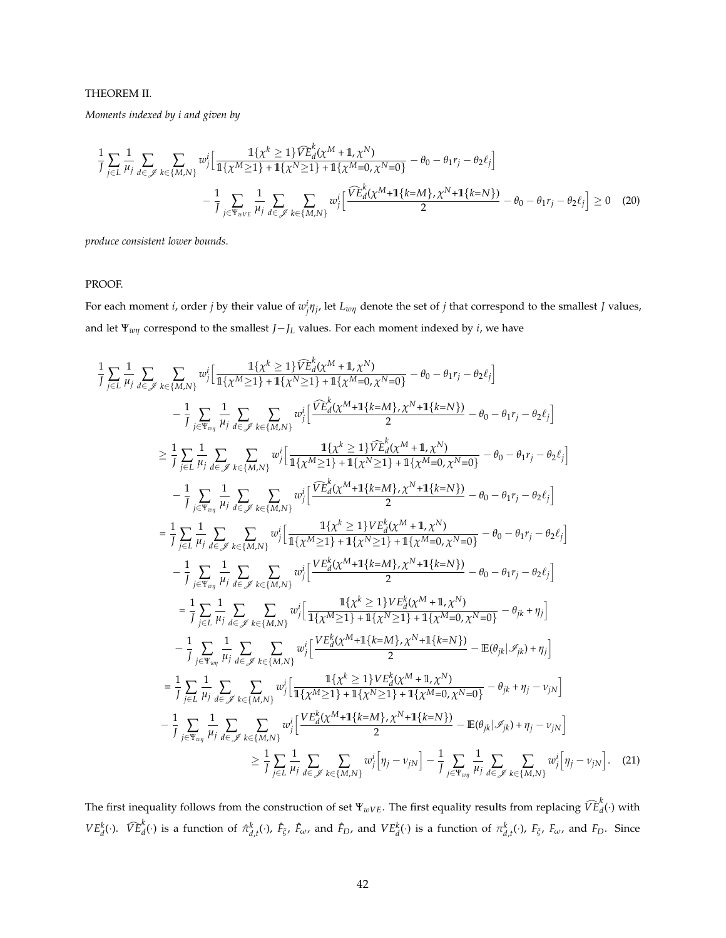#### THEOREM II.

*Moments indexed by i and given by*

$$
\frac{1}{J} \sum_{j \in L} \frac{1}{\mu_j} \sum_{d \in \mathscr{J}} \sum_{k \in \{M, N\}} w_j^i \Big[ \frac{\mathbb{1}\{\chi^k \ge 1\} \widehat{VE}_d^k(\chi^M + \mathbb{1}, \chi^N)}{\mathbb{1}\{\chi^M \ge 1\} + \mathbb{1}\{\chi^N \ge 1\} + \mathbb{1}\{\chi^M = 0, \chi^N = 0\}} - \theta_0 - \theta_1 r_j - \theta_2 \ell_j \Big] - \frac{1}{J} \sum_{j \in \Psi_{wVE}} \frac{1}{\mu_j} \sum_{d \in \mathscr{J}} \sum_{k \in \{M, N\}} w_j^i \Big[ \frac{\widehat{VE}_d^k(\chi^M + \mathbb{1}\{k = M\}, \chi^N + \mathbb{1}\{k = N\})}{2} - \theta_0 - \theta_1 r_j - \theta_2 \ell_j \Big] \ge 0 \quad (20)
$$

*produce consistent lower bounds*.

#### PROOF.

For each moment *i*, order *j* by their value of  $w^i_j\eta_j$ , let  $L_{w\eta}$  denote the set of *j* that correspond to the smallest *J* values, and let  $\Psi_{w\eta}$  correspond to the smallest *J*−*J*<sub>*L*</sub> values. For each moment indexed by *i*, we have

$$
\frac{1}{J}\sum_{j\in L} \frac{1}{\mu_{j}} \sum_{d\in\mathscr{J}} \sum_{k\in\{M,N\}} w_{j}^{i} \Big[ \frac{1\{x^{k} \geq 1\} \tilde{V}_{Ld}^{k}(x^{M}+1,x^{N})}{1\{x^{M} \geq 1\} + 1\{x^{N} \geq 1\} + 1\{x^{M} = 0, x^{N} = 0\}} - \theta_{0} - \theta_{1}r_{j} - \theta_{2}\ell_{j}\Big] \n- \frac{1}{J}\sum_{j\in\Psi_{w\eta}} \frac{1}{\mu_{j}} \sum_{d\in\mathscr{J}} \sum_{k\in\{M,N\}} w_{j}^{i} \Big[ \frac{\tilde{V}_{Ld}^{k}(x^{M}+1\{k=M\}, x^{N}+1\{k=N\})}{2} - \theta_{0} - \theta_{1}r_{j} - \theta_{2}\ell_{j}\Big] \n\geq \frac{1}{J}\sum_{j\in L} \frac{1}{\mu_{j}} \sum_{d\in\mathscr{J}} \sum_{k\in\{M,N\}} w_{j}^{i} \Big[ \frac{1\{x^{k} \geq 1\} \tilde{V}_{Ld}^{k}(x^{M}+1,x^{N})}{1\{x^{M} \geq 1\} + 1\{x^{M} = 0, x^{N} = 0\}} - \theta_{0} - \theta_{1}r_{j} - \theta_{2}\ell_{j}\Big] \n- \frac{1}{J}\sum_{j\in\Psi_{w\eta}} \frac{1}{\mu_{j}} \sum_{d\in\mathscr{J}} \sum_{k\in\{M,N\}} w_{j}^{i} \Big[ \frac{\tilde{V}_{Ld}^{k}(x^{M}+1,x^{M})}{1\{x^{M} \geq 1\} + 1\{x^{M} = 0, x^{N} = 0\}} - \theta_{0} - \theta_{1}r_{j} - \theta_{2}\ell_{j}\Big] \n- \frac{1}{J}\sum_{j\in\Psi_{w\eta}} \frac{1}{\mu_{j}} \sum_{d\in\mathscr{J}} \sum_{k\in\{M,N\}} w_{j}^{i} \Big[ \frac{V_{Ld}^{k}(x^{M}+1\{k=M\}, x^{N})}{1\{x^{M} \geq 1\} + 1\{x^{M}
$$

The first inequality follows from the construction of set  $\Psi_{wVE}$ . The first equality results from replacing  $\widehat{VE}_{d}^{k}(\cdot)$  with  $VE_d^k(\cdot)$ .  $\widehat{VE}_d^k(\cdot)$  is a function of  $\hat{\pi}_{d,t}^k(\cdot)$ ,  $\hat{F}_{\xi}$ ,  $\hat{F}_{\omega}$ , and  $\hat{F}_D$ , and  $VE_d^k(\cdot)$  is a function of  $\pi_{d,t}^k(\cdot)$ ,  $F_{\xi}$ ,  $F_{\omega}$ , and  $F_D$ . Since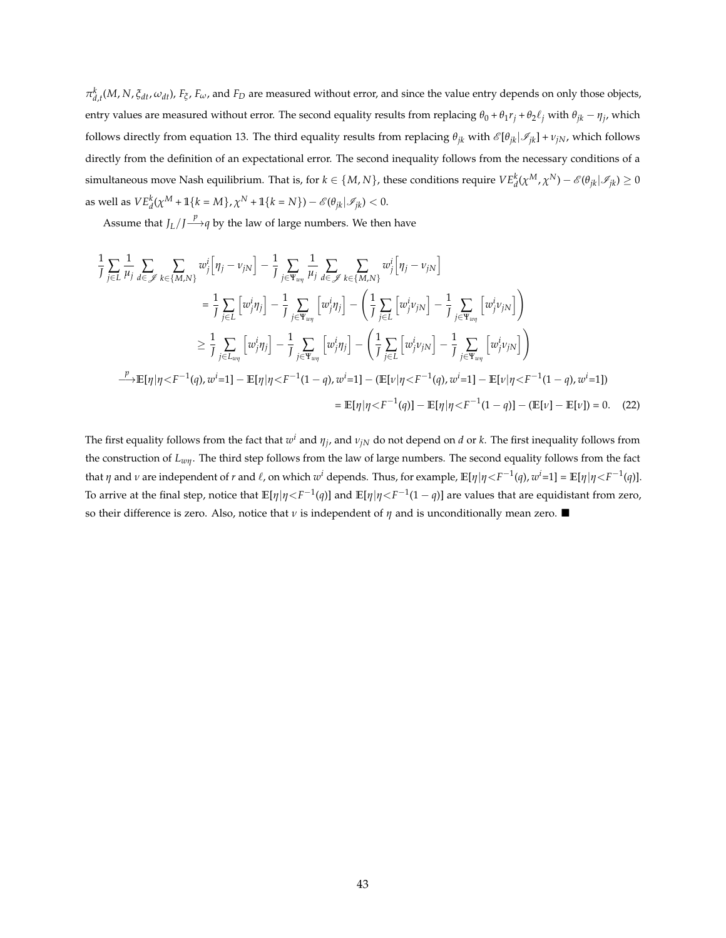$\pi_{d,t}^k(M,N,\xi_{dt},\omega_{dt})$ ,  $F_{\xi}$ ,  $F_{\omega}$ , and  $F_D$  are measured without error, and since the value entry depends on only those objects, entry values are measured without error. The second equality results from replacing  $\theta_0 + \theta_1 r_j + \theta_2 \ell_j$  with  $\theta_{jk} - \eta_j$ , which follows directly from equation 13. The third equality results from replacing  $\theta_{ik}$  with  $\mathscr{E}[\theta_{ik}|\mathscr{I}_{ik}] + v_{iN}$ , which follows directly from the definition of an expectational error. The second inequality follows from the necessary conditions of a simultaneous move Nash equilibrium. That is, for  $k\in\{M,N\}$ , these conditions require  $VE^k_d(\chi^M,\chi^N)-\mathscr{E}(\theta_{jk}|\mathscr{I}_{jk})\geq 0$ as well as  $VE_d^k(\chi^M + \mathbb{1}\{k = M\}, \chi^N + \mathbb{1}\{k = N\}) - \mathscr{E}(\theta_{jk}|\mathscr{I}_{jk}) < 0.$ 

Assume that  $J_L/J \stackrel{p}{\longrightarrow} q$  by the law of large numbers. We then have

$$
\frac{1}{J} \sum_{j \in L} \frac{1}{\mu_j} \sum_{d \in \mathscr{J}} \sum_{k \in \{M,N\}} w_j^i [\eta_j - v_{jN}] - \frac{1}{J} \sum_{j \in \Psi_{w\eta}} \frac{1}{\mu_j} \sum_{d \in \mathscr{J}} \sum_{k \in \{M,N\}} w_j^i [\eta_j - v_{jN}]
$$
\n
$$
= \frac{1}{J} \sum_{j \in L} [w_j^i \eta_j] - \frac{1}{J} \sum_{j \in \Psi_{w\eta}} [w_j^i \eta_j] - (\frac{1}{J} \sum_{j \in L} [w_j^i v_{jN}] - \frac{1}{J} \sum_{j \in \Psi_{w\eta}} [w_j^i v_{jN}] )
$$
\n
$$
\geq \frac{1}{J} \sum_{j \in L_{w\eta}} [w_j^i \eta_j] - \frac{1}{J} \sum_{j \in \Psi_{w\eta}} [w_j^i \eta_j] - (\frac{1}{J} \sum_{j \in L} [w_j^i v_{jN}] - \frac{1}{J} \sum_{j \in \Psi_{w\eta}} [w_j^i v_{jN}] )
$$
\n
$$
\xrightarrow{\mu} \mathbb{E}[\eta | \eta \langle F^{-1}(q), w^i = 1] - \mathbb{E}[\eta | \eta \langle F^{-1}(1 - q), w^i = 1] - (\mathbb{E}[\nu | \eta \langle F^{-1}(q), w^i = 1] - \mathbb{E}[\nu | \eta \langle F^{-1}(1 - q), w^i = 1])
$$
\n
$$
= \mathbb{E}[\eta | \eta \langle F^{-1}(q)] - \mathbb{E}[\eta | \eta \langle F^{-1}(1 - q)] - (\mathbb{E}[\nu] - \mathbb{E}[\nu]) = 0. \quad (22)
$$

The first equality follows from the fact that  $w^i$  and  $\eta_j$ , and  $\nu_{jN}$  do not depend on *d* or *k*. The first inequality follows from the construction of *Lwη*. The third step follows from the law of large numbers. The second equality follows from the fact that  $\eta$  and  $\nu$  are independent of  $r$  and  $\ell$ , on which  $w^i$  depends. Thus, for example,  $\mathbb{E}[\eta|\eta{<}F^{-1}(q)$ ,  $w^i$ =1] =  $\mathbb{E}[\eta|\eta{<}F^{-1}(q)]$ . To arrive at the final step, notice that **E**[*η*|*η*<*F* −1 (*q*)] and **E**[*η*|*η*<*F* −1 (1 − *q*)] are values that are equidistant from zero, so their difference is zero. Also, notice that  $\nu$  is independent of  $\eta$  and is unconditionally mean zero.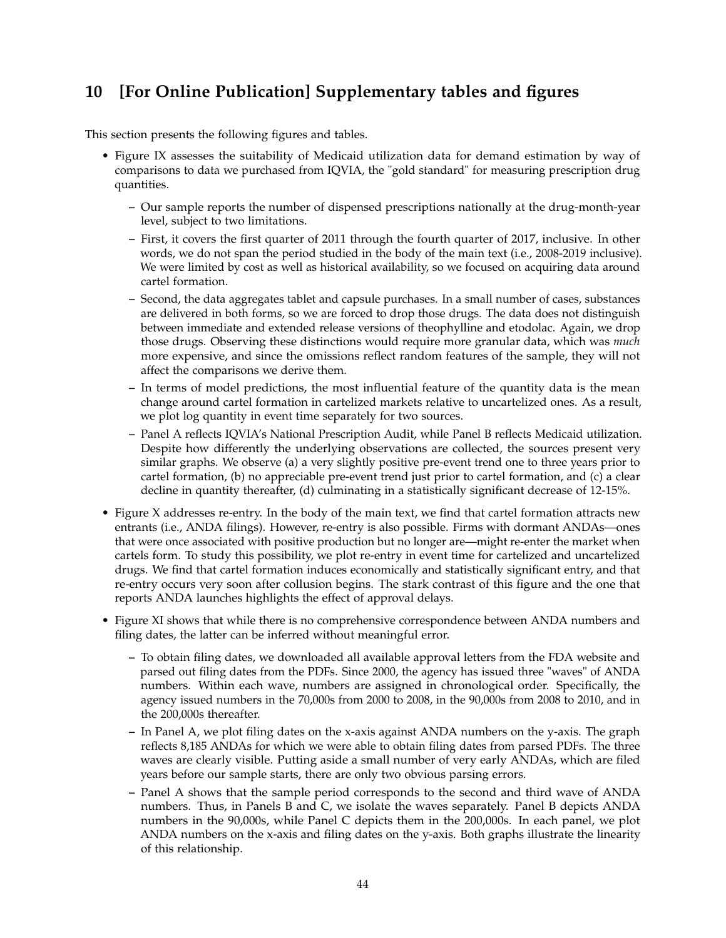# **10 [For Online Publication] Supplementary tables and figures**

This section presents the following figures and tables.

- Figure IX assesses the suitability of Medicaid utilization data for demand estimation by way of comparisons to data we purchased from IQVIA, the "gold standard" for measuring prescription drug quantities.
	- **–** Our sample reports the number of dispensed prescriptions nationally at the drug-month-year level, subject to two limitations.
	- **–** First, it covers the first quarter of 2011 through the fourth quarter of 2017, inclusive. In other words, we do not span the period studied in the body of the main text (i.e., 2008-2019 inclusive). We were limited by cost as well as historical availability, so we focused on acquiring data around cartel formation.
	- **–** Second, the data aggregates tablet and capsule purchases. In a small number of cases, substances are delivered in both forms, so we are forced to drop those drugs. The data does not distinguish between immediate and extended release versions of theophylline and etodolac. Again, we drop those drugs. Observing these distinctions would require more granular data, which was *much* more expensive, and since the omissions reflect random features of the sample, they will not affect the comparisons we derive them.
	- **–** In terms of model predictions, the most influential feature of the quantity data is the mean change around cartel formation in cartelized markets relative to uncartelized ones. As a result, we plot log quantity in event time separately for two sources.
	- **–** Panel A reflects IQVIA's National Prescription Audit, while Panel B reflects Medicaid utilization. Despite how differently the underlying observations are collected, the sources present very similar graphs. We observe (a) a very slightly positive pre-event trend one to three years prior to cartel formation, (b) no appreciable pre-event trend just prior to cartel formation, and (c) a clear decline in quantity thereafter, (d) culminating in a statistically significant decrease of 12-15%.
- Figure X addresses re-entry. In the body of the main text, we find that cartel formation attracts new entrants (i.e., ANDA filings). However, re-entry is also possible. Firms with dormant ANDAs—ones that were once associated with positive production but no longer are—might re-enter the market when cartels form. To study this possibility, we plot re-entry in event time for cartelized and uncartelized drugs. We find that cartel formation induces economically and statistically significant entry, and that re-entry occurs very soon after collusion begins. The stark contrast of this figure and the one that reports ANDA launches highlights the effect of approval delays.
- Figure XI shows that while there is no comprehensive correspondence between ANDA numbers and filing dates, the latter can be inferred without meaningful error.
	- **–** To obtain filing dates, we downloaded all available approval letters from the FDA website and parsed out filing dates from the PDFs. Since 2000, the agency has issued three "waves" of ANDA numbers. Within each wave, numbers are assigned in chronological order. Specifically, the agency issued numbers in the 70,000s from 2000 to 2008, in the 90,000s from 2008 to 2010, and in the 200,000s thereafter.
	- **–** In Panel A, we plot filing dates on the x-axis against ANDA numbers on the y-axis. The graph reflects 8,185 ANDAs for which we were able to obtain filing dates from parsed PDFs. The three waves are clearly visible. Putting aside a small number of very early ANDAs, which are filed years before our sample starts, there are only two obvious parsing errors.
	- **–** Panel A shows that the sample period corresponds to the second and third wave of ANDA numbers. Thus, in Panels B and C, we isolate the waves separately. Panel B depicts ANDA numbers in the 90,000s, while Panel C depicts them in the 200,000s. In each panel, we plot ANDA numbers on the x-axis and filing dates on the y-axis. Both graphs illustrate the linearity of this relationship.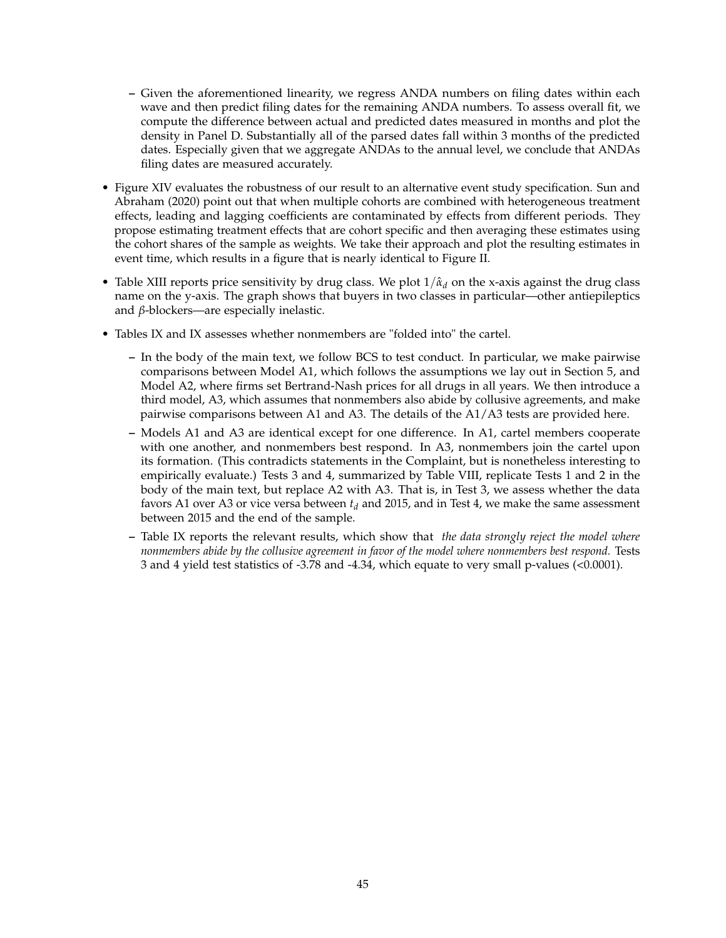- **–** Given the aforementioned linearity, we regress ANDA numbers on filing dates within each wave and then predict filing dates for the remaining ANDA numbers. To assess overall fit, we compute the difference between actual and predicted dates measured in months and plot the density in Panel D. Substantially all of the parsed dates fall within 3 months of the predicted dates. Especially given that we aggregate ANDAs to the annual level, we conclude that ANDAs filing dates are measured accurately.
- Figure XIV evaluates the robustness of our result to an alternative event study specification. Sun and Abraham (2020) point out that when multiple cohorts are combined with heterogeneous treatment effects, leading and lagging coefficients are contaminated by effects from different periods. They propose estimating treatment effects that are cohort specific and then averaging these estimates using the cohort shares of the sample as weights. We take their approach and plot the resulting estimates in event time, which results in a figure that is nearly identical to Figure II.
- Table XIII reports price sensitivity by drug class. We plot  $1/\hat{\alpha}_d$  on the x-axis against the drug class name on the y-axis. The graph shows that buyers in two classes in particular—other antiepileptics and *β*-blockers—are especially inelastic.
- Tables IX and IX assesses whether nonmembers are "folded into" the cartel.
	- **–** In the body of the main text, we follow BCS to test conduct. In particular, we make pairwise comparisons between Model A1, which follows the assumptions we lay out in Section 5, and Model A2, where firms set Bertrand-Nash prices for all drugs in all years. We then introduce a third model, A3, which assumes that nonmembers also abide by collusive agreements, and make pairwise comparisons between A1 and A3. The details of the A1/A3 tests are provided here.
	- **–** Models A1 and A3 are identical except for one difference. In A1, cartel members cooperate with one another, and nonmembers best respond. In A3, nonmembers join the cartel upon its formation. (This contradicts statements in the Complaint, but is nonetheless interesting to empirically evaluate.) Tests 3 and 4, summarized by Table VIII, replicate Tests 1 and 2 in the body of the main text, but replace A2 with A3. That is, in Test 3, we assess whether the data favors A1 over A3 or vice versa between *t<sup>d</sup>* and 2015, and in Test 4, we make the same assessment between 2015 and the end of the sample.
	- **–** Table IX reports the relevant results, which show that *the data strongly reject the model where nonmembers abide by the collusive agreement in favor of the model where nonmembers best respond.* Tests 3 and 4 yield test statistics of -3.78 and -4.34, which equate to very small p-values (<0.0001).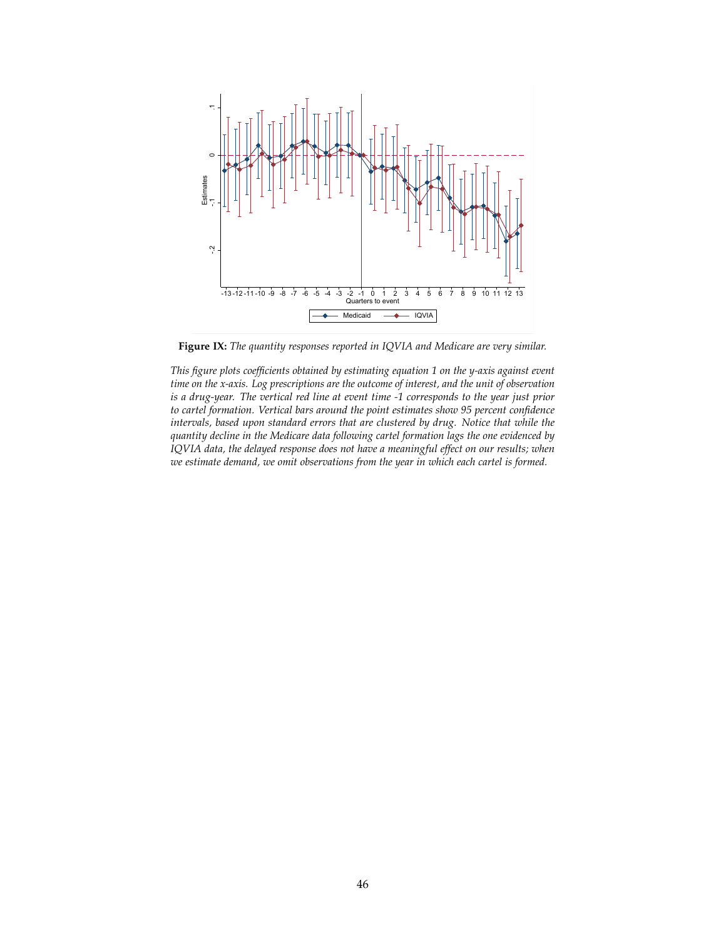

**Figure IX:** *The quantity responses reported in IQVIA and Medicare are very similar.*

*This figure plots coefficients obtained by estimating equation 1 on the y-axis against event time on the x-axis. Log prescriptions are the outcome of interest, and the unit of observation is a drug-year. The vertical red line at event time -1 corresponds to the year just prior to cartel formation. Vertical bars around the point estimates show 95 percent confidence intervals, based upon standard errors that are clustered by drug. Notice that while the quantity decline in the Medicare data following cartel formation lags the one evidenced by IQVIA data, the delayed response does not have a meaningful effect on our results; when we estimate demand, we omit observations from the year in which each cartel is formed.*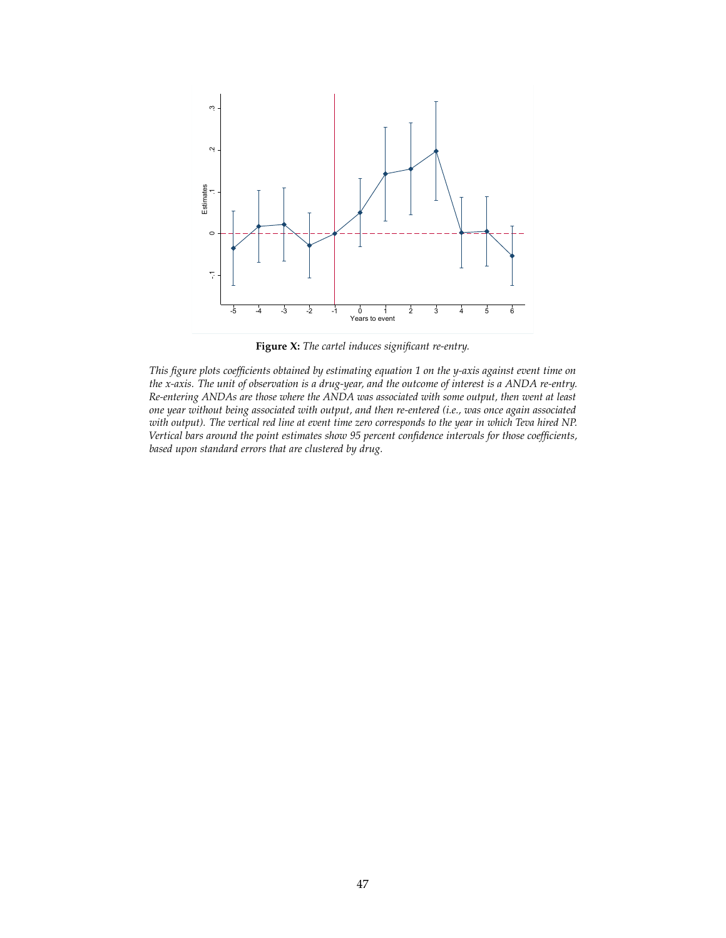

**Figure X:** *The cartel induces significant re-entry.*

*This figure plots coefficients obtained by estimating equation 1 on the y-axis against event time on the x-axis. The unit of observation is a drug-year, and the outcome of interest is a ANDA re-entry. Re-entering ANDAs are those where the ANDA was associated with some output, then went at least one year without being associated with output, and then re-entered (i.e., was once again associated with output). The vertical red line at event time zero corresponds to the year in which Teva hired NP. Vertical bars around the point estimates show 95 percent confidence intervals for those coefficients, based upon standard errors that are clustered by drug.*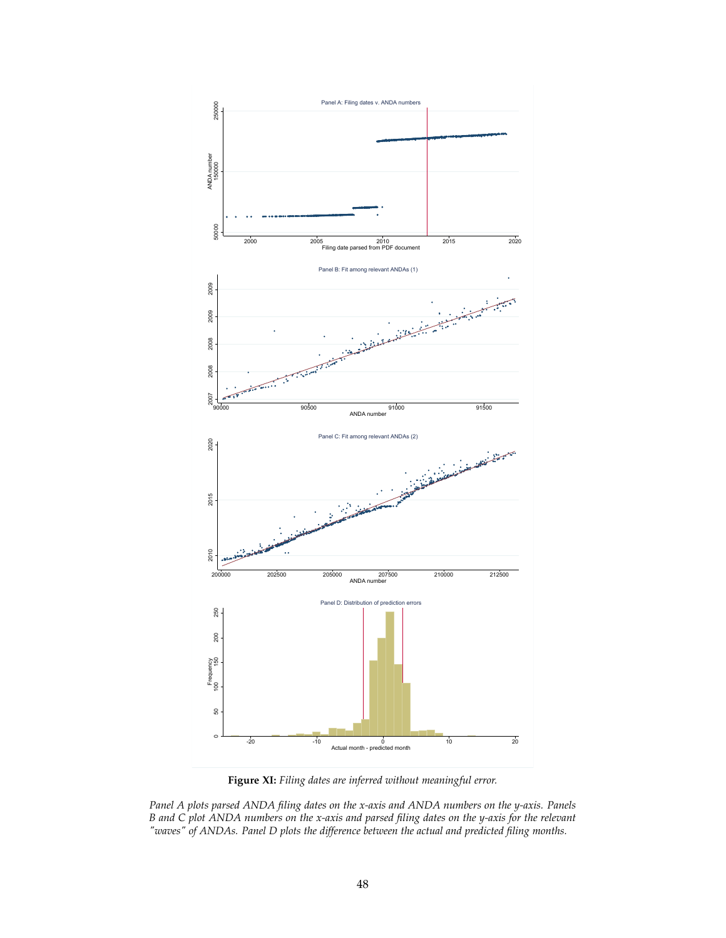

**Figure XI:** *Filing dates are inferred without meaningful error.*

*Panel A plots parsed ANDA filing dates on the x-axis and ANDA numbers on the y-axis. Panels B and C plot ANDA numbers on the x-axis and parsed filing dates on the y-axis for the relevant "waves" of ANDAs. Panel D plots the difference between the actual and predicted filing months.*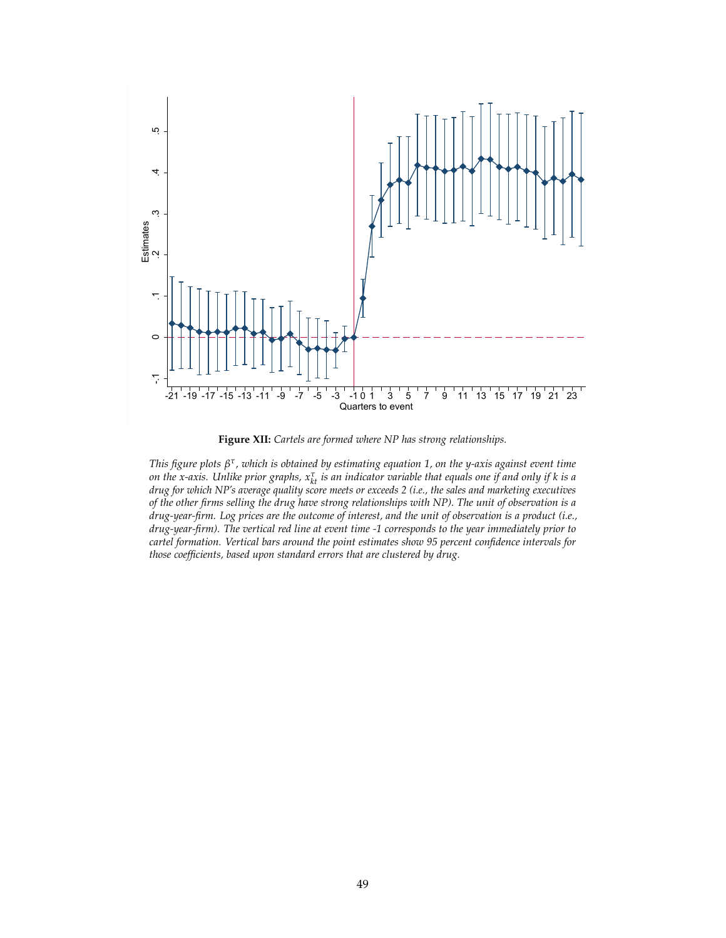

**Figure XII:** *Cartels are formed where NP has strong relationships.*

*This figure plots β τ , which is obtained by estimating equation 1, on the y-axis against event time* on the x-axis. Unlike prior graphs,  $x_{kt}^{\tau}$  is an indicator variable that equals one if and only if k is a *drug for which NP's average quality score meets or exceeds 2 (i.e., the sales and marketing executives of the other firms selling the drug have strong relationships with NP). The unit of observation is a drug-year-firm. Log prices are the outcome of interest, and the unit of observation is a product (i.e., drug-year-firm). The vertical red line at event time -1 corresponds to the year immediately prior to cartel formation. Vertical bars around the point estimates show 95 percent confidence intervals for those coefficients, based upon standard errors that are clustered by drug.*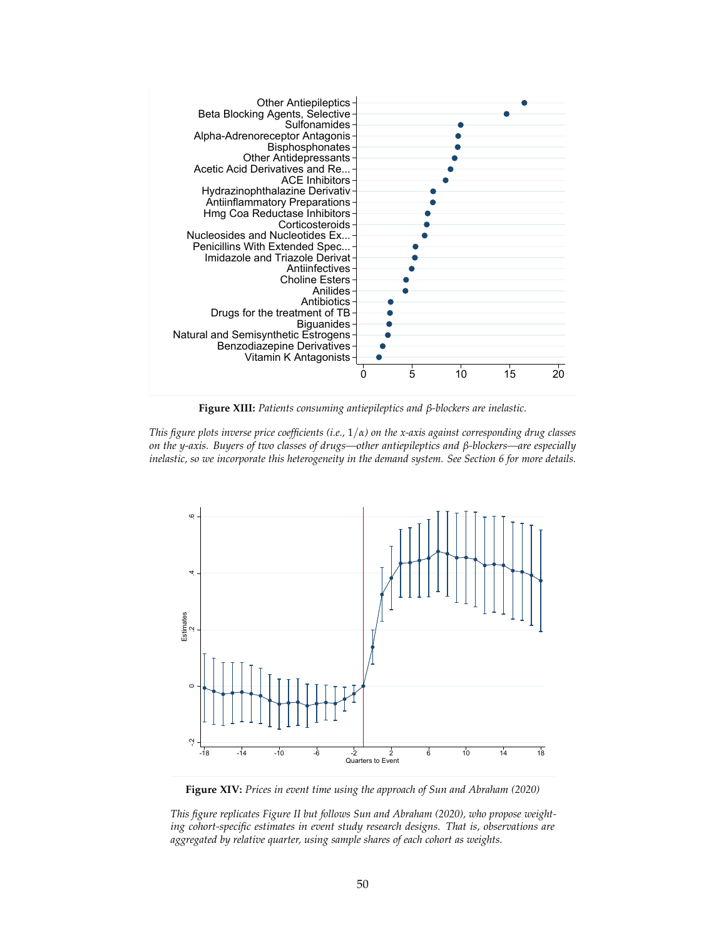

**Figure XIII:** *Patients consuming antiepileptics and β-blockers are inelastic.*

*This figure plots inverse price coefficients (i.e.,* 1/*α) on the x-axis against corresponding drug classes on the y-axis. Buyers of two classes of drugs—other antiepileptics and β-blockers—are especially inelastic, so we incorporate this heterogeneity in the demand system. See Section 6 for more details.*



**Figure XIV:** *Prices in event time using the approach of Sun and Abraham (2020)*

*This figure replicates Figure II but follows Sun and Abraham (2020), who propose weighting cohort-specific estimates in event study research designs. That is, observations are aggregated by relative quarter, using sample shares of each cohort as weights.*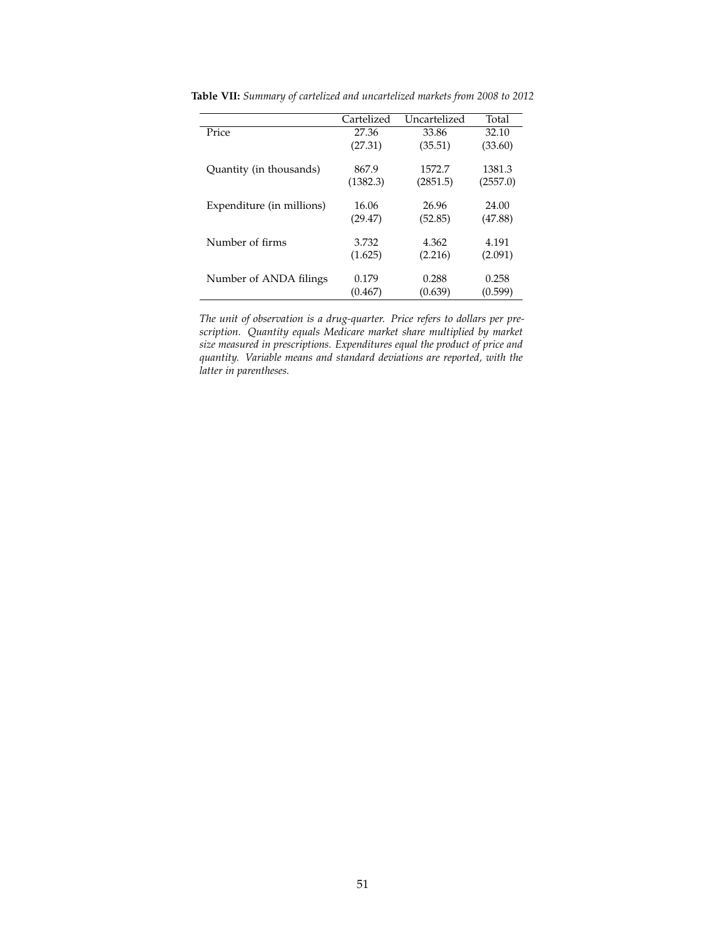|                           | Cartelized | Uncartelized | Total    |
|---------------------------|------------|--------------|----------|
| Price                     | 27.36      | 33.86        | 32.10    |
|                           | (27.31)    | (35.51)      | (33.60)  |
|                           |            |              |          |
| Quantity (in thousands)   | 867.9      | 1572.7       | 1381.3   |
|                           | (1382.3)   | (2851.5)     | (2557.0) |
|                           |            |              |          |
| Expenditure (in millions) | 16.06      | 26.96        | 24.00    |
|                           | (29.47)    | (52.85)      | (47.88)  |
| Number of firms           | 3.732      | 4.362        | 4.191    |
|                           |            |              |          |
|                           | (1.625)    | (2.216)      | (2.091)  |
| Number of ANDA filings    | 0.179      | 0.288        | 0.258    |
|                           |            |              |          |
|                           | (0.467)    | (0.639)      | (0.599)  |
|                           |            |              |          |

**Table VII:** *Summary of cartelized and uncartelized markets from 2008 to 2012*

*The unit of observation is a drug-quarter. Price refers to dollars per prescription. Quantity equals Medicare market share multiplied by market size measured in prescriptions. Expenditures equal the product of price and quantity. Variable means and standard deviations are reported, with the latter in parentheses.*